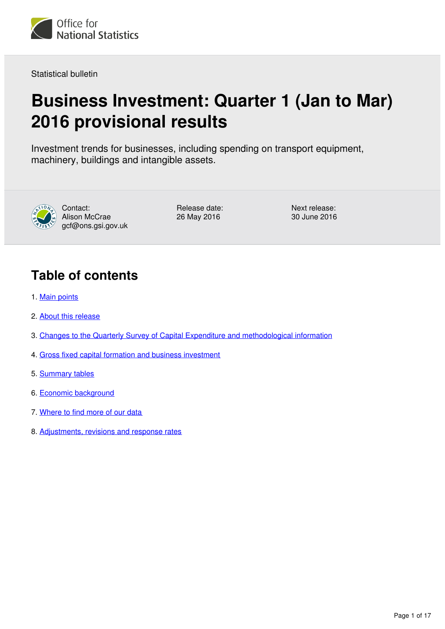

Statistical bulletin

# **Business Investment: Quarter 1 (Jan to Mar) 2016 provisional results**

Investment trends for businesses, including spending on transport equipment, machinery, buildings and intangible assets.



Contact: Alison McCrae gcf@ons.gsi.gov.uk

Release date: 26 May 2016

Next release: 30 June 2016

# **Table of contents**

- 1. [Main points](#page-1-0)
- 2. [About this release](#page-1-1)
- 3. [Changes to the Quarterly Survey of Capital Expenditure and methodological information](#page-1-2)
- 4. [Gross fixed capital formation and business investment](#page-3-0)
- 5. [Summary tables](#page-6-0)
- 6. [Economic background](#page-8-0)
- 7. [Where to find more of our data](#page-9-0)
- 8. [Adjustments, revisions and response rates](#page-9-1)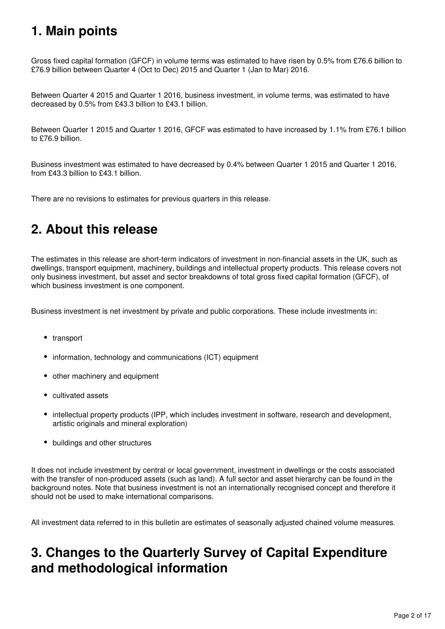# <span id="page-1-0"></span>**1. Main points**

Gross fixed capital formation (GFCF) in volume terms was estimated to have risen by 0.5% from £76.6 billion to £76.9 billion between Quarter 4 (Oct to Dec) 2015 and Quarter 1 (Jan to Mar) 2016.

Between Quarter 4 2015 and Quarter 1 2016, business investment, in volume terms, was estimated to have decreased by 0.5% from £43.3 billion to £43.1 billion.

Between Quarter 1 2015 and Quarter 1 2016, GFCF was estimated to have increased by 1.1% from £76.1 billion to £76.9 billion.

Business investment was estimated to have decreased by 0.4% between Quarter 1 2015 and Quarter 1 2016, from £43.3 billion to £43.1 billion.

There are no revisions to estimates for previous quarters in this release.

## <span id="page-1-1"></span>**2. About this release**

The estimates in this release are short-term indicators of investment in non-financial assets in the UK, such as dwellings, transport equipment, machinery, buildings and intellectual property products. This release covers not only business investment, but asset and sector breakdowns of total gross fixed capital formation (GFCF), of which business investment is one component.

Business investment is net investment by private and public corporations. These include investments in:

- transport
- information, technology and communications (ICT) equipment
- other machinery and equipment
- cultivated assets
- intellectual property products (IPP, which includes investment in software, research and development, artistic originals and mineral exploration)
- buildings and other structures

It does not include investment by central or local government, investment in dwellings or the costs associated with the transfer of non-produced assets (such as land). A full sector and asset hierarchy can be found in the background notes. Note that business investment is not an internationally recognised concept and therefore it should not be used to make international comparisons.

All investment data referred to in this bulletin are estimates of seasonally adjusted chained volume measures.

## <span id="page-1-2"></span>**3. Changes to the Quarterly Survey of Capital Expenditure and methodological information**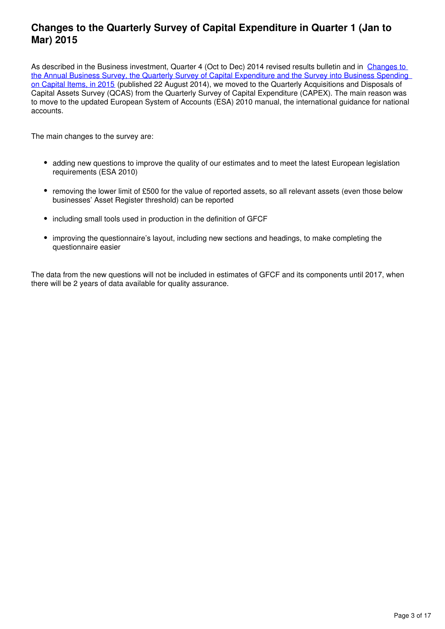## **Changes to the Quarterly Survey of Capital Expenditure in Quarter 1 (Jan to Mar) 2015**

As described in the Business investment, Quarter 4 (Oct to Dec) 2014 revised results bulletin and in [Changes to](http://webarchive.nationalarchives.gov.uk/20160204094749/http:/ons.gov.uk/ons/guide-method/method-quality/specific/economy/national-accounts/methodology-and-articles/2011-present/index.html)  [the Annual Business Survey, the Quarterly Survey of Capital Expenditure and the Survey into Business Spending](http://webarchive.nationalarchives.gov.uk/20160204094749/http:/ons.gov.uk/ons/guide-method/method-quality/specific/economy/national-accounts/methodology-and-articles/2011-present/index.html)  [on Capital Items, in 2015](http://webarchive.nationalarchives.gov.uk/20160204094749/http:/ons.gov.uk/ons/guide-method/method-quality/specific/economy/national-accounts/methodology-and-articles/2011-present/index.html) (published 22 August 2014), we moved to the Quarterly Acquisitions and Disposals of Capital Assets Survey (QCAS) from the Quarterly Survey of Capital Expenditure (CAPEX). The main reason was to move to the updated European System of Accounts (ESA) 2010 manual, the international guidance for national accounts.

The main changes to the survey are:

- adding new questions to improve the quality of our estimates and to meet the latest European legislation requirements (ESA 2010)
- removing the lower limit of £500 for the value of reported assets, so all relevant assets (even those below businesses' Asset Register threshold) can be reported
- including small tools used in production in the definition of GFCF
- improving the questionnaire's layout, including new sections and headings, to make completing the questionnaire easier

The data from the new questions will not be included in estimates of GFCF and its components until 2017, when there will be 2 years of data available for quality assurance.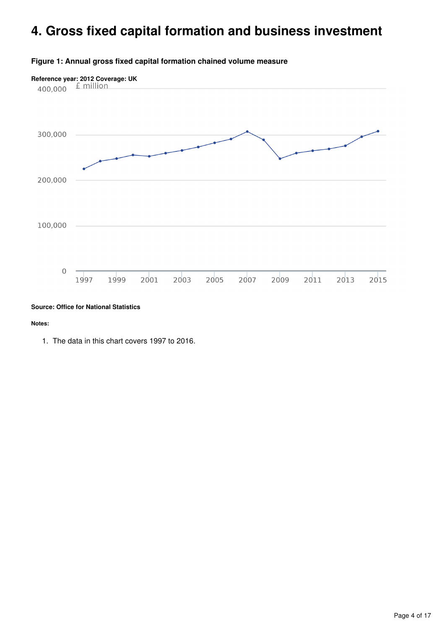## <span id="page-3-0"></span>**4. Gross fixed capital formation and business investment**



#### **Figure 1: Annual gross fixed capital formation chained volume measure**

#### **Source: Office for National Statistics**

#### **Notes:**

1. The data in this chart covers 1997 to 2016.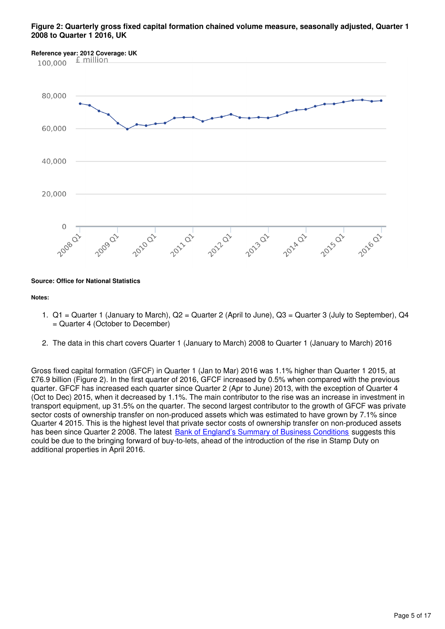#### **Figure 2: Quarterly gross fixed capital formation chained volume measure, seasonally adjusted, Quarter 1 2008 to Quarter 1 2016, UK**



**Source: Office for National Statistics**

#### **Notes:**

- 1. Q1 = Quarter 1 (January to March), Q2 = Quarter 2 (April to June), Q3 = Quarter 3 (July to September), Q4 = Quarter 4 (October to December)
- 2. The data in this chart covers Quarter 1 (January to March) 2008 to Quarter 1 (January to March) 2016

Gross fixed capital formation (GFCF) in Quarter 1 (Jan to Mar) 2016 was 1.1% higher than Quarter 1 2015, at £76.9 billion (Figure 2). In the first quarter of 2016, GFCF increased by 0.5% when compared with the previous quarter. GFCF has increased each quarter since Quarter 2 (Apr to June) 2013, with the exception of Quarter 4 (Oct to Dec) 2015, when it decreased by 1.1%. The main contributor to the rise was an increase in investment in transport equipment, up 31.5% on the quarter. The second largest contributor to the growth of GFCF was private sector costs of ownership transfer on non-produced assets which was estimated to have grown by 7.1% since Quarter 4 2015. This is the highest level that private sector costs of ownership transfer on non-produced assets has been since Quarter 2 2008. The latest [Bank of England's Summary of Business Conditions](http://www.bankofengland.co.uk/publications/Pages/agentssummary/2016/may.aspx) suggests this could be due to the bringing forward of buy-to-lets, ahead of the introduction of the rise in Stamp Duty on additional properties in April 2016.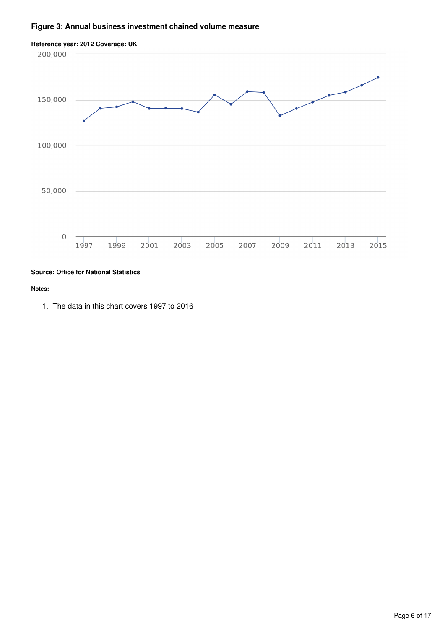#### **Figure 3: Annual business investment chained volume measure**



#### **Source: Office for National Statistics**

#### **Notes:**

1. The data in this chart covers 1997 to 2016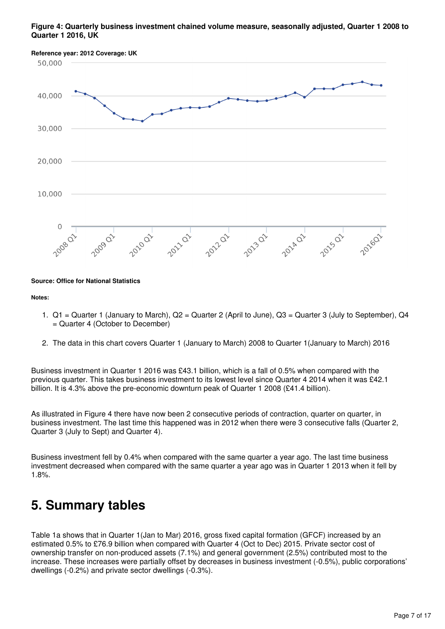#### **Figure 4: Quarterly business investment chained volume measure, seasonally adjusted, Quarter 1 2008 to Quarter 1 2016, UK**



#### **Source: Office for National Statistics**

#### **Notes:**

- 1. Q1 = Quarter 1 (January to March), Q2 = Quarter 2 (April to June), Q3 = Quarter 3 (July to September), Q4 = Quarter 4 (October to December)
- 2. The data in this chart covers Quarter 1 (January to March) 2008 to Quarter 1(January to March) 2016

Business investment in Quarter 1 2016 was £43.1 billion, which is a fall of 0.5% when compared with the previous quarter. This takes business investment to its lowest level since Quarter 4 2014 when it was £42.1 billion. It is 4.3% above the pre-economic downturn peak of Quarter 1 2008 (£41.4 billion).

As illustrated in Figure 4 there have now been 2 consecutive periods of contraction, quarter on quarter, in business investment. The last time this happened was in 2012 when there were 3 consecutive falls (Quarter 2, Quarter 3 (July to Sept) and Quarter 4).

Business investment fell by 0.4% when compared with the same quarter a year ago. The last time business investment decreased when compared with the same quarter a year ago was in Quarter 1 2013 when it fell by 1.8%.

## <span id="page-6-0"></span>**5. Summary tables**

Table 1a shows that in Quarter 1(Jan to Mar) 2016, gross fixed capital formation (GFCF) increased by an estimated 0.5% to £76.9 billion when compared with Quarter 4 (Oct to Dec) 2015. Private sector cost of ownership transfer on non-produced assets (7.1%) and general government (2.5%) contributed most to the increase. These increases were partially offset by decreases in business investment (-0.5%), public corporations' dwellings (-0.2%) and private sector dwellings (-0.3%).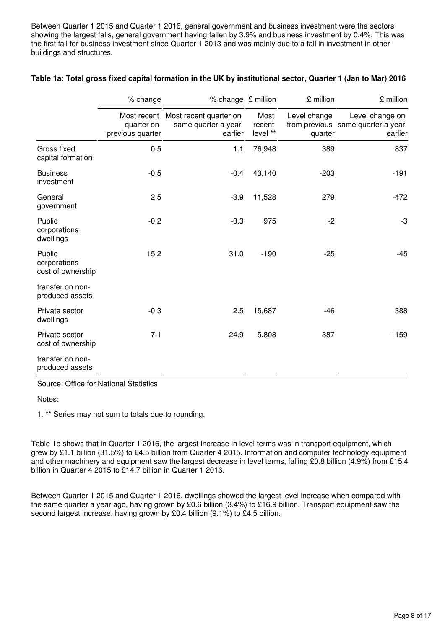Between Quarter 1 2015 and Quarter 1 2016, general government and business investment were the sectors showing the largest falls, general government having fallen by 3.9% and business investment by 0.4%. This was the first fall for business investment since Quarter 1 2013 and was mainly due to a fall in investment in other buildings and structures.

|                                             | % change                       | % change £ million                                                   |                            | £ million               | £ million                                                       |
|---------------------------------------------|--------------------------------|----------------------------------------------------------------------|----------------------------|-------------------------|-----------------------------------------------------------------|
|                                             | quarter on<br>previous quarter | Most recent Most recent quarter on<br>same quarter a year<br>earlier | Most<br>recent<br>level ** | Level change<br>quarter | Level change on<br>from previous same quarter a year<br>earlier |
| Gross fixed<br>capital formation            | 0.5                            | 1.1                                                                  | 76,948                     | 389                     | 837                                                             |
| <b>Business</b><br>investment               | $-0.5$                         | $-0.4$                                                               | 43,140                     | $-203$                  | $-191$                                                          |
| General<br>government                       | 2.5                            | $-3.9$                                                               | 11,528                     | 279                     | $-472$                                                          |
| Public<br>corporations<br>dwellings         | $-0.2$                         | $-0.3$                                                               | 975                        | $-2$                    | -3                                                              |
| Public<br>corporations<br>cost of ownership | 15.2                           | 31.0                                                                 | $-190$                     | $-25$                   | $-45$                                                           |
| transfer on non-<br>produced assets         |                                |                                                                      |                            |                         |                                                                 |
| Private sector<br>dwellings                 | $-0.3$                         | 2.5                                                                  | 15,687                     | -46                     | 388                                                             |
| Private sector<br>cost of ownership         | 7.1                            | 24.9                                                                 | 5,808                      | 387                     | 1159                                                            |
| transfer on non-<br>produced assets         |                                |                                                                      |                            |                         |                                                                 |

#### **Table 1a: Total gross fixed capital formation in the UK by institutional sector, Quarter 1 (Jan to Mar) 2016**

Source: Office for National Statistics

Notes:

1. \*\* Series may not sum to totals due to rounding.

Table 1b shows that in Quarter 1 2016, the largest increase in level terms was in transport equipment, which grew by £1.1 billion (31.5%) to £4.5 billion from Quarter 4 2015. Information and computer technology equipment and other machinery and equipment saw the largest decrease in level terms, falling £0.8 billion (4.9%) from £15.4 billion in Quarter 4 2015 to £14.7 billion in Quarter 1 2016.

Between Quarter 1 2015 and Quarter 1 2016, dwellings showed the largest level increase when compared with the same quarter a year ago, having grown by £0.6 billion (3.4%) to £16.9 billion. Transport equipment saw the second largest increase, having grown by £0.4 billion (9.1%) to £4.5 billion.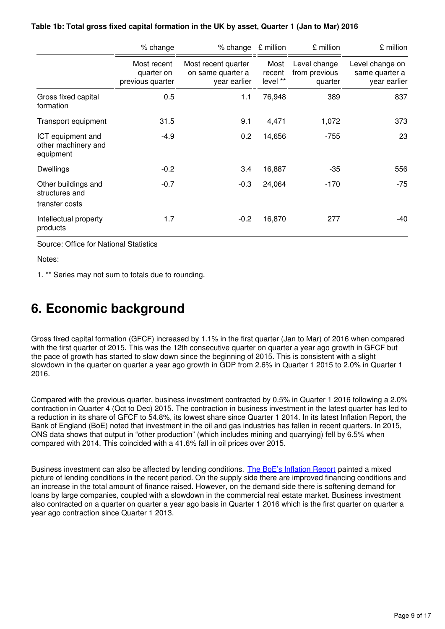|                                                         | % change                                      | % change $\epsilon$ million                              |                            | £ million                                | £ million                                         |
|---------------------------------------------------------|-----------------------------------------------|----------------------------------------------------------|----------------------------|------------------------------------------|---------------------------------------------------|
|                                                         | Most recent<br>quarter on<br>previous quarter | Most recent quarter<br>on same quarter a<br>year earlier | Most<br>recent<br>level ** | Level change<br>from previous<br>quarter | Level change on<br>same quarter a<br>year earlier |
| Gross fixed capital<br>formation                        | 0.5                                           | 1.1                                                      | 76,948                     | 389                                      | 837                                               |
| Transport equipment                                     | 31.5                                          | 9.1                                                      | 4,471                      | 1,072                                    | 373                                               |
| ICT equipment and<br>other machinery and<br>equipment   | $-4.9$                                        | 0.2                                                      | 14,656                     | $-755$                                   | 23                                                |
| <b>Dwellings</b>                                        | $-0.2$                                        | 3.4                                                      | 16,887                     | $-35$                                    | 556                                               |
| Other buildings and<br>structures and<br>transfer costs | $-0.7$                                        | $-0.3$                                                   | 24,064                     | $-170$                                   | -75                                               |
| Intellectual property<br>products                       | 1.7                                           | $-0.2$                                                   | 16,870                     | 277                                      | -40                                               |

#### **Table 1b: Total gross fixed capital formation in the UK by asset, Quarter 1 (Jan to Mar) 2016**

Source: Office for National Statistics

Notes:

1. \*\* Series may not sum to totals due to rounding.

## <span id="page-8-0"></span>**6. Economic background**

Gross fixed capital formation (GFCF) increased by 1.1% in the first quarter (Jan to Mar) of 2016 when compared with the first quarter of 2015. This was the 12th consecutive quarter on quarter a year ago growth in GFCF but the pace of growth has started to slow down since the beginning of 2015. This is consistent with a slight slowdown in the quarter on quarter a year ago growth in GDP from 2.6% in Quarter 1 2015 to 2.0% in Quarter 1 2016.

Compared with the previous quarter, business investment contracted by 0.5% in Quarter 1 2016 following a 2.0% contraction in Quarter 4 (Oct to Dec) 2015. The contraction in business investment in the latest quarter has led to a reduction in its share of GFCF to 54.8%, its lowest share since Quarter 1 2014. In its latest Inflation Report, the Bank of England (BoE) noted that investment in the oil and gas industries has fallen in recent quarters. In 2015, ONS data shows that output in "other production" (which includes mining and quarrying) fell by 6.5% when compared with 2014. This coincided with a 41.6% fall in oil prices over 2015.

Business investment can also be affected by lending conditions. [The BoE's Inflation Report](http://www.bankofengland.co.uk/publications/Pages/inflationreport/2016/feb.aspx) painted a mixed picture of lending conditions in the recent period. On the supply side there are improved financing conditions and an increase in the total amount of finance raised. However, on the demand side there is softening demand for loans by large companies, coupled with a slowdown in the commercial real estate market. Business investment also contracted on a quarter on quarter a year ago basis in Quarter 1 2016 which is the first quarter on quarter a year ago contraction since Quarter 1 2013.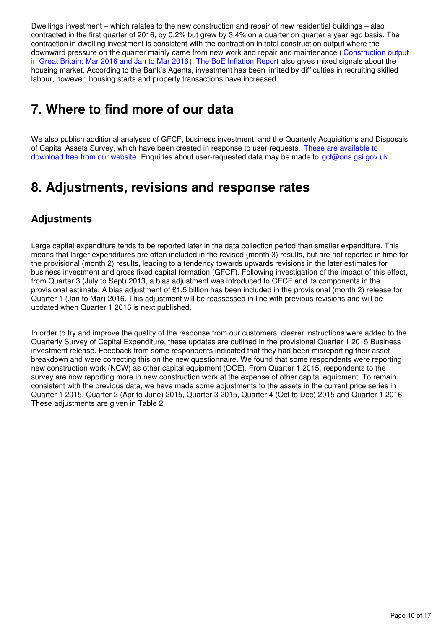Dwellings investment – which relates to the new construction and repair of new residential buildings – also contracted in the first quarter of 2016, by 0.2% but grew by 3.4% on a quarter on quarter a year ago basis. The contraction in dwelling investment is consistent with the contraction in total construction output where the downward pressure on the quarter mainly came from new work and repair and maintenance (Construction output) [in Great Britain: Mar 2016 and Jan to Mar 2016](http://www.ons.gov.uk/businessindustryandtrade/constructionindustry/bulletins/constructionoutputingreatbritain/mar2016andjantomar2016)). [The BoE Inflation Report](http://www.bankofengland.co.uk/publications/Pages/inflationreport/2016/feb.aspx) also gives mixed signals about the housing market. According to the Bank's Agents, investment has been limited by difficulties in recruiting skilled labour, however, housing starts and property transactions have increased.

# <span id="page-9-0"></span>**7. Where to find more of our data**

We also publish additional analyses of GFCF, business investment, and the Quarterly Acquisitions and Disposals of Capital Assets Survey, which have been created in response to user requests. These are available to [download free from our website](https://www.ons.gov.uk/economy/grossdomesticproductgdp/datalist?sortBy=release_date&query=&filter=user_requested_data&fromDate=&toDate=&size=10). Enquiries about user-requested data may be made to gcf@ons.gsi.gov.uk.

## <span id="page-9-1"></span>**8. Adjustments, revisions and response rates**

## **Adjustments**

Large capital expenditure tends to be reported later in the data collection period than smaller expenditure. This means that larger expenditures are often included in the revised (month 3) results, but are not reported in time for the provisional (month 2) results, leading to a tendency towards upwards revisions in the later estimates for business investment and gross fixed capital formation (GFCF). Following investigation of the impact of this effect, from Quarter 3 (July to Sept) 2013, a bias adjustment was introduced to GFCF and its components in the provisional estimate. A bias adjustment of £1.5 billion has been included in the provisional (month 2) release for Quarter 1 (Jan to Mar) 2016. This adjustment will be reassessed in line with previous revisions and will be updated when Quarter 1 2016 is next published.

In order to try and improve the quality of the response from our customers, clearer instructions were added to the Quarterly Survey of Capital Expenditure, these updates are outlined in the provisional Quarter 1 2015 Business investment release. Feedback from some respondents indicated that they had been misreporting their asset breakdown and were correcting this on the new questionnaire. We found that some respondents were reporting new construction work (NCW) as other capital equipment (OCE). From Quarter 1 2015, respondents to the survey are now reporting more in new construction work at the expense of other capital equipment. To remain consistent with the previous data, we have made some adjustments to the assets in the current price series in Quarter 1 2015, Quarter 2 (Apr to June) 2015, Quarter 3 2015, Quarter 4 (Oct to Dec) 2015 and Quarter 1 2016. These adjustments are given in Table 2.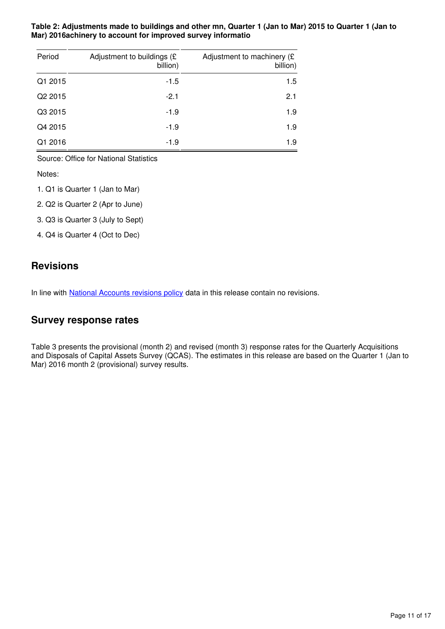#### **Table 2: Adjustments made to buildings and other mn, Quarter 1 (Jan to Mar) 2015 to Quarter 1 (Jan to Mar) 2016achinery to account for improved survey informatio**

| Period  | Adjustment to buildings (£<br>billion) | Adjustment to machinery (£<br>billion) |
|---------|----------------------------------------|----------------------------------------|
| Q1 2015 | $-1.5$                                 | 1.5                                    |
| Q2 2015 | $-2.1$                                 | 2.1                                    |
| Q3 2015 | $-1.9$                                 | 1.9                                    |
| Q4 2015 | $-1.9$                                 | 1.9                                    |
| Q1 2016 | $-1.9$                                 | 1.9                                    |

Source: Office for National Statistics

Notes:

- 1. Q1 is Quarter 1 (Jan to Mar)
- 2. Q2 is Quarter 2 (Apr to June)
- 3. Q3 is Quarter 3 (July to Sept)
- 4. Q4 is Quarter 4 (Oct to Dec)

### **Revisions**

In line with National Accounts revisions policy data in this release contain no revisions.

### **Survey response rates**

Table 3 presents the provisional (month 2) and revised (month 3) response rates for the Quarterly Acquisitions and Disposals of Capital Assets Survey (QCAS). The estimates in this release are based on the Quarter 1 (Jan to Mar) 2016 month 2 (provisional) survey results.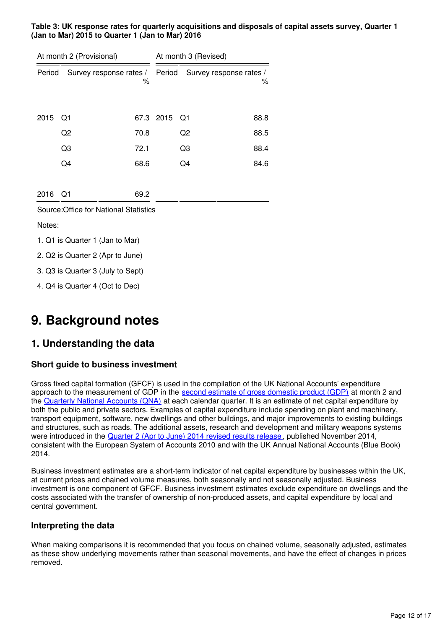**Table 3: UK response rates for quarterly acquisitions and disposals of capital assets survey, Quarter 1 (Jan to Mar) 2015 to Quarter 1 (Jan to Mar) 2016**

|        | At month 2 (Provisional)               |      |           | At month 3 (Revised)           |      |
|--------|----------------------------------------|------|-----------|--------------------------------|------|
| Period | Survey response rates /                | %    |           | Period Survey response rates / | %    |
| 2015   | Q1                                     |      | 67.3 2015 | Q1                             | 88.8 |
|        | Q2                                     | 70.8 |           | Q <sub>2</sub>                 | 88.5 |
|        | Q3                                     | 72.1 |           | Q3                             | 88.4 |
|        | Q4                                     | 68.6 |           | Q4                             | 84.6 |
| 2016   | Q1                                     | 69.2 |           |                                |      |
|        | Source: Office for National Statistics |      |           |                                |      |
| Notes: |                                        |      |           |                                |      |
|        | 1. Q1 is Quarter 1 (Jan to Mar)        |      |           |                                |      |
|        | 2. Q2 is Quarter 2 (Apr to June)       |      |           |                                |      |
|        | 3. Q3 is Quarter 3 (July to Sept)      |      |           |                                |      |
|        | 4. Q4 is Quarter 4 (Oct to Dec)        |      |           |                                |      |

## **9. Background notes**

## **1. Understanding the data**

#### **Short guide to business investment**

Gross fixed capital formation (GFCF) is used in the compilation of the UK National Accounts' expenditure approach to the measurement of GDP in the [second estimate of gross domestic product \(GDP\)](http://www.ons.gov.uk/ons/rel/naa2/second-estimate-of-gdp/index.html) at month 2 and the [Quarterly National Accounts \(QNA\)](http://www.ons.gov.uk/economy/grossdomesticproductgdp/bulletins/quarterlynationalaccounts/previousReleases) at each calendar quarter. It is an estimate of net capital expenditure by both the public and private sectors. Examples of capital expenditure include spending on plant and machinery, transport equipment, software, new dwellings and other buildings, and major improvements to existing buildings and structures, such as roads. The additional assets, research and development and military weapons systems were introduced in the [Quarter 2 \(Apr to June\) 2014 revised results release](http://www.ons.gov.uk/ons/rel/bus-invest/business-investment/q2-2014-revised-results/index.html), published November 2014, consistent with the European System of Accounts 2010 and with the UK Annual National Accounts (Blue Book) 2014.

Business investment estimates are a short-term indicator of net capital expenditure by businesses within the UK, at current prices and chained volume measures, both seasonally and not seasonally adjusted. Business investment is one component of GFCF. Business investment estimates exclude expenditure on dwellings and the costs associated with the transfer of ownership of non-produced assets, and capital expenditure by local and central government.

#### **Interpreting the data**

When making comparisons it is recommended that you focus on chained volume, seasonally adjusted, estimates as these show underlying movements rather than seasonal movements, and have the effect of changes in prices removed.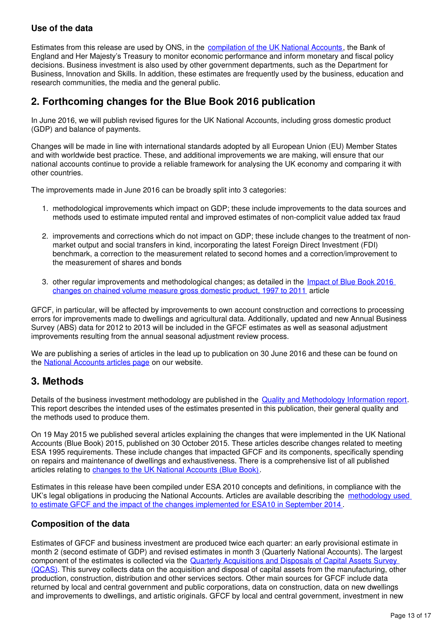#### **Use of the data**

Estimates from this release are used by ONS, in the [compilation of the UK National Accounts,](http://www.ons.gov.uk/economy/nationalaccounts/uksectoraccounts/methodologies/nationalaccounts) the Bank of England and Her Majesty's Treasury to monitor economic performance and inform monetary and fiscal policy decisions. Business investment is also used by other government departments, such as the Department for Business, Innovation and Skills. In addition, these estimates are frequently used by the business, education and research communities, the media and the general public.

### **2. Forthcoming changes for the Blue Book 2016 publication**

In June 2016, we will publish revised figures for the UK National Accounts, including gross domestic product (GDP) and balance of payments.

Changes will be made in line with international standards adopted by all European Union (EU) Member States and with worldwide best practice. These, and additional improvements we are making, will ensure that our national accounts continue to provide a reliable framework for analysing the UK economy and comparing it with other countries.

The improvements made in June 2016 can be broadly split into 3 categories:

- 1. methodological improvements which impact on GDP; these include improvements to the data sources and methods used to estimate imputed rental and improved estimates of non-complicit value added tax fraud
- 2. improvements and corrections which do not impact on GDP; these include changes to the treatment of nonmarket output and social transfers in kind, incorporating the latest Foreign Direct Investment (FDI) benchmark, a correction to the measurement related to second homes and a correction/improvement to the measurement of shares and bonds
- 3. other regular improvements and methodological changes; as detailed in the Impact of Blue Book 2016 [changes on chained volume measure gross domestic product, 1997 to 2011](http://www.ons.gov.uk/economy/nationalaccounts/uksectoraccounts/articles/nationalaccountsarticles/impactofbluebook2016changesonchainedvolumemeasuregrossdomesticproductestimates1997to2011) article

GFCF, in particular, will be affected by improvements to own account construction and corrections to processing errors for improvements made to dwellings and agricultural data. Additionally, updated and new Annual Business Survey (ABS) data for 2012 to 2013 will be included in the GFCF estimates as well as seasonal adjustment improvements resulting from the annual seasonal adjustment review process.

We are publishing a series of articles in the lead up to publication on 30 June 2016 and these can be found on the **National Accounts articles page** on our website.

### **3. Methods**

Details of the business investment methodology are published in the [Quality and Methodology Information report.](http://www.ons.gov.uk/economy/investmentspensionsandtrusts/qmis/businessinvestmentqmi) This report describes the intended uses of the estimates presented in this publication, their general quality and the methods used to produce them.

On 19 May 2015 we published several articles explaining the changes that were implemented in the UK National Accounts (Blue Book) 2015, published on 30 October 2015. These articles describe changes related to meeting ESA 1995 requirements. These include changes that impacted GFCF and its components, specifically spending on repairs and maintenance of dwellings and exhaustiveness. There is a comprehensive list of all published articles relating to [changes to the UK National Accounts \(Blue Book\)](http://webarchive.nationalarchives.gov.uk/20160105160709/http:/www.ons.gov.uk/ons/guide-method/method-quality/specific/economy/national-accounts/methodology-and-articles/2011-present/index.html).

Estimates in this release have been compiled under ESA 2010 concepts and definitions, in compliance with the UK's legal obligations in producing the National Accounts. Articles are available describing the [methodology used](http://webarchive.nationalarchives.gov.uk/20160105160709/http:/www.ons.gov.uk/ons/guide-method/method-quality/specific/economy/national-accounts/methodology-and-articles/2011-present/index.html)  [to estimate GFCF and the impact of the changes implemented for ESA10 in September 2014](http://webarchive.nationalarchives.gov.uk/20160105160709/http:/www.ons.gov.uk/ons/guide-method/method-quality/specific/economy/national-accounts/methodology-and-articles/2011-present/index.html) .

#### **Composition of the data**

Estimates of GFCF and business investment are produced twice each quarter: an early provisional estimate in month 2 (second estimate of GDP) and revised estimates in month 3 (Quarterly National Accounts). The largest component of the estimates is collected via the [Quarterly Acquisitions and Disposals of Capital Assets Survey](http://www.ons.gov.uk/surveys/informationforbusinesses/businesssurveys/quarterlyacquisitionsanddisposalsofcapitalassetssurvey)  [\(QCAS\)](http://www.ons.gov.uk/surveys/informationforbusinesses/businesssurveys/quarterlyacquisitionsanddisposalsofcapitalassetssurvey). This survey collects data on the acquisition and disposal of capital assets from the manufacturing, other production, construction, distribution and other services sectors. Other main sources for GFCF include data returned by local and central government and public corporations, data on construction, data on new dwellings and improvements to dwellings, and artistic originals. GFCF by local and central government, investment in new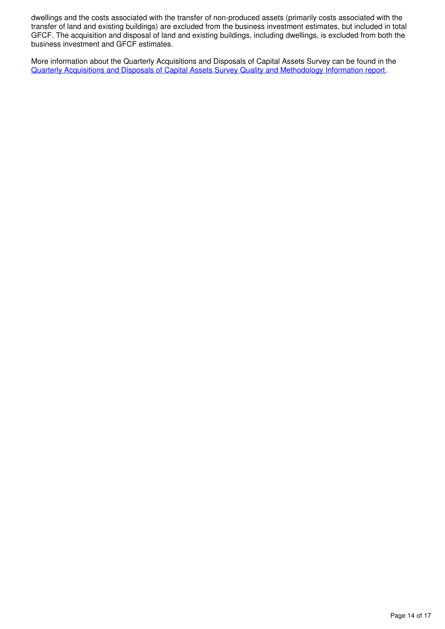dwellings and the costs associated with the transfer of non-produced assets (primarily costs associated with the transfer of land and existing buildings) are excluded from the business investment estimates, but included in total GFCF. The acquisition and disposal of land and existing buildings, including dwellings, is excluded from both the business investment and GFCF estimates.

More information about the Quarterly Acquisitions and Disposals of Capital Assets Survey can be found in the [Quarterly Acquisitions and Disposals of Capital Assets Survey Quality and Methodology Information report](http://www.ons.gov.uk/economy/grossdomesticproductgdp/qmis/quarterlyacquisitionsanddisposalsofcapitalassetssurveyqmi).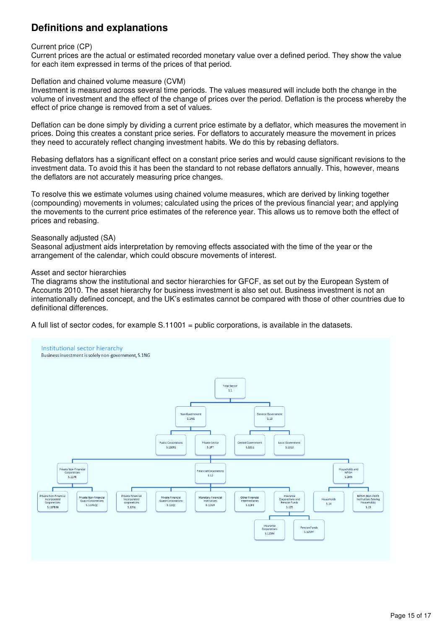## **Definitions and explanations**

#### Current price (CP)

Current prices are the actual or estimated recorded monetary value over a defined period. They show the value for each item expressed in terms of the prices of that period.

#### Deflation and chained volume measure (CVM)

Investment is measured across several time periods. The values measured will include both the change in the volume of investment and the effect of the change of prices over the period. Deflation is the process whereby the effect of price change is removed from a set of values.

Deflation can be done simply by dividing a current price estimate by a deflator, which measures the movement in prices. Doing this creates a constant price series. For deflators to accurately measure the movement in prices they need to accurately reflect changing investment habits. We do this by rebasing deflators.

Rebasing deflators has a significant effect on a constant price series and would cause significant revisions to the investment data. To avoid this it has been the standard to not rebase deflators annually. This, however, means the deflators are not accurately measuring price changes.

To resolve this we estimate volumes using chained volume measures, which are derived by linking together (compounding) movements in volumes; calculated using the prices of the previous financial year; and applying the movements to the current price estimates of the reference year. This allows us to remove both the effect of prices and rebasing.

#### Seasonally adjusted (SA)

Seasonal adjustment aids interpretation by removing effects associated with the time of the year or the arrangement of the calendar, which could obscure movements of interest.

#### Asset and sector hierarchies

The diagrams show the institutional and sector hierarchies for GFCF, as set out by the European System of Accounts 2010. The asset hierarchy for business investment is also set out. Business investment is not an internationally defined concept, and the UK's estimates cannot be compared with those of other countries due to definitional differences.

A full list of sector codes, for example S.11001 = public corporations, is available in the datasets.

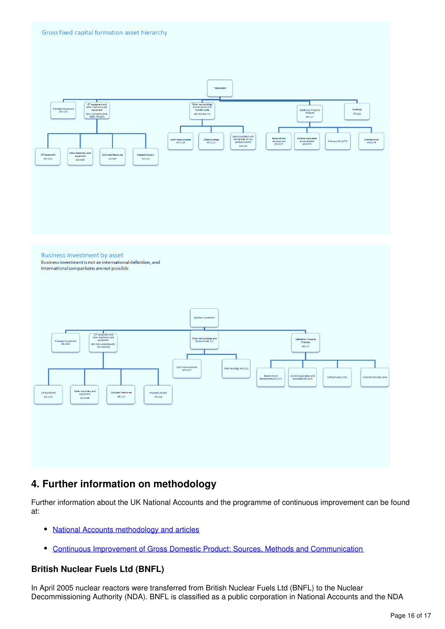

## **4. Further information on methodology**

Further information about the UK National Accounts and the programme of continuous improvement can be found at:

- [National Accounts methodology and articles](http://www.ons.gov.uk/ons/guide-method/method-quality/specific/economy/national-accounts/articles/index.html)
- [Continuous Improvement of Gross Domestic Product: Sources, Methods and Communication](http://www.ons.gov.uk/ons/guide-method/method-quality/ons-statistical-continuous-improvement/continuous-improvement-of-gross-domestic-product/index.html)

#### **British Nuclear Fuels Ltd (BNFL)**

In April 2005 nuclear reactors were transferred from British Nuclear Fuels Ltd (BNFL) to the Nuclear Decommissioning Authority (NDA). BNFL is classified as a public corporation in National Accounts and the NDA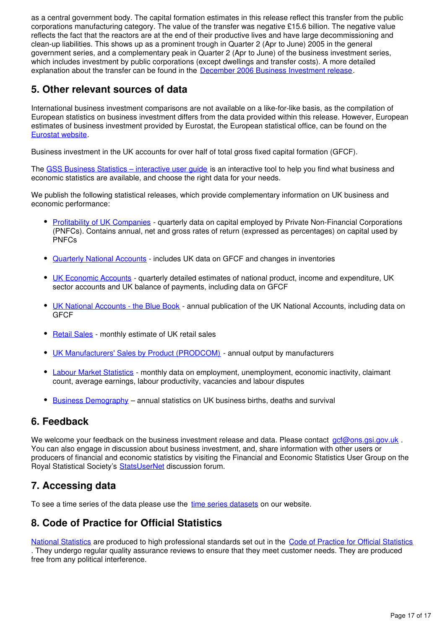as a central government body. The capital formation estimates in this release reflect this transfer from the public corporations manufacturing category. The value of the transfer was negative £15.6 billion. The negative value reflects the fact that the reactors are at the end of their productive lives and have large decommissioning and clean-up liabilities. This shows up as a prominent trough in Quarter 2 (Apr to June) 2005 in the general government series, and a complementary peak in Quarter 2 (Apr to June) of the business investment series, which includes investment by public corporations (except dwellings and transfer costs). A more detailed explanation about the transfer can be found in the [December 2006 Business Investment release](http://webarchive.nationalarchives.gov.uk/20160105160709/http:/www.ons.gov.uk/ons/rel/bus-invest/business-investment/q3-2006---revised-results/index.html).

## **5. Other relevant sources of data**

International business investment comparisons are not available on a like-for-like basis, as the compilation of European statistics on business investment differs from the data provided within this release. However, European estimates of business investment provided by Eurostat, the European statistical office, can be found on the [Eurostat website.](http://ec.europa.eu/eurostat)

Business investment in the UK accounts for over half of total gross fixed capital formation (GFCF).

The [GSS Business Statistics – interactive user guide](http://www.ons.gov.uk/ons/guide-method/understanding-ons-statistics/business-statistics---interactive-user-guide/index.html) is an interactive tool to help you find what business and economic statistics are available, and choose the right data for your needs.

We publish the following statistical releases, which provide complementary information on UK business and economic performance:

- [Profitability of UK Companies](http://www.ons.gov.uk/ons/rel/pnfc2/profitability-of-uk-companies/index.html) quarterly data on capital employed by Private Non-Financial Corporations (PNFCs). Contains annual, net and gross rates of return (expressed as percentages) on capital used by PNFCs
- [Quarterly National Accounts](http://www.ons.gov.uk/ons/rel/naa2/quarterly-national-accounts/index.html) includes UK data on GFCF and changes in inventories
- [UK Economic Accounts](http://www.ons.gov.uk/ons/rel/naa1-rd/united-kingdom-economic-accounts/index.html) quarterly detailed estimates of national product, income and expenditure, UK sector accounts and UK balance of payments, including data on GFCF
- [UK National Accounts the Blue Book](http://www.ons.gov.uk/ons/rel/naa1-rd/united-kingdom-national-accounts/index.html) annual publication of the UK National Accounts, including data on **GFCF**
- [Retail Sales](http://www.ons.gov.uk/ons/rel/rsi/retail-sales/index.html)  monthly estimate of UK retail sales
- [UK Manufacturers' Sales by Product \(PRODCOM\)](http://www.ons.gov.uk/ons/rel/prodcom/prodcom-intermediate-results/index.html)  annual output by manufacturers
- [Labour Market Statistics](http://www.ons.gov.uk/ons/rel/lms/labour-market-statistics/index.html) monthly data on employment, unemployment, economic inactivity, claimant count, average earnings, labour productivity, vacancies and labour disputes
- **[Business Demography](http://www.ons.gov.uk/ons/rel/bus-register/business-demography/index.html)** annual statistics on UK business births, deaths and survival

### **6. Feedback**

We welcome your feedback on the business investment release and data. Please contact  $\alpha$ cf@ons.gsi.gov.uk You can also engage in discussion about business investment, and, share information with other users or producers of financial and economic statistics by visiting the Financial and Economic Statistics User Group on the Royal Statistical Society's **StatsUserNet** discussion forum.

## **7. Accessing data**

To see a time series of the data please use the time series datasets on our website.

## **8. Code of Practice for Official Statistics**

[National Statistics](https://www.statisticsauthority.gov.uk/national-statistician/types-of-official-statistics/) are produced to high professional standards set out in the [Code of Practice for Official Statistics](https://www.statisticsauthority.gov.uk/monitoring-and-assessment/code-of-practice/) . They undergo regular quality assurance reviews to ensure that they meet customer needs. They are produced free from any political interference.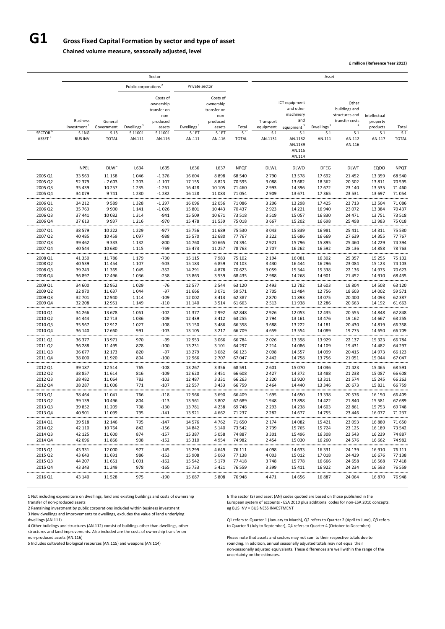# **G1 Gross Fixed Capital Formation by sector and type of asset**

**Chained volume measure, seasonally adjusted, level**

**£ million (Reference Year 2012)**

1 Not including expenditure on dwellings, land and existing buildings and costs of ownership 6 The sector (S) and asset (AN) codes quoted are based on those published in the transfer of non-produced assets **EURO EURO EN 2010** concepts.

|                                           |                                                                       |                                               |                                             | Sector                                                                                  |                                           |                                                                                       |                              |                                          |                                                                                                                           | Asset                          |                                                                                                         |                                                       |                              |
|-------------------------------------------|-----------------------------------------------------------------------|-----------------------------------------------|---------------------------------------------|-----------------------------------------------------------------------------------------|-------------------------------------------|---------------------------------------------------------------------------------------|------------------------------|------------------------------------------|---------------------------------------------------------------------------------------------------------------------------|--------------------------------|---------------------------------------------------------------------------------------------------------|-------------------------------------------------------|------------------------------|
|                                           |                                                                       |                                               | Public corporations <sup>2</sup>            |                                                                                         | Private sector                            |                                                                                       |                              |                                          |                                                                                                                           |                                |                                                                                                         |                                                       |                              |
| SECTOR <sup>6</sup><br>ASSET <sup>6</sup> | <b>Business</b><br>investment <sup>1</sup><br>S.1NG<br><b>BUS INV</b> | General<br>Government<br>S.13<br><b>TOTAL</b> | Dwellings <sup>3</sup><br>S.11001<br>AN.111 | Costs of<br>ownership<br>transfer on<br>non-<br>produced<br>assets<br>S.11001<br>AN.116 | Dwellings <sup>3</sup><br>S.1PT<br>AN.111 | Costs of<br>ownership<br>transfer on<br>non-<br>produced<br>assets<br>S.1PT<br>AN.116 | Total<br>S.1<br><b>TOTAL</b> | Transport<br>equipment<br>S.1<br>AN.1131 | ICT equipment<br>and other<br>machinery<br>and<br>equipment <sup>5</sup><br>S.1<br>AN.1132<br>AN.1139<br>AN.115<br>AN.114 | Dwellings $3$<br>S.1<br>AN.111 | Other<br>buildings and<br>structures and<br>transfer costs<br>$\overline{4}$<br>S.1<br>AN.112<br>AN.116 | Intellectual<br>property<br>products<br>S.1<br>AN.117 | Total<br>S.1<br><b>TOTAL</b> |
|                                           | <b>NPEL</b>                                                           | <b>DLWF</b>                                   | L634                                        | L635                                                                                    | L636                                      | L637                                                                                  | <b>NPQT</b>                  | <b>DLWL</b>                              | <b>DLWO</b>                                                                                                               | <b>DFEG</b>                    | <b>DLWT</b>                                                                                             | EQDO                                                  | <b>NPQT</b>                  |
|                                           |                                                                       |                                               |                                             |                                                                                         |                                           |                                                                                       |                              |                                          |                                                                                                                           |                                |                                                                                                         |                                                       |                              |
| 2005 Q1<br>2005 Q2                        | 33 563<br>52 379                                                      | 11 158<br>$-7603$                             | 1046<br>1 2 0 3                             | $-1376$<br>$-1107$                                                                      | 16 604<br>17 155                          | 8898<br>8823                                                                          | 68 540<br>70 595             | 2 7 9 0<br>3 0 8 8                       | 13 5 78<br>13 682                                                                                                         | 17692<br>18 3 62               | 21 4 52<br>20 502                                                                                       | 13 3 5 9<br>13811                                     | 68 540<br>70 595             |
| 2005 Q3                                   | 35 4 39                                                               | 10 257                                        | 1 2 3 5                                     | $-1261$                                                                                 | 16 4 28                                   | 10 10 5                                                                               | 71 460                       | 2 9 9 3                                  | 14 3 96                                                                                                                   | 17672                          | 23 140                                                                                                  | 13 5 35                                               | 71 460                       |
| 2005 Q4                                   | 34 0 79                                                               | 9741                                          | 1 2 3 0                                     | $-1282$                                                                                 | 16 128                                    | 11083                                                                                 | 71 0 54                      | 2 9 0 9                                  | 13 671                                                                                                                    | 17 3 65                        | 23 5 31                                                                                                 | 13 697                                                | 71 0 54                      |
|                                           |                                                                       |                                               |                                             |                                                                                         |                                           |                                                                                       |                              |                                          |                                                                                                                           |                                |                                                                                                         |                                                       |                              |
| 2006 Q1                                   | 34 212<br>35 763                                                      | 9589                                          | 1 3 2 8                                     | $-1297$                                                                                 | 16 096                                    | 12 0 56                                                                               | 71 086<br>70 437             | 3 2 0 6                                  | 13 298                                                                                                                    | 17425                          | 23 713                                                                                                  | 13 5 04                                               | 71 086                       |
| 2006 Q2<br>2006 Q3                        | 37 441                                                                | 9 9 0 0<br>10 082                             | 1 1 4 1<br>1 3 1 4                          | $-1026$<br>$-941$                                                                       | 15 801<br>15 509                          | 10 4 43<br>10 671                                                                     | 73 518                       | 2923<br>3519                             | 14 2 2 1<br>15 0 57                                                                                                       | 16 940<br>16830                | 23 072<br>24 471                                                                                        | 13 3 8 4<br>13751                                     | 70 437<br>73 518             |
| 2006 Q4                                   | 37 613                                                                | 9937                                          | 1 2 1 6                                     | $-970$                                                                                  | 15 4 78                                   | 11 5 3 9                                                                              | 75 018                       | 3667                                     | 15 202                                                                                                                    | 16 698                         | 25 4 98                                                                                                 | 13 983                                                | 75 018                       |
|                                           |                                                                       |                                               |                                             |                                                                                         |                                           |                                                                                       |                              |                                          |                                                                                                                           |                                |                                                                                                         |                                                       |                              |
| 2007 Q1<br>2007 Q2                        | 38 579<br>40 4 85                                                     | 10 222<br>10 4 5 9                            | 1 2 2 9<br>1097                             | $-977$<br>$-988$                                                                        | 15 7 5 6<br>15 5 70                       | 11 689<br>12 680                                                                      | 75 530<br>77 767             | 3 0 4 3<br>3 2 2 2                       | 15 8 39<br>15 686                                                                                                         | 16 981<br>16 669               | 25 411<br>27 639                                                                                        | 14 3 11<br>14 3 5 5                                   | 75 530<br>77 767             |
| 2007 Q3                                   | 39 4 62                                                               | 9333                                          | 1 1 3 2                                     | $-800$                                                                                  | 14 760                                    | 10 6 65                                                                               | 74 394                       | 2921                                     | 15 7 96                                                                                                                   | 15 8 95                        | 25 4 60                                                                                                 | 14 2 29                                               | 74 394                       |
| 2007 Q4                                   | 40 544                                                                | 10 680                                        | 1 1 1 5                                     | $-769$                                                                                  | 15 4 73                                   | 11 257                                                                                | 78 763                       | 2 7 0 7                                  | 16 26 2                                                                                                                   | 16 5 92                        | 28 136                                                                                                  | 14858                                                 | 78 763                       |
|                                           |                                                                       |                                               |                                             |                                                                                         |                                           |                                                                                       |                              |                                          |                                                                                                                           |                                |                                                                                                         |                                                       |                              |
| 2008 Q1                                   | 41 3 50                                                               | 11786                                         | 1 1 7 9                                     | $-730$                                                                                  | 15 115                                    | 7983                                                                                  | 75 102                       | 2 1 9 4                                  | 16 081                                                                                                                    | 16 302                         | 25 357                                                                                                  | 15 2 5 5                                              | 75 102                       |
| 2008 Q2<br>2008 Q3                        | 40 539<br>39 24 3                                                     | 11 4 5 4<br>11 3 65                           | 1 1 0 7<br>1045                             | $-503$<br>$-352$                                                                        | 15 183<br>14 291                          | 6859<br>4878                                                                          | 74 103<br>70 623             | 3 4 3 0<br>3 0 5 9                       | 16 4 44<br>15 3 44                                                                                                        | 16 29 6<br>15 3 38             | 23 0 84<br>22 136                                                                                       | 15 1 23<br>14 9 75                                    | 74 103<br>70 623             |
| 2008 Q4                                   | 36 897                                                                | 12 4 9 6                                      | 1036                                        | $-258$                                                                                  | 13 863                                    | 3 5 3 9                                                                               | 68 4 35                      | 2988                                     | 14 2 68                                                                                                                   | 14 901                         | 21 4 52                                                                                                 | 14 9 10                                               | 68 4 35                      |
|                                           |                                                                       |                                               |                                             |                                                                                         |                                           |                                                                                       |                              |                                          |                                                                                                                           |                                |                                                                                                         |                                                       |                              |
| 2009 Q1                                   | 34 600                                                                | 12 9 52                                       | 1029                                        | $-76$                                                                                   | 12 577                                    | 2 5 4 4                                                                               | 63 1 20                      | 2 4 9 3                                  | 12 782                                                                                                                    | 13 603                         | 19 804                                                                                                  | 14 508                                                | 63 120                       |
| 2009 Q2<br>2009 Q3                        | 32 970<br>32 701                                                      | 11 637                                        | 1044                                        | $-97$                                                                                   | 11 666                                    | 3 0 7 1                                                                               | 59 571<br>62 387             | 2 7 0 5<br>2870                          | 11 4 8 4                                                                                                                  | 12756<br>13 0 75               | 18 603                                                                                                  | 14 002                                                | 59 571<br>62 387             |
| 2009 Q4                                   | 32 208                                                                | 12 940<br>12 9 51                             | 1 1 1 4<br>1 1 4 9                          | $-109$<br>$-110$                                                                        | 12 002<br>11 140                          | 3 4 1 3<br>3 5 1 4                                                                    | 61 663                       | 2 5 1 3                                  | 11893<br>11938                                                                                                            | 12 2 8 6                       | 20 400<br>20 663                                                                                        | 14 093<br>14 192                                      | 61 663                       |
|                                           |                                                                       |                                               |                                             |                                                                                         |                                           |                                                                                       |                              |                                          |                                                                                                                           |                                |                                                                                                         |                                                       |                              |
| 2010 Q1                                   | 34 266                                                                | 13678                                         | 1061                                        | $-102$                                                                                  | 11 377                                    | 2 9 9 2                                                                               | 62 848                       | 2926                                     | 12 0 53                                                                                                                   | 12 4 35                        | 20 555                                                                                                  | 14 8 48                                               | 62 848                       |
| 2010 Q2                                   | 34 4 44                                                               | 12 713                                        | 1036                                        | $-109$                                                                                  | 12 4 39                                   | 3 4 1 2                                                                               | 63 255                       | 2 7 9 4                                  | 13 16 1                                                                                                                   | 13 4 7 6                       | 19 162                                                                                                  | 14 6 67                                               | 63 255                       |
| 2010 Q3<br>2010 Q4                        | 35 567<br>36 140                                                      | 12 912<br>12 660                              | 1027<br>991                                 | $-108$<br>$-103$                                                                        | 13 150<br>13 10 5                         | 3 4 8 6<br>3 2 1 7                                                                    | 66 358<br>66 709             | 3688<br>4659                             | 13 222<br>13 5 5 4                                                                                                        | 14 181<br>14 089               | 20 4 30<br>19 775                                                                                       | 14 8 19<br>14 650                                     | 66 358<br>66 709             |
|                                           |                                                                       |                                               |                                             |                                                                                         |                                           |                                                                                       |                              |                                          |                                                                                                                           |                                |                                                                                                         |                                                       |                              |
| 2011 Q1                                   | 36 377                                                                | 13 971                                        | 970                                         | -99                                                                                     | 12 9 53                                   | 3 0 6 6                                                                               | 66 784                       | 2026                                     | 13 3 98                                                                                                                   | 13 9 29                        | 22 137                                                                                                  | 15 3 23                                               | 66 784                       |
| 2011 Q2                                   | 36 288                                                                | 11 4 95                                       | 878                                         | $-100$                                                                                  | 13 2 31                                   | 3 1 0 1                                                                               | 64 297                       | 2 2 1 4                                  | 14 0 86                                                                                                                   | 14 109                         | 19 4 31                                                                                                 | 14 4 82                                               | 64 297                       |
| 2011 Q3                                   | 36 677                                                                | 12 173                                        | 820                                         | $-97$<br>$-100$                                                                         | 13 279                                    | 3 0 8 2                                                                               | 66 123                       | 2098                                     | 14 5 57                                                                                                                   | 14 099                         | 20 4 15                                                                                                 | 14 973                                                | 66 123                       |
| 2011 Q4                                   | 38 000                                                                | 11920                                         | 804                                         |                                                                                         | 12 9 66                                   | 2 7 0 7                                                                               | 67 047                       | 2 4 4 2                                  | 14 7 58                                                                                                                   | 13756                          | 21 0 51                                                                                                 | 15 044                                                | 67 047                       |
| 2012 Q1                                   | 39 187                                                                | 12 5 14                                       | 765                                         | $-108$                                                                                  | 13 267                                    | 3 3 5 6                                                                               | 68 591                       | 2 601                                    | 15 0 70                                                                                                                   | 14 0 36                        | 21 4 23                                                                                                 | 15 4 65                                               | 68 591                       |
| 2012 Q2                                   | 38 857                                                                | 11 6 14                                       | 816                                         | $-109$                                                                                  | 12 6 20                                   | 3 4 5 1                                                                               | 66 608                       | 2 4 2 7                                  | 14 372                                                                                                                    | 13 4 88                        | 21 238                                                                                                  | 15 0 87                                               | 66 608                       |
| 2012 Q3                                   | 38 4 82                                                               | 11 0 64                                       | 783                                         | $-103$                                                                                  | 12 4 8 7                                  | 3 3 3 1                                                                               | 66 263                       | 2 2 2 0                                  | 13 9 20                                                                                                                   | 13 3 11                        | 21 5 7 4                                                                                                | 15 2 45                                               | 66 263                       |
| 2012 Q4                                   | 38 287                                                                | 11 006                                        | 771                                         | $-107$                                                                                  | 12 5 5 7                                  | 3 4 3 3                                                                               | 66 759                       | 2 4 6 4                                  | 14 440                                                                                                                    | 13 3 46                        | 20 673                                                                                                  | 15 8 21                                               | 66 759                       |
| 2013 Q1                                   | 38 4 64                                                               | 11 041                                        | 766                                         | $-118$                                                                                  | 12 5 6 6                                  | 3690                                                                                  | 66 409                       | 1 6 9 5                                  | 14 650                                                                                                                    | 13 3 38                        | 20 576                                                                                                  | 16 150                                                | 66 409                       |
| 2013 Q2                                   | 39 139                                                                | 10 4 9 6                                      | 804                                         | $-113$                                                                                  | 13 5 61                                   | 3 8 0 2                                                                               | 67 689                       | 1948                                     | 13898                                                                                                                     | 14 4 22                        | 21 840                                                                                                  | 15 5 8 1                                              | 67 689                       |
| 2013 Q3                                   | 39 852                                                                | 11 209                                        | 798                                         | $-130$                                                                                  | 13781                                     | 4 2 3 8                                                                               | 69748                        | 2 2 9 3                                  | 14 2 38                                                                                                                   | 14 603                         | 22 861                                                                                                  | 15 7 53                                               | 69 748                       |
| 2013 Q4                                   | 40 901                                                                | 11 0 99                                       | 795                                         | $-141$                                                                                  | 13 9 21                                   | 4 6 6 2                                                                               | 71 237                       | 2 2 8 2                                  | 14 677                                                                                                                    | 14 7 55                        | 23 446                                                                                                  | 16 077                                                | 71 237                       |
| 2014 Q1                                   | 39 5 18                                                               | 12 14 6                                       | 795                                         | $-147$                                                                                  | 14 5 7 6                                  | 4762                                                                                  | 71 650                       | 2 1 7 4                                  | 14 082                                                                                                                    | 15 4 21                        | 23 093                                                                                                  | 16 8 80                                               | 71 650                       |
| 2014 Q2                                   | 42 110                                                                | 10764                                         | 842                                         | $-156$                                                                                  | 14 842                                    | 5 1 4 0                                                                               | 73 542                       | 2739                                     | 15 7 65                                                                                                                   | 15 7 24                        | 23 1 25                                                                                                 | 16 189                                                | 73 542                       |
| 2014 Q3                                   | 42 125                                                                | 11 600                                        | 874                                         | $-157$                                                                                  | 15 3 87                                   | 5 0 5 8                                                                               | 74 887                       | 3 3 0 1                                  | 15 4 9 6                                                                                                                  | 16 308                         | 23 543                                                                                                  | 16 239                                                | 74 887                       |
| 2014 Q4                                   | 42 096                                                                | 11866                                         | 908                                         | $-152$                                                                                  | 15 3 10                                   | 4954                                                                                  | 74 982                       | 2 4 5 4                                  | 15 0 30                                                                                                                   | 16 260                         | 24 5 7 6                                                                                                | 16 662                                                | 74 982                       |
| 2015 Q1                                   | 43 3 3 1                                                              | 12 000                                        | 977                                         | $-145$                                                                                  | 15 299                                    | 4 6 4 9                                                                               | 76 111                       | 4 0 9 8                                  | 14 6 33                                                                                                                   | 16 3 31                        | 24 139                                                                                                  | 16 910                                                | 76 111                       |
| 2015 Q2                                   | 43 643                                                                | 11 691                                        | 986                                         | $-153$                                                                                  | 15 908                                    | 5 0 6 3                                                                               | 77 138                       | 4 0 0 3                                  | 15 012                                                                                                                    | 17018                          | 24 4 29                                                                                                 | 16 676                                                | 77 138                       |
| 2015 Q3                                   | 44 207                                                                | 11 651                                        | 1 0 0 1                                     | $-162$                                                                                  | 15 5 42                                   | 5 1 7 9                                                                               | 77 418                       | 3748                                     | 15 7 78                                                                                                                   | 16 6 66                        | 24 658                                                                                                  | 16 5 68                                               | 77418                        |
| 2015 Q4                                   | 43 343                                                                | 11 249                                        | 978                                         | $-165$                                                                                  | 15 7 33                                   | 5 4 2 1                                                                               | 76 559                       | 3 3 9 9                                  | 15 4 11                                                                                                                   | 16922                          | 24 2 34                                                                                                 | 16 5 93                                               | 76 559                       |

2016 Q1 43 140 11 528 975 ‐190 15 687 5 808 76 948 4 471 14 656 16 887 24 064 16 870 76 948

2 Remaining investment by public corporations included within business investment eg BUS INV = BUSINESS INVESTMENT

3 New dwellings and improvements to dwellings, excludes the value of land underlying dwellings (AN.111) Q1 refers to Quarter 1 (January to March), Q2 refers to Quarter 2 (April to June), Q3 refers

structures and land improvements. Also included are the costs of ownership transfer on non‐produced assets (AN.116) Please note that assets and sectors may not sum to their respective totals due to

4 Other buildings and structures (AN.112) consist of buildings other than dwellings, other the to Quarter 3 (July to September), Q4 refers to Quarter 4 (October to December)

5 Includes cultivated biological resources (AN.115) and weapons (AN.114) rounding. In addition, annual seasonally adjusted totals may not equal their non‐seasonally adjusted equivalents. These differences are well within the range of the uncertainty on the estimates.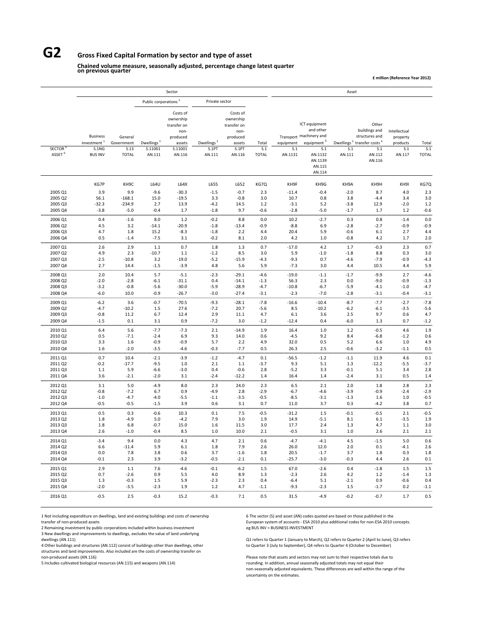## **G2 Gross Fixed Capital Formation by sector and type of asset**

### **Chained volume measure, seasonally adjusted, percentage change latest quarter on previous quarter**

**£ million (Reference Year 2012)**

|                                     |                                                                       |                                               |                                             | Sector                                                                                  |                                           |                                                                                       |                              |                             |                                                                                                                        | Asset                                   |                                                                                                    |                                                       |                              |
|-------------------------------------|-----------------------------------------------------------------------|-----------------------------------------------|---------------------------------------------|-----------------------------------------------------------------------------------------|-------------------------------------------|---------------------------------------------------------------------------------------|------------------------------|-----------------------------|------------------------------------------------------------------------------------------------------------------------|-----------------------------------------|----------------------------------------------------------------------------------------------------|-------------------------------------------------------|------------------------------|
|                                     |                                                                       |                                               | Public corporations <sup>2</sup>            |                                                                                         | Private sector                            |                                                                                       |                              |                             |                                                                                                                        |                                         |                                                                                                    |                                                       |                              |
| <b>SECTOR</b><br>ASSET <sup>6</sup> | <b>Business</b><br>investment <sup>1</sup><br>S.1NG<br><b>BUS INV</b> | General<br>Government<br>S.13<br><b>TOTAL</b> | Dwellings <sup>3</sup><br>S.11001<br>AN.111 | Costs of<br>ownership<br>transfer on<br>non-<br>produced<br>assets<br>S.11001<br>AN.116 | Dwellings <sup>3</sup><br>S.1PT<br>AN.111 | Costs of<br>ownership<br>transfer on<br>non-<br>produced<br>assets<br>S.1PT<br>AN.116 | Total<br>S.1<br><b>TOTAL</b> | equipment<br>S.1<br>AN.1131 | ICT equipment<br>and other<br>Transport machinery and<br>equipment <sup>5</sup><br>S.1<br>AN.1132<br>AN.1139<br>AN.115 | Dwellings <sup>3</sup><br>S.1<br>AN.111 | Other<br>buildings and<br>structures and<br>transfer costs <sup>4</sup><br>S.1<br>AN.112<br>AN.116 | Intellectual<br>property<br>products<br>S.1<br>AN.117 | Total<br>S.1<br><b>TOTAL</b> |
|                                     |                                                                       |                                               |                                             |                                                                                         |                                           |                                                                                       |                              |                             | AN.114                                                                                                                 |                                         |                                                                                                    |                                                       |                              |
|                                     | KG7P                                                                  | KH9C                                          | L64U                                        | L64X                                                                                    | L655                                      | L652                                                                                  | KG7Q                         | KH9F                        | KH9G                                                                                                                   | KH9A                                    | KH9H                                                                                               | KH9I                                                  | KG7Q                         |
| 2005 Q1                             | 3.9                                                                   | 9.9                                           | $-9.6$                                      | $-30.3$                                                                                 | $-1.5$                                    | $-0.7$                                                                                | 2.3                          | $-11.4$                     | $-0.4$                                                                                                                 | $-2.0$                                  | 8.7                                                                                                | 4.0                                                   | 2.3                          |
| 2005 Q2                             | 56.1                                                                  | $-168.1$                                      | 15.0                                        | $-19.5$                                                                                 | 3.3                                       | $-0.8$                                                                                | 3.0                          | 10.7                        | 0.8                                                                                                                    | 3.8                                     | $-4.4$                                                                                             | 3.4                                                   | 3.0                          |
| 2005 Q3                             | $-32.3$                                                               | $-234.9$                                      | 2.7                                         | 13.9                                                                                    | $-4.2$                                    | 14.5                                                                                  | $1.2$                        | $-3.1$                      | 5.2                                                                                                                    | $-3.8$                                  | 12.9                                                                                               | $-2.0$                                                | 1.2                          |
| 2005 Q4                             | $-3.8$                                                                | $-5.0$                                        | $-0.4$                                      | 1.7                                                                                     | $-1.8$                                    | 9.7                                                                                   | $-0.6$                       | $-2.8$                      | $-5.0$                                                                                                                 | $-1.7$                                  | 1.7                                                                                                | 1.2                                                   | $-0.6$                       |
| 2006 Q1                             | 0.4                                                                   | $-1.6$                                        | 8.0                                         | 1.2                                                                                     | $-0.2$                                    | 8.8                                                                                   | 0.0                          | 10.2                        | $-2.7$                                                                                                                 | 0.3                                     | 0.8                                                                                                | $-1.4$                                                | 0.0                          |
| 2006 Q2                             | 4.5                                                                   | 3.2                                           | $-14.1$                                     | $-20.9$                                                                                 | $-1.8$                                    | $-13.4$                                                                               | $-0.9$                       | $-8.8$                      | 6.9                                                                                                                    | $-2.8$                                  | $-2.7$                                                                                             | $-0.9$                                                | $-0.9$                       |
| 2006 Q3<br>2006 Q4                  | 4.7<br>0.5                                                            | 1.8<br>$-1.4$                                 | 15.2<br>$-7.5$                              | $-8.3$<br>3.1                                                                           | $-1.8$<br>$-0.2$                          | 2.2<br>8.1                                                                            | 4.4<br>2.0                   | 20.4<br>4.2                 | 5.9<br>$1.0\,$                                                                                                         | $-0.6$<br>$-0.8$                        | 6.1<br>4.2                                                                                         | 2.7<br>1.7                                            | 4.4<br>2.0                   |
|                                     |                                                                       |                                               |                                             |                                                                                         |                                           |                                                                                       |                              |                             |                                                                                                                        |                                         |                                                                                                    |                                                       |                              |
| 2007 Q1                             | 2.6                                                                   | 2.9                                           | 1.1                                         | 0.7                                                                                     | 1.8                                       | 1.3                                                                                   | 0.7                          | $-17.0$                     | 4.2                                                                                                                    | 1.7                                     | $-0.3$                                                                                             | 2.3                                                   | 0.7                          |
| 2007 Q2                             | 4.9                                                                   | 2.3                                           | $-10.7$                                     | 1.1                                                                                     | $-1.2$                                    | 8.5                                                                                   | 3.0                          | 5.9                         | $-1.0$                                                                                                                 | $-1.8$                                  | 8.8                                                                                                | 0.3                                                   | 3.0                          |
| 2007 Q3<br>2007 Q4                  | $-2.5$<br>2.7                                                         | $-10.8$<br>14.4                               | 3.2<br>$-1.5$                               | $-19.0$<br>$-3.9$                                                                       | $-5.2$<br>4.8                             | $-15.9$<br>$5.6\,$                                                                    | $-4.3$<br>5.9                | $-9.3$<br>$-7.3$            | 0.7<br>3.0                                                                                                             | $-4.6$<br>4.4                           | $-7.9$<br>10.5                                                                                     | $-0.9$<br>4.4                                         | $-4.3$<br>5.9                |
|                                     |                                                                       |                                               |                                             |                                                                                         |                                           |                                                                                       |                              |                             |                                                                                                                        |                                         |                                                                                                    |                                                       |                              |
| 2008 Q1                             | 2.0                                                                   | 10.4                                          | 5.7                                         | $-5.1$                                                                                  | $-2.3$                                    | $-29.1$                                                                               | $-4.6$                       | $-19.0$                     | $-1.1$                                                                                                                 | $-1.7$                                  | $-9.9$                                                                                             | 2.7                                                   | $-4.6$                       |
| 2008 Q2<br>2008 Q3                  | $-2.0$<br>$-3.2$                                                      | $-2.8$<br>$-0.8$                              | -6.1                                        | $-31.1$<br>$-30.0$                                                                      | 0.4<br>$-5.9$                             | $-14.1$<br>$-28.9$                                                                    | $-1.3$<br>$-4.7$             | 56.3<br>$-10.8$             | 2.3<br>$-6.7$                                                                                                          | 0.0<br>$-5.9$                           | $-9.0$                                                                                             | $-0.9$<br>$-1.0$                                      | $-1.3$<br>$-4.7$             |
| 2008 Q4                             | $-6.0$                                                                | 10.0                                          | $-5.6$<br>$-0.9$                            | $-26.7$                                                                                 | $-3.0$                                    | $-27.4$                                                                               | $-3.1$                       | $-2.3$                      | $-7.0$                                                                                                                 | $-2.8$                                  | $-4.1$<br>$-3.1$                                                                                   | $-0.4$                                                | $-3.1$                       |
|                                     |                                                                       |                                               |                                             |                                                                                         |                                           |                                                                                       |                              |                             |                                                                                                                        |                                         |                                                                                                    |                                                       |                              |
| 2009 Q1                             | $-6.2$                                                                | 3.6                                           | $-0.7$                                      | $-70.5$                                                                                 | $-9.3$                                    | $-28.1$                                                                               | $-7.8$                       | $-16.6$                     | $-10.4$                                                                                                                | $-8.7$                                  | $-7.7$                                                                                             | $-2.7$                                                | $-7.8$                       |
| 2009 Q2<br>2009 Q3                  | $-4.7$<br>$-0.8$                                                      | $-10.2$<br>11.2                               | 1.5<br>6.7                                  | 27.6<br>12.4                                                                            | $-7.2$<br>2.9                             | 20.7<br>11.1                                                                          | $-5.6$<br>4.7                | 8.5<br>6.1                  | $-10.2$<br>3.6                                                                                                         | $-6.2$<br>2.5                           | $-6.1$<br>9.7                                                                                      | $-3.5$<br>0.6                                         | $-5.6$<br>4.7                |
| 2009 Q4                             | $-1.5$                                                                | 0.1                                           | 3.1                                         | 0.9                                                                                     | $-7.2$                                    | 3.0                                                                                   | $-1.2$                       | $-12.4$                     | 0.4                                                                                                                    | $-6.0$                                  | 1.3                                                                                                | 0.7                                                   | $-1.2$                       |
|                                     |                                                                       |                                               |                                             |                                                                                         |                                           |                                                                                       |                              |                             |                                                                                                                        |                                         |                                                                                                    |                                                       |                              |
| 2010 Q1<br>2010 Q2                  | 6.4<br>0.5                                                            | 5.6<br>$-7.1$                                 | $-7.7$<br>$-2.4$                            | $-7.3$<br>6.9                                                                           | 2.1<br>9.3                                | $-14.9$<br>14.0                                                                       | 1.9<br>0.6                   | 16.4<br>$-4.5$              | 1.0<br>9.2                                                                                                             | 1.2<br>8.4                              | $-0.5$<br>$-6.8$                                                                                   | $4.6\,$<br>$-1.2$                                     | 1.9<br>0.6                   |
| 2010 Q3                             | 3.3                                                                   | 1.6                                           | $-0.9$                                      | $-0.9$                                                                                  | 5.7                                       | 2.2                                                                                   | 4.9                          | 32.0                        | 0.5                                                                                                                    | 5.2                                     | 6.6                                                                                                | 1.0                                                   | 4.9                          |
| 2010 Q4                             | 1.6                                                                   | $-2.0$                                        | $-3.5$                                      | $-4.6$                                                                                  | $-0.3$                                    | $-7.7$                                                                                | 0.5                          | 26.3                        | 2.5                                                                                                                    | $-0.6$                                  | $-3.2$                                                                                             | $-1.1$                                                | 0.5                          |
|                                     |                                                                       |                                               |                                             |                                                                                         |                                           |                                                                                       |                              |                             |                                                                                                                        |                                         |                                                                                                    |                                                       |                              |
| 2011 Q1<br>2011 Q2                  | 0.7<br>$-0.2$                                                         | 10.4<br>$-17.7$                               | $-2.1$<br>$-9.5$                            | $-3.9$<br>1.0                                                                           | $-1.2$<br>2.1                             | $-4.7$<br>1.1                                                                         | 0.1<br>$-3.7$                | $-56.5$<br>9.3              | $-1.2$<br>5.1                                                                                                          | $-1.1$<br>1.3                           | 11.9<br>$-12.2$                                                                                    | 4.6<br>$-5.5$                                         | 0.1<br>$-3.7$                |
| 2011 Q3                             | 1.1                                                                   | 5.9                                           | $-6.6$                                      | $-3.0$                                                                                  | 0.4                                       | $-0.6$                                                                                | 2.8                          | $-5.2$                      | 3.3                                                                                                                    | $-0.1$                                  | 5.1                                                                                                | 3.4                                                   | 2.8                          |
| 2011 Q4                             | 3.6                                                                   | $-2.1$                                        | $-2.0$                                      | 3.1                                                                                     | $-2.4$                                    | $-12.2$                                                                               | 1.4                          | 16.4                        | 1.4                                                                                                                    | $-2.4$                                  | 3.1                                                                                                | 0.5                                                   | 1.4                          |
| 2012 Q1                             | 3.1                                                                   | 5.0                                           | $-4.9$                                      | 8.0                                                                                     | 2.3                                       | 24.0                                                                                  | 2.3                          | 6.5                         | 2.1                                                                                                                    | 2.0                                     | 1.8                                                                                                | 2.8                                                   | 2.3                          |
| 2012 Q2                             | $-0.8$                                                                | $-7.2$                                        | 6.7                                         | 0.9                                                                                     | $-4.9$                                    | 2.8                                                                                   | $-2.9$                       | $-6.7$                      | $-4.6$                                                                                                                 | $-3.9$                                  | $-0.9$                                                                                             | $-2.4$                                                | $-2.9$                       |
| 2012 Q3                             | $-1.0$                                                                | $-4.7$                                        | $-4.0$                                      | $-5.5$                                                                                  | $-1.1$                                    | $-3.5$                                                                                | $-0.5$                       | $-8.5$                      | $-3.1$                                                                                                                 | $-1.3$                                  | 1.6                                                                                                | 1.0                                                   | $-0.5$                       |
| 2012 Q4                             | $-0.5$                                                                | $-0.5$                                        | $-1.5$                                      | 3.9                                                                                     | 0.6                                       | 3.1                                                                                   | 0.7                          | 11.0                        | 3.7                                                                                                                    | 0.3                                     | $-4.2$                                                                                             | 3.8                                                   | 0.7                          |
| 2013 Q1                             | 0.5                                                                   | 0.3                                           | $-0.6$                                      | 10.3                                                                                    | 0.1                                       | 7.5                                                                                   | $-0.5$                       | $-31.2$                     | 1.5                                                                                                                    | $-0.1$                                  | $-0.5$                                                                                             | 2.1                                                   | $-0.5$                       |
| 2013 Q2                             | 1.8                                                                   | $-4.9$                                        | 5.0                                         | $-4.2$                                                                                  | 7.9                                       | 3.0                                                                                   | 1.9                          | 14.9                        | $-5.1$                                                                                                                 | 8.1                                     | 6.1                                                                                                | $-3.5$                                                | 1.9                          |
| 2013 Q3                             | 1.8                                                                   | 6.8                                           | $-0.7$                                      | 15.0                                                                                    | 1.6                                       | 11.5                                                                                  | 3.0                          | 17.7                        | 2.4                                                                                                                    | 1.3                                     | 4.7                                                                                                | $1.1\,$                                               | 3.0                          |
| 2013 Q4                             | 2.6                                                                   | $-1.0$                                        | $-0.4$                                      | 8.5                                                                                     | 1.0                                       | 10.0                                                                                  | 2.1                          | $-0.5$                      | 3.1                                                                                                                    | 1.0                                     | 2.6                                                                                                | 2.1                                                   | 2.1                          |
| 2014 Q1                             | $-3.4$                                                                | 9.4                                           | 0.0                                         | 4.3                                                                                     | 4.7                                       | 2.1                                                                                   | $0.6\,$                      | $-4.7$                      | $-4.1$                                                                                                                 | 4.5                                     | $-1.5$                                                                                             | 5.0                                                   | 0.6                          |
| 2014 Q2                             | 6.6                                                                   | $-11.4$                                       | 5.9                                         | 6.1                                                                                     | 1.8                                       | 7.9                                                                                   | 2.6                          | 26.0                        | 12.0                                                                                                                   | 2.0                                     | 0.1                                                                                                | $-4.1$                                                | 2.6                          |
| 2014 Q3                             | 0.0                                                                   | 7.8                                           | 3.8                                         | 0.6                                                                                     | 3.7                                       | $-1.6$                                                                                | 1.8                          | 20.5                        | $-1.7$                                                                                                                 | 3.7                                     | 1.8                                                                                                | 0.3                                                   | 1.8                          |
| 2014 Q4                             | $-0.1$                                                                | 2.3                                           | 3.9                                         | $-3.2$                                                                                  | $-0.5$                                    | $-2.1$                                                                                | 0.1                          | $-25.7$                     | $-3.0$                                                                                                                 | $-0.3$                                  | 4.4                                                                                                | 2.6                                                   | 0.1                          |
| 2015 Q1                             | 2.9                                                                   | $1.1\,$                                       | 7.6                                         | $-4.6$                                                                                  | $-0.1$                                    | $-6.2$                                                                                | 1.5                          | 67.0                        | $-2.6$                                                                                                                 | 0.4                                     | $-1.8$                                                                                             | $1.5\,$                                               | 1.5                          |
| 2015 Q2                             | $0.7\,$                                                               | $-2.6$                                        | 0.9                                         | 5.5                                                                                     | 4.0                                       | 8.9                                                                                   | 1.3                          | $-2.3$                      | 2.6                                                                                                                    | 4.2                                     | 1.2                                                                                                | $-1.4$                                                | 1.3                          |
| 2015 Q3                             | 1.3                                                                   | $-0.3$                                        | 1.5                                         | 5.9                                                                                     | $-2.3$                                    | 2.3                                                                                   | 0.4                          | -6.4                        | 5.1                                                                                                                    | $-2.1$                                  | 0.9                                                                                                | $-0.6$                                                | 0.4                          |
| 2015 Q4                             | $-2.0$                                                                | $-3.5$                                        | $-2.3$                                      | 1.9                                                                                     | 1.2                                       | 4.7                                                                                   | $-1.1$                       | $-9.3$                      | $-2.3$                                                                                                                 | 1.5                                     | $-1.7$                                                                                             | 0.2                                                   | $-1.1$                       |
| 2016 Q1                             | $-0.5$                                                                | 2.5                                           | $-0.3$                                      | 15.2                                                                                    | $-0.3$                                    | 7.1                                                                                   | 0.5                          | 31.5                        | $-4.9$                                                                                                                 | $-0.2$                                  | $-0.7$                                                                                             | 1.7                                                   | 0.5                          |

1 Not including expenditure on dwellings, land and existing buildings and costs of ownership 6 The sector (S) and asset (AN) codes quoted are based on those published in the transfer of non-produced assets and costs of own

 $2$  Remaining investment by public corporations included within business investment 3 New dwellings and improvements to dwellings, excludes the value of land underlying

4 Other buildings and structures (AN.112) consist of buildings other than dwellings, other 4 Other buildings and structures (AN.112) consist of buildings other

structures and land improvements. Also included are the costs of ownership transfer on

European system of accounts - ESA 2010 plus additional codes for non-ESA 2010 concepts.<br>eg BUS INV = BUSINESS INVESTMENT

Q1 refers to Quarter 1 (January to March), Q2 refers to Quarter 2 (April to June), Q3 refers<br>to Quarter 3 (July to September), Q4 refers to Quarter 4 (October to December)

non-produced assets (AN.116) Please note that assets and sectors may not sum to their respective totals due to<br>Please note that assets and sectors may not sum to their respective totals due to sum to their respective total  $r$ ounding. In addition, annual seasonally adjusted totals may not equal their non‐seasonally adjusted equivalents. These differences are well within the range of the uncertainty on the estimates.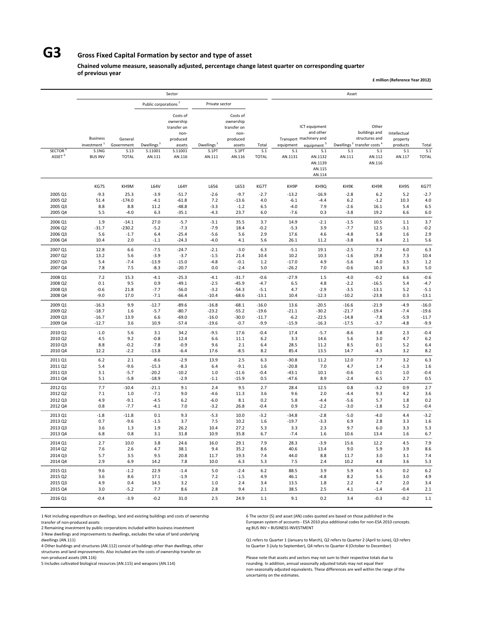## **G3 Gross Fixed Capital Formation by sector and type of asset**

**Chained volume measure, seasonally adjusted, percentage change latest quarter on corresponding quarter of previous year**

**£ million (Reference Year 2012)**

|                    |                                            |                       |                                  | Sector                                                             |                        |                                                                    |                  |                    |                                                                                 | Asset            |                                                                                                |                                      |                  |
|--------------------|--------------------------------------------|-----------------------|----------------------------------|--------------------------------------------------------------------|------------------------|--------------------------------------------------------------------|------------------|--------------------|---------------------------------------------------------------------------------|------------------|------------------------------------------------------------------------------------------------|--------------------------------------|------------------|
|                    |                                            |                       | Public corporations <sup>2</sup> |                                                                    | Private sector         |                                                                    |                  |                    |                                                                                 |                  |                                                                                                |                                      |                  |
|                    | <b>Business</b><br>investment <sup>1</sup> | General<br>Government | Dwellings <sup>3</sup>           | Costs of<br>ownership<br>transfer on<br>non-<br>produced<br>assets | Dwellings <sup>3</sup> | Costs of<br>ownership<br>transfer on<br>non-<br>produced<br>assets | Total            | equipment          | ICT equipment<br>and other<br>Transport machinery and<br>equipment <sup>5</sup> |                  | Other<br>buildings and<br>structures and<br>Dwellings <sup>3</sup> transfer costs <sup>4</sup> | Intellectual<br>property<br>products | Total            |
| <b>SECTOR</b>      | S.1NG                                      | S.13                  | S.11001                          | S.11001                                                            | S.1PT                  | S.1PT                                                              | S.1              | S.1                | S.1                                                                             | S.1              | S.1                                                                                            | S.1                                  | S.1              |
| ASSET <sup>6</sup> | <b>BUS INV</b>                             | <b>TOTAL</b>          | AN.111                           | AN.116                                                             | AN.111                 | AN.116                                                             | <b>TOTAL</b>     | AN.1131            | AN.1132<br>AN.1139<br>AN.115<br>AN.114                                          | AN.111           | AN.112<br>AN.116                                                                               | AN.117                               | <b>TOTAL</b>     |
|                    | KG7S                                       | KH9M                  | L64V                             | L64Y                                                               | L656                   | L653                                                               | KG7T             | KH9P               | KH9Q                                                                            | KH9K             | KH9R                                                                                           | KH9S                                 | KG7T             |
| 2005 Q1            | $-9.3$                                     | 25.3                  | $-3.9$                           | $-51.7$                                                            | $-2.6$                 | $-9.7$                                                             | $-2.7$           | $-13.2$            | $-16.9$                                                                         | $-2.8$           | 6.2                                                                                            | 5.2                                  | $-2.7$           |
| 2005 Q2            | 51.4                                       | $-174.0$              | $-4.1$                           | $-61.8$                                                            | 7.2                    | $-13.6$                                                            | 4.0              | $-6.1$             | $-4.4$                                                                          | $6.2$            | $-1.2$                                                                                         | 10.3                                 | 4.0              |
| 2005 Q3<br>2005 Q4 | 8.8<br>5.5                                 | 8.8<br>$-4.0$         | 11.2<br>6.3                      | $-48.8$<br>$-35.1$                                                 | $-3.3$<br>$-4.3$       | $-1.2$<br>23.7                                                     | 6.5<br>6.0       | $-4.0$<br>$-7.6$   | 7.9<br>0.3                                                                      | $-2.6$<br>$-3.8$ | 16.1<br>19.2                                                                                   | 5.4<br>6.6                           | 6.5<br>6.0       |
| 2006 Q1            | 1.9                                        | $-14.1$               | 27.0                             | $-5.7$                                                             | $-3.1$                 | 35.5                                                               | 3.7              | 14.9               | $-2.1$                                                                          | $-1.5$           | <br>10.5                                                                                       | $1.1$                                | .<br>3.7         |
| 2006 Q2            | $-31.7$                                    | $-230.2$              | $-5.2$                           | $-7.3$                                                             | $-7.9$                 | 18.4                                                               | $-0.2$           | $-5.3$             | 3.9                                                                             | $-7.7$           | 12.5                                                                                           | $-3.1$                               | $-0.2$           |
| 2006 Q3            | 5.6                                        | $-1.7$                | 6.4                              | $-25.4$                                                            | $-5.6$                 | 5.6                                                                | 2.9              | 17.6               | 4.6                                                                             | $-4.8$           | 5.8                                                                                            | 1.6                                  | 2.9              |
| 2006 Q4            | 10.4                                       | 2.0                   | $-1.1$                           | $-24.3$<br>                                                        | $-4.0$<br>.            | 4.1                                                                | 5.6              | 26.1               | 11.2                                                                            | $-3.8$           | 8.4                                                                                            | 2.1                                  | 5.6<br>          |
| 2007 Q1            | 12.8                                       | 6.6                   | $-7.5$                           | $-24.7$                                                            | $-2.1$                 | $-3.0$                                                             | 6.3              | $-5.1$             | 19.1                                                                            | $-2.5$           | 7.2                                                                                            | 6.0                                  | 6.3              |
| 2007 Q2            | 13.2                                       | 5.6                   | $-3.9$                           | $-3.7$                                                             | $-1.5$                 | 21.4                                                               | 10.4             | 10.2               | 10.3                                                                            | $-1.6$           | 19.8                                                                                           | 7.3                                  | 10.4             |
| 2007 Q3<br>2007 Q4 | 5.4<br>7.8                                 | $-7.4$<br>7.5         | $-13.9$<br>$-8.3$                | $-15.0$<br>$-20.7$                                                 | $-4.8$<br>0.0          | $-0.1$<br>$-2.4$                                                   | 1.2<br>5.0       | $-17.0$<br>$-26.2$ | 4.9<br>7.0                                                                      | $-5.6$<br>$-0.6$ | 4.0<br>10.3                                                                                    | 3.5<br>6.3                           | 1.2<br>5.0       |
|                    |                                            |                       |                                  |                                                                    |                        |                                                                    |                  |                    |                                                                                 |                  |                                                                                                |                                      |                  |
| 2008 Q1<br>2008 Q2 | 7.2<br>0.1                                 | 15.3<br>9.5           | $-4.1$<br>0.9                    | $-25.3$<br>$-49.1$                                                 | $-4.1$<br>$-2.5$       | $-31.7$<br>$-45.9$                                                 | $-0.6$<br>$-4.7$ | $-27.9$<br>6.5     | 1.5<br>4.8                                                                      | $-4.0$<br>$-2.2$ | $-0.2$<br>$-16.5$                                                                              | 6.6<br>5.4                           | $-0.6$<br>$-4.7$ |
| 2008 Q3            | $-0.6$                                     | 21.8                  | $-7.7$                           | $-56.0$                                                            | $-3.2$                 | $-54.3$                                                            | $-5.1$           | 4.7                | $-2.9$                                                                          | $-3.5$           | $-13.1$                                                                                        | 5.2                                  | $-5.1$           |
| 2008 Q4            | $-9.0$                                     | 17.0                  | $-7.1$                           | $-66.4$                                                            | $-10.4$                | $-68.6$                                                            | $-13.1$          | 10.4               | $-12.3$                                                                         | $-10.2$          | $-23.8$                                                                                        | 0.3                                  | $-13.1$          |
| 2009 Q1            | $-16.3$                                    | 9.9                   | $-12.7$                          | $-89.6$                                                            | $-16.8$                | $-68.1$                                                            | $-16.0$          | 13.6               | $-20.5$                                                                         | $-16.6$          | $-21.9$                                                                                        | $-4.9$                               | $-16.0$          |
| 2009 Q2            | $-18.7$                                    | 1.6                   | $-5.7$                           | $-80.7$                                                            | $-23.2$                | $-55.2$                                                            | $-19.6$          | $-21.1$            | $-30.2$                                                                         | $-21.7$          | $-19.4$                                                                                        | $-7.4$                               | $-19.6$          |
| 2009 Q3            | $-16.7$                                    | 13.9                  | 6.6                              | $-69.0$                                                            | $-16.0$                | $-30.0$                                                            | $-11.7$          | $-6.2$             | $-22.5$                                                                         | $-14.8$          | $-7.8$                                                                                         | $-5.9$                               | $-11.7$          |
| 2009 Q4            | $-12.7$                                    | 3.6                   | 10.9                             | $-57.4$                                                            | $-19.6$                | $-0.7$                                                             | $-9.9$           | $-15.9$            | $-16.3$                                                                         | $-17.5$          | $-3.7$                                                                                         | $-4.8$                               | $-9.9$           |
| 2010 Q1            | $-1.0$                                     | 5.6                   | 3.1                              | 34.2                                                               | $-9.5$                 | 17.6                                                               | $-0.4$           | 17.4               | $-5.7$                                                                          | $-8.6$           | 3.8                                                                                            | 2.3                                  | $-0.4$           |
| 2010 Q2<br>2010 Q3 | 4.5<br>8.8                                 | 9.2<br>$-0.2$         | $-0.8$<br>$-7.8$                 | 12.4<br>$-0.9$                                                     | 6.6<br>9.6             | 11.1<br>2.1                                                        | 6.2<br>6.4       | 3.3<br>28.5        | 14.6<br>11.2                                                                    | 5.6<br>8.5       | 3.0<br>0.1                                                                                     | 4.7<br>5.2                           | 6.2<br>6.4       |
| 2010 Q4            | 12.2                                       | $-2.2$                | $-13.8$                          | $-6.4$                                                             | 17.6                   | $-8.5$                                                             | 8.2              | 85.4               | 13.5                                                                            | 14.7             | $-4.3$                                                                                         | 3.2                                  | 8.2              |
| 2011 Q1            | $6.2$                                      | 2.1                   | $-8.6$                           | $-2.9$                                                             | 13.9                   | 2.5                                                                | 6.3              | $-30.8$            | 11.2                                                                            | 12.0             | 7.7                                                                                            | 3.2                                  | 6.3              |
| 2011 Q2            | 5.4                                        | $-9.6$                | $-15.3$                          | $-8.3$                                                             | 6.4                    | $-9.1$                                                             | 1.6              | $-20.8$            | 7.0                                                                             | 4.7              | 1.4                                                                                            | $-1.3$                               | 1.6              |
| 2011 Q3            | 3.1                                        | $-5.7$                | $-20.2$                          | $-10.2$                                                            | 1.0                    | $-11.6$                                                            | $-0.4$           | $-43.1$            | 10.1                                                                            | $-0.6$           | $-0.1$                                                                                         | 1.0                                  | $-0.4$           |
| 2011 Q4            | 5.1                                        | $-5.8$                | $-18.9$                          | $-2.9$                                                             | $-1.1$                 | $-15.9$                                                            | 0.5              | $-47.6$            | 8.9                                                                             | $-2.4$           | 6.5                                                                                            | 2.7                                  | 0.5              |
| 2012 Q1            | 7.7                                        | $-10.4$               | $-21.1$                          | 9.1                                                                | 2.4                    | 9.5                                                                | 2.7              | 28.4               | 12.5                                                                            | 0.8              | $-3.2$                                                                                         | 0.9                                  | 2.7              |
| 2012 Q2<br>2012 Q3 | 7.1<br>4.9                                 | 1.0<br>$-9.1$         | $-7.1$<br>$-4.5$                 | 9.0<br>6.2                                                         | -4.6<br>$-6.0$         | 11.3<br>8.1                                                        | 3.6<br>0.2       | 9.6<br>5.8         | 2.0<br>$-4.4$                                                                   | $-4.4$<br>$-5.6$ | 9.3<br>5.7                                                                                     | 4.2<br>1.8                           | 3.6<br>0.2       |
| 2012 Q4            | 0.8                                        | $-7.7$                | $-4.1$                           | 7.0                                                                | $-3.2$                 | 26.8                                                               | $-0.4$           | 0.9                | $-2.2$                                                                          | $-3.0$           | $-1.8$                                                                                         | 5.2                                  | $-0.4$           |
| 2013 Q1            | $-1.8$                                     | $-11.8$               | 0.1                              | 9.3                                                                | $-5.3$                 | 10.0                                                               | $-3.2$           | $-34.8$            | $-2.8$                                                                          | $-5.0$           | $-4.0$                                                                                         | 4.4                                  | $-3.2$           |
| 2013 Q2            | 0.7                                        | $-9.6$                | $-1.5$                           | 3.7                                                                | 7.5                    | 10.2                                                               | 1.6              | $-19.7$            | $-3.3$                                                                          | 6.9              | 2.8                                                                                            | $3.3$                                | 1.6              |
| 2013 Q3            | 3.6                                        | 1.3                   | 1.9                              | 26.2                                                               | 10.4                   | 27.2                                                               | 5.3              | 3.3                | 2.3                                                                             | 9.7              | 6.0                                                                                            | 3.3                                  | 5.3              |
| 2013 Q4            | 6.8                                        | 0.8                   | 3.1                              | 31.8                                                               | 10.9                   | 35.8                                                               | 6.7              | $-7.4$             | 1.6                                                                             | 10.6             | 13.4                                                                                           | 1.6                                  | 6.7              |
| 2014 Q1            | 2.7                                        | 10.0                  | 3.8                              | 24.6                                                               | 16.0                   | 29.1                                                               | 7.9              | 28.3               | $-3.9$                                                                          | 15.6             | 12.2                                                                                           | 4.5                                  | 7.9              |
| 2014 Q2            | 7.6                                        | 2.6                   | 4.7                              | 38.1                                                               | 9.4                    | 35.2                                                               | 8.6              | 40.6               | 13.4                                                                            | 9.0              | 5.9                                                                                            | 3.9                                  | 8.6              |
| 2014 Q3<br>2014 Q4 | 5.7<br>2.9                                 | 3.5<br>6.9            | 9.5<br>14.2                      | 20.8<br>7.8                                                        | 11.7<br>10.0           | 19.3<br>6.3                                                        | 7.4<br>5.3       | 44.0<br>7.5        | 8.8<br>2.4                                                                      | 11.7<br>10.2     | 3.0<br>4.8                                                                                     | 3.1<br>3.6                           | 7.4<br>5.3       |
| 2015 Q1            | 9.6                                        | $-1.2$                | 22.9                             | $-1.4$                                                             | 5.0                    | $-2.4$                                                             | 6.2              | 88.5               | 3.9                                                                             | 5.9              | 4.5                                                                                            | 0.2                                  | 6.2              |
| 2015 Q2            | 3.6                                        | 8.6                   | 17.1                             | $-1.9$                                                             | 7.2                    | $-1.5$                                                             | 4.9              | 46.1               | $-4.8$                                                                          | 8.2              | 5.6                                                                                            | 3.0                                  | 4.9              |
| 2015 Q3            | 4.9                                        | 0.4                   | 14.5                             | 3.2                                                                | 1.0                    | 2.4                                                                | 3.4              | 13.5               | 1.8                                                                             | 2.2              | 4.7                                                                                            | 2.0                                  | 3.4              |
| 2015 Q4            | 3.0                                        | $-5.2$                | 7.7                              | 8.6                                                                | 2.8                    | 9.4                                                                | 2.1              | 38.5               | 2.5                                                                             | 4.1              | $-1.4$                                                                                         | $-0.4$                               | 2.1<br>.         |
| 2016 Q1            | $-0.4$                                     | $-3.9$                | $-0.2$                           | 31.0                                                               | 2.5                    | 24.9                                                               | 1.1              | 9.1                | 0.2                                                                             | 3.4              | $-0.3$                                                                                         | $-0.2$                               | $1.1\,$          |

1 Not including expenditure on dwellings, land and existing buildings and costs of ownership 6 The sector (S) and asset (AN) codes quoted are based on those published in the transfer of non-produced assets 6 non-graduced a

2 Remaining investment by public corporations included within business investment 3 New dwellings and improvements to dwellings, excludes the value of land underlying

4 Other buildings and structures (AN.112) consist of buildings other than dwellings, other structures and land improvements. Also included are the costs of ownership transfer on

European system of accounts - ESA 2010 plus additional codes for non-ESA 2010 concepts.<br>eg BUS INV = BUSINESS INVESTMENT

dwellings (AN.111) (and the United States 1 (January to March), Q2 refers to Quarter 1 (January to March), Q2 refers to Quarter 2 (April to June), Q3 refers to Quarter 1 (January to March), Q2 refers to Quarter 2 (April to

non-produced assets (AN.116) Please note that assets and sectors may not sum to their respective totals due to<br>Please note that assets and sectors may not sum to their respective totals due to sum to their respective total rounding. In addition, annual seasonally adjusted totals may not equal their non‐seasonally adjusted equivalents. These differences are well within the range of the uncertainty on the estimates.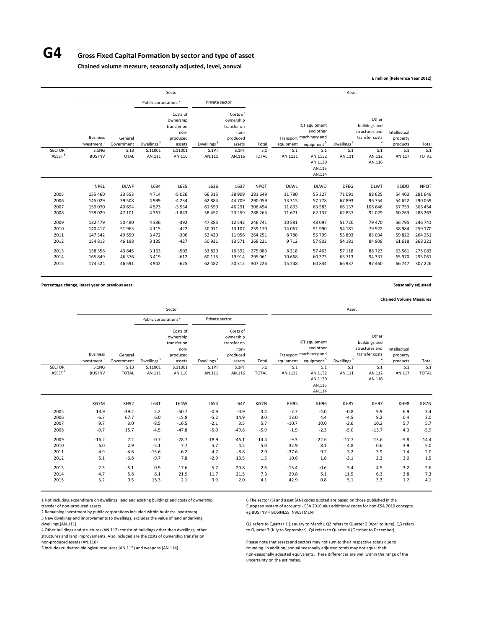### **G4 Gross Fixed Capital Formation by sector and type of asset**

**Chained volume measure, seasonally adjusted, level, annual**

**£ million (Reference Year 2012)**

|                     |                                            |                       |                                  | Sector                                                             |                        |                                                                    |              |             |                                                                                 | Asset                  |                                                                            |                                      |              |
|---------------------|--------------------------------------------|-----------------------|----------------------------------|--------------------------------------------------------------------|------------------------|--------------------------------------------------------------------|--------------|-------------|---------------------------------------------------------------------------------|------------------------|----------------------------------------------------------------------------|--------------------------------------|--------------|
|                     |                                            |                       | Public corporations <sup>2</sup> |                                                                    | Private sector         |                                                                    |              |             |                                                                                 |                        |                                                                            |                                      |              |
|                     | <b>Business</b><br>investment <sup>1</sup> | General<br>Government | Dwellings <sup>3</sup>           | Costs of<br>ownership<br>transfer on<br>non-<br>produced<br>assets | Dwellings <sup>3</sup> | Costs of<br>ownership<br>transfer on<br>non-<br>produced<br>assets | Total        | equipment   | ICT equipment<br>and other<br>Transport machinery and<br>equipment <sup>5</sup> | Dwellings <sup>3</sup> | Other<br>buildings and<br>structures and<br>transfer costs<br>$\mathbf{A}$ | Intellectual<br>property<br>products | Total        |
| SECTOR <sup>b</sup> | S.1NG                                      | S.13                  | S.11001                          | S.11001                                                            | S.1PT                  | S.1PT                                                              | S.1          | S.1         | S.1                                                                             | S.1                    | S.1                                                                        | S.1                                  | S.1          |
| ASSET <sup>6</sup>  | <b>BUS INV</b>                             | <b>TOTAL</b>          | AN.111                           | AN.116                                                             | AN.111                 | AN.116                                                             | <b>TOTAL</b> | AN.1131     | AN.1132<br>AN.1139<br>AN.115<br>AN.114                                          | AN.111                 | AN.112<br>AN.116                                                           | AN.117                               | <b>TOTAL</b> |
|                     | <b>NPEL</b>                                | <b>DLWF</b>           | L634                             | L635                                                               | L636                   | L637                                                               | <b>NPOT</b>  | <b>DLWL</b> | <b>DLWO</b>                                                                     | <b>DFEG</b>            | <b>DLWT</b>                                                                | EQDO                                 | <b>NPQT</b>  |
| 2005                | 155 460                                    | 23 5 53               | 4714                             | $-5026$                                                            | 66 315                 | 38 909                                                             | 281 649      | 11 780      | 55 327                                                                          | 71 0 91                | 88 625                                                                     | 54 402                               | 281 649      |
| 2006                | 145 029                                    | 39 508                | 4999                             | $-4234$                                                            | 62 884                 | 44709                                                              | 290 059      | 13 3 15     | 57 778                                                                          | 67893                  | 96 754                                                                     | 54 622                               | 290 059      |
| 2007                | 159 070                                    | 40 694                | 4573                             | $-3534$                                                            | 61 559                 | 46 291                                                             | 306 454      | 11893       | 63 583                                                                          | 66 137                 | 106 646                                                                    | 57753                                | 306 454      |
| 2008                | 158 029                                    | 47 101                | 4 3 6 7                          | $-1843$                                                            | 58 4 52                | 23 25 9                                                            | 288 263      | 11 671      | 62 137                                                                          | 62 837                 | 92 0 29                                                                    | 60 263                               | 288 263      |
| 2009                | 132 479                                    | 50 480                | 4336                             | $-392$                                                             | 47385                  | 12 5 42                                                            | 246 741      | 10 581      | 48 097                                                                          | 51720                  | 79 470                                                                     | 56 795                               | 246 741      |
| 2010                | 140 417                                    | 51 963                | 4 1 1 5                          | $-422$                                                             | 50 071                 | 13 107                                                             | 259 170      | 14 067      | 51 990                                                                          | 54 181                 | 79 9 22                                                                    | 58 984                               | 259 170      |
| 2011                | 147 342                                    | 49 5 59               | 3 4 7 2                          | $-396$                                                             | 52 4 29                | 11956                                                              | 264 251      | 8780        | 56 799                                                                          | 55 893                 | 83034                                                                      | 59822                                | 264 251      |
| 2012                | 154 813                                    | 46 198                | 3 1 3 5                          | $-427$                                                             | 50931                  | 13 571                                                             | 268 221      | 9712        | 57 802                                                                          | 54 181                 | 84 908                                                                     | 61 618                               | 268 221      |
| 2013                | 158 356                                    | 43 845                | 3 1 6 3                          | $-502$                                                             | 53829                  | 16 3 9 2                                                           | 275 083      | 8 2 1 8     | 57 463                                                                          | 57 118                 | 88723                                                                      | 63 561                               | 275 083      |
| 2014                | 165 849                                    | 46 376                | 3419                             | $-612$                                                             | 60 115                 | 19914                                                              | 295 061      | 10 668      | 60 373                                                                          | 63713                  | 94 3 3 7                                                                   | 65 970                               | 295 061      |
| 2015                | 174 524                                    | 46 591                | 3942                             | $-625$                                                             | 62 482                 | 20 312                                                             | 307 226      | 15 248      | 60 834                                                                          | 66 937                 | 97460                                                                      | 66 747                               | 307 226      |
|                     |                                            |                       |                                  |                                                                    |                        |                                                                    |              |             |                                                                                 |                        |                                                                            |                                      |              |

**Percentage change, latest year on previous year Seasonally adjusted**

**Chained Volume Measures**

|                     |                         |              |                                  | Sector      |                        |             |              |             |                            | Asset                  |                              |              |              |
|---------------------|-------------------------|--------------|----------------------------------|-------------|------------------------|-------------|--------------|-------------|----------------------------|------------------------|------------------------------|--------------|--------------|
|                     |                         |              | Public corporations <sup>2</sup> |             | Private sector         |             |              |             |                            |                        |                              |              |              |
|                     |                         |              |                                  | Costs of    |                        | Costs of    |              |             |                            |                        |                              |              |              |
|                     |                         |              |                                  | ownership   |                        | ownership   |              |             |                            |                        | Other                        |              |              |
|                     |                         |              |                                  | transfer on |                        | transfer on |              |             | ICT equipment<br>and other |                        | buildings and                |              |              |
|                     |                         |              |                                  | non-        |                        | non-        |              |             |                            |                        | structures and               | Intellectual |              |
|                     | <b>Business</b>         | General      |                                  | produced    |                        | produced    |              |             | Transport machinery and    |                        | transfer costs<br>$\ddot{a}$ | property     |              |
|                     | investment <sup>1</sup> | Government   | Dwellings <sup>3</sup>           | assets      | Dwellings <sup>3</sup> | assets      | Total        | equipment   | equipment <sup>5</sup>     | Dwellings <sup>3</sup> |                              | products     | Total        |
| SECTOR <sup>6</sup> | S.1NG                   | S.13         | S.11001                          | S.11001     | S.1PT                  | S.1PT       | S.1          | S.1         | S.1                        | S.1                    | S.1                          | S.1          | S.1          |
| ASSET <sup>6</sup>  | <b>BUS INV</b>          | <b>TOTAL</b> | AN.111                           | AN.116      | AN.111                 | AN.116      | <b>TOTAL</b> | AN.1131     | AN.1132                    | AN.111                 | AN.112                       | AN.117       | <b>TOTAL</b> |
|                     |                         |              |                                  |             |                        |             |              |             | AN.1139                    |                        | AN.116                       |              |              |
|                     |                         |              |                                  |             |                        |             |              |             | AN.115                     |                        |                              |              |              |
|                     |                         |              |                                  |             |                        |             |              |             | AN.114                     |                        |                              |              |              |
|                     | KG7M                    | KH92         | L64T                             | L64W        | L654                   | L64Z        | KG7N         | <b>KH95</b> | KH96                       | KH8Y                   | <b>KH97</b>                  | <b>KH98</b>  | KG7N         |
| 2005                | 13.9                    | $-39.2$      | 2.2                              | $-50.7$     | $-0.9$                 | $-0.9$      | 3.4          | $-7.7$      | $-4.0$                     | $-0.8$                 | 9.9                          | 6.9          | 3.4          |
| 2006                | $-6.7$                  | 67.7         | 6.0                              | $-15.8$     | $-5.2$                 | 14.9        | 3.0          | 13.0        | 4.4                        | $-4.5$                 | 9.2                          | 0.4          | 3.0          |
| 2007                | 9.7                     | 3.0          | $-8.5$                           | $-16.5$     | $-2.1$                 | 3.5         | 5.7          | $-10.7$     | 10.0                       | $-2.6$                 | 10.2                         | 5.7          | 5.7          |
| 2008                | $-0.7$                  | 15.7         | $-4.5$                           | $-47.8$     | $-5.0$                 | $-49.8$     | $-5.9$       | $-1.9$      | $-2.3$                     | $-5.0$                 | $-13.7$                      | 4.3          | $-5.9$       |
| 2009                | $-16.2$                 | 7.2          | $-0.7$                           | $-78.7$     | $-18.9$                | $-46.1$     | $-14.4$      | $-9.3$      | $-22.6$                    | $-17.7$                | $-13.6$                      | $-5.8$       | $-14.4$      |
| 2010                | 6.0                     | 2.9          | $-5.1$                           | 7.7         | 5.7                    | 4.5         | 5.0          | 32.9        | 8.1                        | 4.8                    | 0.6                          | 3.9          | 5.0          |
| 2011                | 4.9                     | $-4.6$       | $-15.6$                          | $-6.2$      | 4.7                    | $-8.8$      | 2.0          | $-37.6$     | 9.2                        | 3.2                    | 3.9                          | 1.4          | 2.0          |
| 2012                | 5.1                     | $-6.8$       | $-9.7$                           | 7.8         | $-2.9$                 | 13.5        | 1.5          | 10.6        | 1.8                        | $-3.1$                 | 2.3                          | 3.0          | 1.5          |
| 2013                | 2.3                     | $-5.1$       | 0.9                              | 17.6        | 5.7                    | 20.8        | 2.6          | $-15.4$     | $-0.6$                     | 5.4                    | 4.5                          | 3.2          | 2.6          |
| 2014                | 4.7                     | 5.8          | 8.1                              | 21.9        | 11.7                   | 21.5        | 7.3          | 29.8        | 5.1                        | 11.5                   | 6.3                          | 3.8          | 7.3          |
| 2015                | 5.2                     | 0.5          | 15.3                             | 2.1         | 3.9                    | 2.0         | 4.1          | 42.9        | 0.8                        | 5.1                    | 3.3                          | 1.2          | 4.1          |

1 Not including expenditure on dwellings, land and existing buildings and costs of ownership 6 The sector (S) and asset (AN) codes quoted are based on those published in the transfer of non-produced assets on those publish

2 Remaining investment by public corporations included within business investment 3 New dwellings and improvements to dwellings, excludes the value of land underlying

4 Other buildings and structures (AN.112) consist of buildings other than dwellings, other structures and land improvements. Also included are the costs of ownership transfer on

European system of accounts - ESA 2010 plus additional codes for non-ESA 2010 concepts.<br>eg BUS INV = BUSINESS INVESTMENT

Q1 refers to Quarter 1 (January to March), Q2 refers to Quarter 2 (April to June), Q3 refers<br>to Quarter 3 (July to September), Q4 refers to Quarter 4 (October to December)

non-produced assets (AN.116) Please note that assets and sectors may not sum to their respective totals due to<br>19 Flease note that assets and sectors may not sum to their respective totals due to their respective totals du rounding. In addition, annual seasonally adjusted totals may not equal their non‐seasonally adjusted equivalents. These differences are well within the range of the uncertainty on the estimates.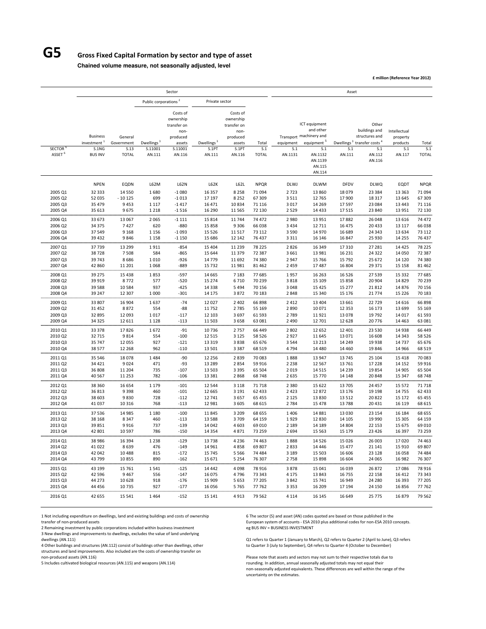## **G5 Gross Fixed Capital Formation by sector and type of asset**

**Chained volume measure, not seasonally adjusted, level**

**£ million (Reference Year 2012)**

|                                          |                                                                       |                                               |                                             | Sector                                                                                  |                                           |                                                                                       |                                      |                                          |                                                                                                                                  | Asset                                   |                                                                                                    |                                                       |                                      |
|------------------------------------------|-----------------------------------------------------------------------|-----------------------------------------------|---------------------------------------------|-----------------------------------------------------------------------------------------|-------------------------------------------|---------------------------------------------------------------------------------------|--------------------------------------|------------------------------------------|----------------------------------------------------------------------------------------------------------------------------------|-----------------------------------------|----------------------------------------------------------------------------------------------------|-------------------------------------------------------|--------------------------------------|
|                                          |                                                                       |                                               | Public corporations <sup>2</sup>            |                                                                                         | Private sector                            |                                                                                       |                                      |                                          |                                                                                                                                  |                                         |                                                                                                    |                                                       |                                      |
| <b>SECTOR</b><br>ASSET <sup>6</sup>      | <b>Business</b><br>investment <sup>1</sup><br>S.1NG<br><b>BUS INV</b> | General<br>Government<br>S.13<br><b>TOTAL</b> | Dwellings <sup>3</sup><br>S.11001<br>AN.111 | Costs of<br>ownership<br>transfer on<br>non-<br>produced<br>assets<br>S.11001<br>AN.116 | Dwellings <sup>3</sup><br>S.1PT<br>AN.111 | Costs of<br>ownership<br>transfer on<br>non-<br>produced<br>assets<br>S.1PT<br>AN.116 | Total<br>S.1<br><b>TOTAL</b>         | equipment<br>S.1<br>AN.1131              | ICT equipment<br>and other<br>Transport machinery and<br>equipment <sup>5</sup><br>S.1<br>AN.1132<br>AN.1139<br>AN.115<br>AN.114 | Dwellings <sup>3</sup><br>S.1<br>AN.111 | Other<br>buildings and<br>structures and<br>transfer costs <sup>4</sup><br>S.1<br>AN.112<br>AN.116 | Intellectual<br>property<br>products<br>S.1<br>AN.117 | Total<br>S.1<br><b>TOTAL</b>         |
|                                          | <b>NPEN</b>                                                           | EQDN                                          | L62M                                        | <b>L62N</b>                                                                             | L62K                                      | L62L                                                                                  | <b>NPQR</b>                          | <b>DLWJ</b>                              | <b>DLWM</b>                                                                                                                      | DFDV                                    | <b>DLWQ</b>                                                                                        | EQDT                                                  | <b>NPQR</b>                          |
| 2005 Q1                                  | 32 333                                                                | 14 5 5 0                                      | 1680                                        | $-1080$                                                                                 | 16 3 57                                   | 8 2 5 8                                                                               | 71 094                               | 2723                                     | 13 860                                                                                                                           | 18 0 79                                 | 23 384                                                                                             | 13 3 63                                               | 71 094                               |
| 2005 Q2                                  | 52 035                                                                | $-10125$                                      | 699                                         | $-1013$                                                                                 | 17 197                                    | 8 2 5 2                                                                               | 67 309                               | 3511                                     | 12 765                                                                                                                           | 17 900                                  | 18 3 17                                                                                            | 13 645                                                | 67 309                               |
| 2005 Q3                                  | 35 4 79                                                               | 9453                                          | 1 1 1 7                                     | $-1417$                                                                                 | 16 471                                    | 10834                                                                                 | 71 1 16                              | 3 0 1 7                                  | 14 2 69                                                                                                                          | 17597                                   | 23 084                                                                                             | 13 4 43                                               | 71 116                               |
| 2005 Q4                                  | 35 613                                                                | 9675                                          | 1 2 1 8                                     | $-1516$                                                                                 | 16 290                                    | 11 5 65                                                                               | 72 130                               | 2 5 2 9                                  | 14 4 33                                                                                                                          | 17515                                   | 23 840                                                                                             | 13 9 51                                               | 72 130                               |
| 2006 Q1                                  | 33 673                                                                | 13 067                                        | 2065                                        | $-1111$                                                                                 | 15 8 14                                   | 11744                                                                                 | 74 472                               | 2980                                     | 13 9 51                                                                                                                          | 17882                                   | 26 048                                                                                             | 13 6 16                                               | 74 472                               |
| 2006 Q2                                  | 34 375                                                                | 7427                                          | 620                                         | $-880$                                                                                  | 15858                                     | 9 3 0 6                                                                               | 66038                                | 3 4 3 4                                  | 12 7 11                                                                                                                          | 16 475                                  | 20 4 33                                                                                            | 13 117                                                | 66 038                               |
| 2006 Q3                                  | 37549                                                                 | 9 1 6 8                                       | 1 1 5 6                                     | $-1093$                                                                                 | 15 5 26                                   | 11 5 17                                                                               | 73 112                               | 3 5 9 0                                  | 14 970                                                                                                                           | 16 689                                  | 24 343                                                                                             | 13 634                                                | 73 112                               |
| 2006 Q4                                  | 39 4 32                                                               | 9846                                          | 1 1 5 8                                     | $-1150$                                                                                 | 15 686                                    | 12 142                                                                                | 76437                                | 3 3 1 1                                  | 16 14 6                                                                                                                          | 16 847                                  | 25 930                                                                                             | 14 2 55                                               | 76 437                               |
| 2007 Q1                                  | 37739                                                                 | 13 299                                        | 1911                                        | $-854$                                                                                  | 15 4 04                                   | 11 2 3 9                                                                              | 78 225                               | 2826                                     | 16 349                                                                                                                           | 17 310                                  | 27 28 1                                                                                            | 14 4 25                                               | 78 225                               |
| 2007 Q2                                  | 38728                                                                 | 7508                                          | 584                                         | $-865$                                                                                  | 15 644                                    | 11 379                                                                                | 72 387                               | 3 6 6 1                                  | 13 981                                                                                                                           | 16 2 31                                 | 24 3 22                                                                                            | 14 050                                                | 72 387                               |
| 2007 Q3                                  | 39743                                                                 | 8686                                          | 1010                                        | $-926$                                                                                  | 14 7 7 9                                  | 11 692                                                                                | 74 380                               | 2 9 4 7                                  | 15 7 66                                                                                                                          | 15 7 9 2                                | 25 672                                                                                             | 14 120                                                | 74 380                               |
| 2007 Q4                                  | 42 860                                                                | 11 201                                        | 1068                                        | $-889$                                                                                  | 15 7 32                                   | 11981                                                                                 | 81 4 62                              | 2 4 5 9                                  | 17487                                                                                                                            | 16 804                                  | 29 371                                                                                             | 15 15 8                                               | 81 4 62                              |
| 2008 Q1                                  | 39 275                                                                | 15 4 38                                       | 1853                                        | $-597$                                                                                  | 14 6 65                                   | 7 1 8 3                                                                               | 77 685                               | 1957                                     | 16 26 3                                                                                                                          | 16 5 26                                 | 27 539                                                                                             | 15 3 32                                               | 77 685                               |
| 2008 Q2                                  | 39 9 19                                                               | 8772                                          | 577                                         | $-520$                                                                                  | 15 274                                    | 6710                                                                                  | 70 239                               | 3818                                     | 15 109                                                                                                                           | 15 8 58                                 | 20 904                                                                                             | 14 8 29                                               | 70 239                               |
| 2008 Q3                                  | 39 588                                                                | 10 5 8 4                                      | 937                                         | $-425$                                                                                  | 14 3 38                                   | 5 4 9 4                                                                               | 70 156                               | 3 0 4 8                                  | 15 4 25                                                                                                                          | 15 277                                  | 21812                                                                                              | 14 876                                                | 70 156                               |
| 2008 Q4                                  | 39 247                                                                | 12 307                                        | 1 0 0 0                                     | $-301$                                                                                  | 14 175                                    | 3872                                                                                  | 70 183                               | 2848                                     | 15 340                                                                                                                           | 15 176                                  | 21 7 7 4                                                                                           | 15 2 26                                               | 70 183                               |
| 2009 Q1                                  | 33 807                                                                | 16 904                                        | 1637                                        | $-74$                                                                                   | 12 027                                    | 2 4 0 2                                                                               | 66898                                | 2 4 1 2                                  | 13 4 04                                                                                                                          | 13 661                                  | 22729                                                                                              | 14 6 16                                               | 66 898                               |
| 2009 Q2                                  | 31 4 52                                                               | 8872                                          | 554                                         | $-88$                                                                                   | 11752                                     | 2785                                                                                  | 55 169                               | 2890                                     | 10 071                                                                                                                           | 12 3 53                                 | 16 173                                                                                             | 13 699                                                | 55 169                               |
| 2009 Q3                                  | 32 895                                                                | 12 093                                        | 1017                                        | $-117$                                                                                  | 12 103                                    | 3697                                                                                  | 61 5 93                              | 2789                                     | 11921                                                                                                                            | 13 0 78                                 | 19792                                                                                              | 14 017                                                | 61 593                               |
| 2009 Q4                                  | 34 3 25                                                               | 12 611                                        | 1 1 2 8                                     | $-113$                                                                                  | 11 503                                    | 3658                                                                                  | 63 081                               | 2 4 9 0                                  | 12 701                                                                                                                           | 12 6 28                                 | 20776                                                                                              | 14 4 63                                               | 63 081                               |
| 2010 Q1                                  | 33 378                                                                | 17826                                         | 1672                                        | $-91$                                                                                   | 10736                                     | 2757                                                                                  | 66 449                               | 2 8 0 2                                  | 12 652                                                                                                                           | 12 401                                  | 23 530                                                                                             | 14 9 38                                               | 66 449                               |
| 2010 Q2                                  | 32715                                                                 | 9814                                          | 554                                         | $-100$                                                                                  | 12 5 15                                   | 3 1 2 5                                                                               | 58 5 26                              | 2927                                     | 11 645                                                                                                                           | 13 0 71                                 | 16 608                                                                                             | 14 343                                                | 58 5 26                              |
| 2010 Q3                                  | 35 747                                                                | 12 055                                        | 927                                         | $-121$                                                                                  | 13 3 19                                   | 3838                                                                                  | 65 676                               | 3 5 4 4                                  | 13 213                                                                                                                           | 14 2 4 9                                | 19 9 38                                                                                            | 14 7 37                                               | 65 676                               |
| 2010 Q4                                  | 38 577                                                                | 12 2 68                                       | 962                                         | $-110$                                                                                  | 13 501                                    | 3 3 8 7                                                                               | 68 519                               | 4794                                     | 14 4 8 0                                                                                                                         | 14 4 60                                 | 19846                                                                                              | 14 966                                                | 68 5 19                              |
| 2011 Q1                                  | 35 546                                                                | 18 0 78                                       | 1484                                        | $-90$                                                                                   | 12 2 5 6                                  | 2839                                                                                  | 70 083                               | 1888                                     | 13 947                                                                                                                           | 13745                                   | 25 104                                                                                             | 15 4 18                                               | 70 083                               |
| 2011 Q2                                  | 34 4 21                                                               | 9024                                          | 471                                         | $-93$                                                                                   | 13 2 8 9                                  | 2854                                                                                  | 59 916                               | 2 2 3 8                                  | 12 5 67                                                                                                                          | 13761                                   | 17 228                                                                                             | 14 15 2                                               | 59 916                               |
| 2011 Q3                                  | 36 808                                                                | 11 204                                        | 735                                         | $-107$                                                                                  | 13 503                                    | 3 3 9 5                                                                               | 65 504                               | 2 0 1 9                                  | 14 5 15                                                                                                                          | 14 2 3 9                                | 19854                                                                                              | 14 905                                                | 65 504                               |
| 2011 Q4                                  | 40 567                                                                | 11 253                                        | 782                                         | $-106$                                                                                  | 13 3 8 1                                  | 2868                                                                                  | 68748                                | 2 6 3 5                                  | 15 770                                                                                                                           | 14 148                                  | 20 848                                                                                             | 15 347                                                | 68 748                               |
| 2012 Q1<br>2012 Q2<br>2012 Q3<br>2012 Q4 | 38 360<br>36813<br>38 603<br>41 0 37                                  | 16 654<br>9398<br>9830                        | 1 1 7 9<br>460<br>728<br>768                | $-101$<br>$-101$<br>$-112$                                                              | 12 5 4 4<br>12 6 65<br>12741<br>12 981    | 3 1 1 8<br>3 1 9 1<br>3657<br>3 6 0 5                                                 | 71 718<br>62 433<br>65 455<br>68 615 | 2 3 8 0<br>2 4 2 3<br>2 1 2 5<br>2 7 8 4 | 15 6 22<br>12872<br>13 8 30                                                                                                      | 13 705<br>13 176<br>13 5 12<br>13788    | 24 457<br>19 198<br>20822<br>20 4 31                                                               | 15 572<br>14 7 55<br>15 172<br>16 119                 | 71 718<br>62 433<br>65 455<br>68 615 |
| 2013 Q1                                  | 37536                                                                 | 10 316<br>14 985                              | 1 1 8 0                                     | $-113$<br>$-100$                                                                        | 11845                                     | 3 2 0 9                                                                               | 68 655                               | 1 4 0 6                                  | 15 4 78<br>14 8 8 1                                                                                                              | 13 0 30                                 | 23 154                                                                                             | 16 184                                                | 68 655                               |
| 2013 Q2                                  | 38 168                                                                | 8347                                          | 460                                         | $-113$                                                                                  | 13 5 8 8                                  | 3709                                                                                  | 64 159                               | 1929                                     | 12 8 30                                                                                                                          | 14 105                                  | 19 990                                                                                             | 15 30 5                                               | 64 159                               |
| 2013 Q3                                  | 39 851                                                                | 9916                                          | 737                                         | $-139$                                                                                  | 14 042                                    | 4 6 0 3                                                                               | 69 010                               | 2 1 8 9                                  | 14 189                                                                                                                           | 14 804                                  | 22 153                                                                                             | 15 675                                                | 69 010                               |
| 2013 Q4                                  | 42 801                                                                | 10 5 97                                       | 786                                         | $-150$                                                                                  | 14 3 5 4                                  | 4871                                                                                  | 73 259                               | 2 6 9 4                                  | 15 5 63                                                                                                                          | 15 179                                  | 23 4 26                                                                                            | 16 397                                                | 73 259                               |
| 2014 Q1                                  | 38 9 86                                                               | 16 3 94                                       | 1 2 3 8                                     | $-129$                                                                                  | 13738                                     | 4 2 3 6                                                                               | 74 4 63                              | 1888                                     | 14 5 26                                                                                                                          | 15 0 26                                 | 26 003                                                                                             | 17020                                                 | 74 463                               |
| 2014 Q2                                  | 41022                                                                 | 8639                                          | 476                                         | $-149$                                                                                  | 14 961                                    | 4858                                                                                  | 69807                                | 2833                                     | 14 4 4 6                                                                                                                         | 15 477                                  | 21 141                                                                                             | 15 910                                                | 69 807                               |
| 2014 Q3                                  | 42 042                                                                | 10 4 8 8                                      | 815                                         | $-172$                                                                                  | 15 7 45                                   | 5 5 6 6                                                                               | 74 484                               | 3 1 8 9                                  | 15 503                                                                                                                           | 16 606                                  | 23 1 28                                                                                            | 16 0 58                                               | 74 484                               |
| 2014 Q4                                  | 43799                                                                 | 10855                                         | 890                                         | $-162$                                                                                  | 15 671                                    | 5 2 5 4                                                                               | 76 307                               | 2758                                     | 15 8 98                                                                                                                          | 16 604                                  | 24 065                                                                                             | 16 982                                                | 76 307                               |
| 2015 Q1                                  | 43 199                                                                | 15 761                                        | 1541                                        | $-125$                                                                                  | 14 4 42                                   | 4 0 9 8                                                                               | 78 916                               | 3878                                     | 15 041                                                                                                                           | 16 039                                  | 26 872                                                                                             | 17086                                                 | 78 916                               |
| 2015 Q2                                  | 42 5 96                                                               | 9467                                          | 556                                         | $-147$                                                                                  | 16 075                                    | 4796                                                                                  | 73 343                               | 4 1 7 5                                  | 13 843                                                                                                                           | 16 755                                  | 22 158                                                                                             | 16 412                                                | 73 343                               |
| 2015 Q3                                  | 44 273                                                                | 10 628                                        | 918                                         | $-176$                                                                                  | 15 909                                    | 5 6 5 3                                                                               | 77 205                               | 3842                                     | 15 741                                                                                                                           | 16 949                                  | 24 280                                                                                             | 16 393                                                | 77 205                               |
| 2015 Q4                                  | 44 4 56                                                               | 10735                                         | 927                                         | $-177$                                                                                  | 16 0 56                                   | 5765                                                                                  | 77 762                               | 3 3 5 3                                  | 16 209                                                                                                                           | 17 194                                  | 24 150                                                                                             | 16856                                                 | 77 762                               |
| 2016 Q1                                  | 42 655                                                                | 15 5 41                                       | 1464                                        | $-152$                                                                                  | 15 141                                    | 4913                                                                                  | 79 562                               | 4 1 1 4                                  | 16 145                                                                                                                           | 16 649                                  | 25 775                                                                                             | 16879                                                 | 79 5 62                              |

1 Not including expenditure on dwellings, land and existing buildings and costs of ownership 6 The sector (S) and asset (AN) codes quoted are based on those published in the transfer of non-produced assets expansion that t

 $2$  Remaining investment by public corporations included within business investment

3 New dwellings and improvements to dwellings, excludes the value of land underlying

4 Other buildings and structures (AN.112) consist of buildings other than dwellings, other 4 Other buildings and structures (AN.112) consist of buildings other structures and land improvements. Also included are the costs of ownership transfer on

European system of accounts - ESA 2010 plus additional codes for non-ESA 2010 concepts.<br>eg BUS INV = BUSINESS INVESTMENT

Q1 refers to Quarter 1 (January to March), Q2 refers to Quarter 2 (April to June), Q3 refers<br>to Quarter 3 (July to September), Q4 refers to Quarter 4 (October to December)

non-produced assets (AN.116) Please note that assets and sectors may not sum to their respective totals due to<br>Please note that assets and sectors may not sum to their respective totals due to their respective totals due t  $r$ ounding. In addition, annual seasonally adjusted totals may not equal their non‐seasonally adjusted equivalents. These differences are well within the range of the uncertainty on the estimates.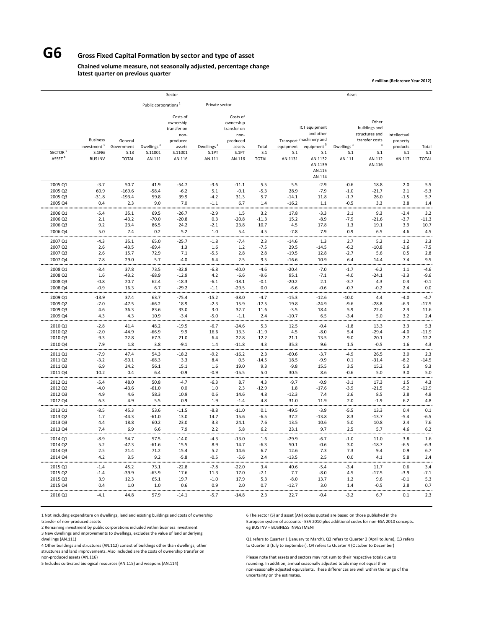## **G6 Gross Fixed Capital Formation by sector and type of asset**

#### **Chained volume measure, not seasonally adjusted, percentage change latest quarter on previous quarter**

**£ million (Reference Year 2012)**

|                    |                                            |                       |                                  | Sector                                                             |                        |                                                                    |                   |                    |                                                                                 | Asset                  |                                                            |                                      |                   |
|--------------------|--------------------------------------------|-----------------------|----------------------------------|--------------------------------------------------------------------|------------------------|--------------------------------------------------------------------|-------------------|--------------------|---------------------------------------------------------------------------------|------------------------|------------------------------------------------------------|--------------------------------------|-------------------|
|                    |                                            |                       | Public corporations <sup>2</sup> |                                                                    | Private sector         |                                                                    |                   |                    |                                                                                 |                        |                                                            |                                      |                   |
|                    | <b>Business</b><br>investment <sup>1</sup> | General<br>Government | Dwellings <sup>3</sup>           | Costs of<br>ownership<br>transfer on<br>non-<br>produced<br>assets | Dwellings <sup>3</sup> | Costs of<br>ownership<br>transfer on<br>non-<br>produced<br>assets | Total             | equipment          | ICT equipment<br>and other<br>Transport machinery and<br>equipment <sup>5</sup> | Dwellings <sup>3</sup> | Other<br>buildings and<br>structures and<br>transfer costs | Intellectual<br>property<br>products | Total             |
| <b>SECTOR</b>      | S.1NG                                      | S.13                  | S.11001                          | S.11001                                                            | S.1PT                  | <b>S.1PT</b>                                                       | S.1               | S.1                | S.1                                                                             | S.1                    | S.1                                                        | S.1                                  | S.1               |
| ASSET <sup>6</sup> | <b>BUS INV</b>                             | <b>TOTAL</b>          | AN.111                           | AN.116                                                             | AN.111                 | AN.116                                                             | <b>TOTAL</b>      | AN.1131            | AN.1132<br>AN.1139<br>AN.115<br>AN.114                                          | AN.111                 | AN.112<br>AN.116                                           | AN.117                               | <b>TOTAL</b>      |
| 2005 Q1            | $-3.7$                                     | 50.7                  | 41.9                             | $-54.7$                                                            | $-3.6$                 | $-11.1$                                                            | 5.5               | 5.5                | $-2.9$                                                                          | $-0.6$                 | 18.8                                                       | 2.0                                  | 5.5               |
| 2005 Q2            | 60.9                                       | $-169.6$              | $-58.4$                          | $-6.2$                                                             | 5.1                    | $-0.1$                                                             | $-5.3$            | 28.9               | $-7.9$                                                                          | $-1.0$                 | $-21.7$                                                    | 2.1                                  | $-5.3$            |
| 2005 Q3<br>2005 Q4 | $-31.8$<br>0.4                             | $-193.4$<br>2.3       | 59.8<br>9.0                      | 39.9<br>7.0                                                        | $-4.2$<br>$-1.1$       | 31.3<br>6.7                                                        | 5.7<br>1.4        | $-14.1$<br>$-16.2$ | 11.8<br>1.1                                                                     | $-1.7$<br>$-0.5$       | 26.0<br>3.3                                                | $-1.5$<br>3.8                        | 5.7<br>1.4        |
|                    |                                            |                       |                                  |                                                                    |                        |                                                                    |                   |                    |                                                                                 |                        |                                                            |                                      |                   |
| 2006 Q1            | $-5.4$                                     | 35.1                  | 69.5                             | $-26.7$                                                            | $-2.9$                 | 1.5                                                                | 3.2               | 17.8               | $-3.3$                                                                          | 2.1                    | 9.3                                                        | $-2.4$                               | 3.2               |
| 2006 Q2<br>2006 Q3 | 2.1<br>9.2                                 | $-43.2$<br>23.4       | $-70.0$<br>86.5                  | $-20.8$<br>24.2                                                    | 0.3<br>$-2.1$          | $-20.8$<br>23.8                                                    | $-11.3$<br>10.7   | 15.2<br>4.5        | $-8.9$<br>17.8                                                                  | $-7.9$<br>1.3          | $-21.6$<br>19.1                                            | $-3.7$<br>3.9                        | $-11.3$<br>10.7   |
| 2006 Q4            | 5.0                                        | 7.4                   | 0.2                              | 5.2                                                                | 1.0                    | 5.4                                                                | 4.5               | $-7.8$             | 7.9                                                                             | 0.9                    | 6.5                                                        | 4.6                                  | 4.5               |
|                    |                                            |                       |                                  |                                                                    |                        |                                                                    |                   |                    |                                                                                 |                        |                                                            |                                      |                   |
| 2007 Q1            | $-4.3$                                     | 35.1                  | 65.0                             | $-25.7$                                                            | $-1.8$                 | $-7.4$                                                             | 2.3<br>$-7.5$     | $-14.6$            | 1.3                                                                             | 2.7                    | 5.2                                                        | 1.2                                  | 2.3               |
| 2007 Q2<br>2007 Q3 | 2.6<br>2.6                                 | $-43.5$<br>15.7       | $-69.4$<br>72.9                  | 1.3<br>7.1                                                         | 1.6<br>$-5.5$          | 1.2<br>2.8                                                         | 2.8               | 29.5<br>$-19.5$    | $-14.5$<br>12.8                                                                 | $-6.2$<br>$-2.7$       | $-10.8$<br>5.6                                             | $-2.6$<br>0.5                        | $-7.5$<br>2.8     |
| 2007 Q4            | 7.8                                        | 29.0                  | 5.7                              | $-4.0$                                                             | 6.4                    | 2.5                                                                | 9.5               | $-16.6$            | 10.9                                                                            | 6.4                    | 14.4                                                       | 7.4                                  | 9.5               |
|                    |                                            |                       |                                  |                                                                    |                        |                                                                    |                   |                    |                                                                                 |                        |                                                            |                                      |                   |
| 2008 Q1<br>2008 Q2 | $-8.4$<br>1.6                              | 37.8<br>$-43.2$       | 73.5<br>$-68.9$                  | $-32.8$<br>$-12.9$                                                 | $-6.8$<br>4.2          | $-40.0$<br>$-6.6$                                                  | $-4.6$<br>$-9.6$  | $-20.4$<br>95.1    | $-7.0$<br>$-7.1$                                                                | $-1.7$<br>$-4.0$       | $-6.2$<br>$-24.1$                                          | 1.1<br>$-3.3$                        | $-4.6$<br>$-9.6$  |
| 2008 Q3            | $-0.8$                                     | 20.7                  | 62.4                             | $-18.3$                                                            | $-6.1$                 | $-18.1$                                                            | $-0.1$            | $-20.2$            | 2.1                                                                             | $-3.7$                 | 4.3                                                        | 0.3                                  | $-0.1$            |
| 2008 Q4            | $-0.9$                                     | 16.3                  | 6.7                              | $-29.2$                                                            | $-1.1$                 | $-29.5$                                                            | 0.0               | $-6.6$             | $-0.6$                                                                          | $-0.7$                 | $-0.2$                                                     | 2.4                                  | 0.0               |
|                    |                                            |                       |                                  |                                                                    |                        |                                                                    |                   |                    |                                                                                 |                        |                                                            |                                      |                   |
| 2009 Q1<br>2009 Q2 | $-13.9$<br>$-7.0$                          | 37.4<br>$-47.5$       | 63.7<br>$-66.2$                  | $-75.4$<br>18.9                                                    | $-15.2$<br>$-2.3$      | $-38.0$<br>15.9                                                    | $-4.7$<br>$-17.5$ | $-15.3$<br>19.8    | $-12.6$<br>$-24.9$                                                              | $-10.0$<br>$-9.6$      | 4.4<br>$-28.8$                                             | $-4.0$<br>$-6.3$                     | $-4.7$<br>$-17.5$ |
| 2009 Q3            | 4.6                                        | 36.3                  | 83.6                             | 33.0                                                               | 3.0                    | 32.7                                                               | 11.6              | $-3.5$             | 18.4                                                                            | 5.9                    | 22.4                                                       | 2.3                                  | 11.6              |
| 2009 Q4            | 4.3                                        | 4.3                   | 10.9                             | $-3.4$                                                             | $-5.0$                 | $-1.1$                                                             | 2.4               | $-10.7$            | 6.5                                                                             | $-3.4$                 | 5.0                                                        | 3.2                                  | 2.4               |
| 2010 Q1            | $-2.8$                                     | 41.4                  | 48.2                             | $-19.5$                                                            | $-6.7$                 | $-24.6$                                                            | 5.3               | 12.5               | $-0.4$                                                                          | $-1.8$                 | 13.3                                                       | 3.3                                  | 5.3               |
| 2010 Q2            | $-2.0$                                     | $-44.9$               | -66.9                            | 9.9                                                                | 16.6                   | 13.3                                                               | $-11.9$           | 4.5                | $-8.0$                                                                          | 5.4                    | $-29.4$                                                    | $-4.0$                               | $-11.9$           |
| 2010 Q3            | 9.3                                        | 22.8                  | 67.3                             | 21.0                                                               | 6.4                    | 22.8                                                               | 12.2              | 21.1               | 13.5                                                                            | 9.0                    | 20.1                                                       | 2.7                                  | 12.2              |
| 2010 Q4            | 7.9                                        | 1.8                   | 3.8                              | $-9.1$                                                             | 1.4                    | $-11.8$                                                            | 4.3               | 35.3               | 9.6                                                                             | 1.5                    | $-0.5$                                                     | 1.6                                  | 4.3               |
| 2011 Q1            | $-7.9$                                     | 47.4                  | 54.3                             | $-18.2$                                                            | $-9.2$                 | $-16.2$                                                            | 2.3               | $-60.6$            | $-3.7$                                                                          | $-4.9$                 | 26.5                                                       | 3.0                                  | 2.3               |
| 2011 Q2            | $-3.2$                                     | $-50.1$               | $-68.3$                          | 3.3                                                                | 8.4                    | 0.5                                                                | $-14.5$           | 18.5               | $-9.9$                                                                          | 0.1                    | $-31.4$                                                    | $-8.2$                               | $-14.5$           |
| 2011 Q3            | 6.9                                        | 24.2                  | 56.1                             | 15.1                                                               | 1.6                    | 19.0                                                               | 9.3               | $-9.8$             | 15.5                                                                            | 3.5                    | 15.2                                                       | 5.3                                  | 9.3               |
| 2011 Q4            | 10.2                                       | 0.4                   | 6.4                              | $-0.9$                                                             | $-0.9$                 | $-15.5$                                                            | 5.0               | 30.5               | 8.6                                                                             | $-0.6$                 | 5.0                                                        | 3.0                                  | 5.0               |
| 2012 Q1            | $-5.4$                                     | 48.0                  | 50.8                             | $-4.7$                                                             | $-6.3$                 | 8.7                                                                | 4.3               | $-9.7$             | $-0.9$                                                                          | $-3.1$                 | 17.3                                                       | 1.5                                  | 4.3               |
| 2012 Q2            | $-4.0$                                     | $-43.6$               | $-61.0$                          | 0.0                                                                | 1.0                    | 2.3                                                                | $-12.9$           | 1.8                | $-17.6$                                                                         | $-3.9$                 | $-21.5$                                                    | $-5.2$                               | $-12.9$           |
| 2012 Q3            | 4.9                                        | 4.6                   | 58.3                             | 10.9                                                               | 0.6                    | 14.6                                                               | 4.8               | $-12.3$            | 7.4                                                                             | 2.6                    | 8.5                                                        | 2.8                                  | 4.8               |
| 2012 Q4            | 6.3                                        | 4.9                   | 5.5                              | 0.9                                                                | 1.9                    | $-1.4$                                                             | 4.8               | 31.0               | 11.9                                                                            | 2.0                    | $-1.9$                                                     | 6.2                                  | 4.8               |
| 2013 Q1            | $-8.5$                                     | 45.3                  | 53.6                             | $-11.5$                                                            | $-8.8$                 | $-11.0$                                                            | 0.1               | $-49.5$            | $-3.9$                                                                          | $-5.5$                 | 13.3                                                       | 0.4                                  | 0.1               |
| 2013 Q2            | 1.7                                        | $-44.3$               | $-61.0$                          | 13.0                                                               | 14.7                   | 15.6                                                               | $-6.5$            | 37.2               | $-13.8$                                                                         | 8.3                    | $-13.7$                                                    | $-5.4$                               | $-6.5$            |
| 2013 Q3            | 4.4                                        | 18.8                  | 60.2                             | 23.0                                                               | 3.3                    | 24.1                                                               | 7.6               | 13.5               | 10.6                                                                            | 5.0                    | 10.8                                                       | 2.4                                  | 7.6               |
| 2013 Q4            | 7.4                                        | 6.9                   | 6.6                              | 7.9                                                                | 2.2                    | 5.8                                                                | 6.2               | 23.1               | 9.7                                                                             | 2.5                    | 5.7                                                        | 4.6                                  | 6.2               |
| 2014 Q1            | $-8.9$                                     | 54.7                  | 57.5                             | $-14.0$                                                            | $-4.3$                 | $-13.0$                                                            | 1.6               | $-29.9$            | $-6.7$                                                                          | $-1.0$                 | 11.0                                                       | 3.8                                  | 1.6               |
| 2014 Q2            | 5.2                                        | $-47.3$               | $-61.6$                          | 15.5                                                               | 8.9                    | 14.7                                                               | $-6.3$            | 50.1               | $-0.6$                                                                          | 3.0                    | $-18.7$                                                    | $-6.5$                               | $-6.3$            |
| 2014 Q3            | 2.5                                        | 21.4                  | 71.2                             | 15.4                                                               | 5.2                    | 14.6                                                               | 6.7               | 12.6               | 7.3                                                                             | 7.3                    | 9.4                                                        | 0.9                                  | 6.7               |
| 2014 Q4            | 4.2                                        | 3.5                   | 9.2                              | $-5.8$                                                             | $-0.5$                 | $-5.6$                                                             | 2.4               | $-13.5$            | 2.5                                                                             | 0.0                    | 4.1                                                        | 5.8                                  | 2.4               |
| 2015 Q1            | $-1.4$                                     | 45.2                  | 73.1                             | $-22.8$                                                            | $-7.8$                 | $-22.0$                                                            | 3.4               | 40.6               | $-5.4$                                                                          | $-3.4$                 | 11.7                                                       | 0.6                                  | 3.4               |
| 2015 Q2            | $-1.4$                                     | $-39.9$               | $-63.9$                          | 17.6                                                               | 11.3                   | 17.0                                                               | $-7.1$            | 7.7                | $-8.0$                                                                          | 4.5                    | $-17.5$                                                    | $-3.9$                               | $-7.1$            |
| 2015 Q3            | 3.9                                        | 12.3                  | 65.1                             | 19.7                                                               | $-1.0$                 | 17.9                                                               | 5.3               | $-8.0$             | 13.7                                                                            | 1.2                    | 9.6                                                        | $-0.1$                               | 5.3               |
| 2015 Q4            | 0.4                                        | 1.0                   | 1.0                              | 0.6                                                                | 0.9                    | 2.0                                                                | 0.7               | $-12.7$            | 3.0                                                                             | 1.4                    | $-0.5$                                                     | 2.8                                  | 0.7               |
| 2016 Q1            | $-4.1$                                     | 44.8                  | 57.9                             | $-14.1$                                                            | $-5.7$                 | $-14.8$                                                            | 2.3               | 22.7               | $-0.4$                                                                          | $-3.2$                 | 6.7                                                        | 0.1                                  | 2.3               |

1 Not including expenditure on dwellings, land and existing buildings and costs of ownership 6 The sector (S) and asset (AN) codes quoted are based on those published in the

2 Remaining investment by public corporations included within business investment

3 New dwellings and improvements to dwellings, excludes the value of land underlying

4 Other buildings and structures (AN.112) consist of buildings other than dwellings, other structures and land improvements. Also included are the costs of ownership transfer on

transfer of non-produced assets European system of accounts - ESA 2010 plus additional codes for non‐ESA 2010 concepts.<br>
European system of accounts ‐ ESA 2010 plus additional codes for non‐ESA 2010 concepts.<br>
eg BUS INV =

Q1 refers to Quarter 1 (January to March), Q2 refers to Quarter 2 (April to June), Q3 refers<br>to Quarter 3 (July to September), Q4 refers to Quarter 4 (October to December)

non-produced assets (AN.116) Please note that assets and sectors may not sum to their respective totals due to<br>19 Furchase sultivated biological resources (AN.115) and weapons (AN.114) Sum to the rounding. In addition, ann rounding. In addition, annual seasonally adjusted totals may not equal their non‐seasonally adjusted equivalents. These differences are well within the range of the uncertainty on the estimates.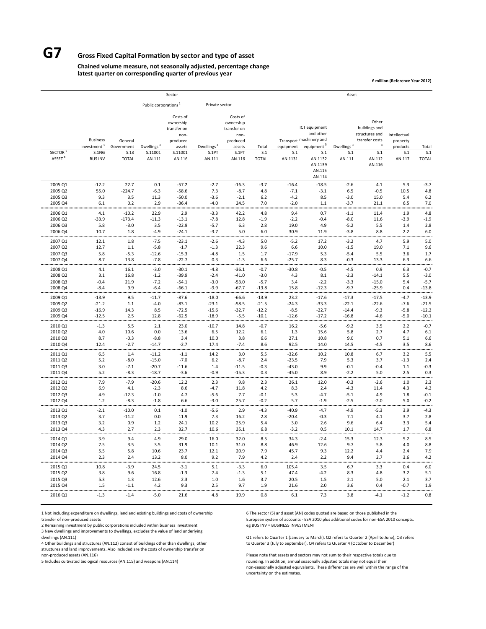## **G7 Gross Fixed Capital Formation by sector and type of asset**

#### **Chained volume measure, not seasonally adjusted, percentage change latest quarter on corresponding quarter of previous year**

**£ million (Reference Year 2012)**

|                    |                                            |                       |                                  | Sector                                                             |                        |                                                                    |                    |                    |                                                                                 | Asset                  |                                                                              |                                      |                    |
|--------------------|--------------------------------------------|-----------------------|----------------------------------|--------------------------------------------------------------------|------------------------|--------------------------------------------------------------------|--------------------|--------------------|---------------------------------------------------------------------------------|------------------------|------------------------------------------------------------------------------|--------------------------------------|--------------------|
|                    |                                            |                       | Public corporations <sup>2</sup> |                                                                    | Private sector         |                                                                    |                    |                    |                                                                                 |                        |                                                                              |                                      |                    |
|                    | <b>Business</b><br>investment <sup>1</sup> | General<br>Government | Dwellings <sup>3</sup>           | Costs of<br>ownership<br>transfer on<br>non-<br>produced<br>assets | Dwellings <sup>3</sup> | Costs of<br>ownership<br>transfer on<br>non-<br>produced<br>assets | Total              | equipment          | ICT equipment<br>and other<br>Transport machinery and<br>equipment <sup>5</sup> | Dwellings <sup>3</sup> | Other<br>buildings and<br>structures and<br>transfer costs<br>$\overline{4}$ | Intellectual<br>property<br>products | Total              |
| <b>SECTOR</b>      | S.1NG                                      | S.13                  | S.11001                          | S.11001                                                            | S.1PT                  | S.1PT                                                              | S.1                | S.1                | S.1                                                                             | S.1                    | S.1                                                                          | S.1                                  | S.1                |
| ASSET <sup>6</sup> | <b>BUS INV</b>                             | <b>TOTAL</b>          | AN.111                           | AN.116                                                             | AN.111                 | AN.116                                                             | <b>TOTAL</b>       | AN.1131            | AN.1132<br>AN.1139<br>AN.115<br>AN.114                                          | AN.111                 | AN.112<br>AN.116                                                             | AN.117                               | <b>TOTAL</b>       |
| 2005 Q1<br>2005 Q2 | $-12.2$<br>55.0                            | 22.7<br>$-224.7$      | 0.1<br>$-6.3$                    | $-57.2$<br>$-58.6$                                                 | $-2.7$<br>7.3          | $-16.3$<br>$-8.7$                                                  | $-3.7$<br>4.8      | $-16.4$<br>$-7.1$  | $-18.5$<br>$-3.1$                                                               | $-2.6$<br>6.5          | 4.1<br>$-0.5$                                                                | 5.3<br>10.5                          | $-3.7$<br>4.8      |
| 2005 Q3            | 9.3                                        | 3.5                   | 11.3                             | $-50.0$                                                            | $-3.6$                 | $-2.1$                                                             | 6.2                | $-4.2$             | 8.5                                                                             | $-3.0$                 | 15.0                                                                         | 5.4                                  | 6.2                |
| 2005 Q4            | 6.1                                        | 0.2                   | 2.9                              | $-36.4$                                                            | $-4.0$                 | 24.5                                                               | 7.0                | $-2.0$             | $1.1$                                                                           | $-3.7$                 | 21.1                                                                         | 6.5                                  | 7.0                |
| 2006 Q1            | 4.1                                        | $-10.2$               | 22.9                             | 2.9                                                                | $-3.3$                 | 42.2                                                               | 4.8                | 9.4                | 0.7                                                                             | $-1.1$                 | 11.4                                                                         | 1.9                                  | 4.8                |
| 2006 Q2            | $-33.9$                                    | $-173.4$              | $-11.3$                          | $-13.1$                                                            | $-7.8$                 | 12.8                                                               | $-1.9$             | $-2.2$             | $-0.4$                                                                          | $-8.0$                 | 11.6                                                                         | $-3.9$                               | $-1.9$             |
| 2006 Q3<br>2006 Q4 | 5.8<br>10.7                                | $-3.0$<br>1.8         | 3.5<br>$-4.9$                    | $-22.9$<br>$-24.1$                                                 | $-5.7$<br>$-3.7$       | 6.3<br>5.0                                                         | 2.8<br>6.0         | 19.0<br>30.9       | 4.9<br>11.9                                                                     | $-5.2$<br>$-3.8$       | 5.5<br>8.8                                                                   | 1.4<br>2.2                           | 2.8<br>6.0         |
|                    |                                            |                       |                                  |                                                                    |                        |                                                                    |                    |                    |                                                                                 |                        |                                                                              |                                      |                    |
| 2007 Q1<br>2007 Q2 | 12.1<br>12.7                               | 1.8<br>1.1            | $-7.5$<br>$-5.8$                 | $-23.1$<br>$-1.7$                                                  | $-2.6$<br>$-1.3$       | $-4.3$<br>22.3                                                     | 5.0<br>9.6         | $-5.2$<br>6.6      | 17.2<br>10.0                                                                    | $-3.2$<br>$-1.5$       | 4.7<br>19.0                                                                  | 5.9<br>7.1                           | 5.0<br>9.6         |
| 2007 Q3            | 5.8                                        | $-5.3$                | $-12.6$                          | $-15.3$                                                            | $-4.8$                 | 1.5                                                                | 1.7                | $-17.9$            | 5.3                                                                             | $-5.4$                 | 5.5                                                                          | 3.6                                  | 1.7                |
| 2007 Q4            | 8.7                                        | 13.8                  | $-7.8$                           | $-22.7$                                                            | 0.3                    | $-1.3$                                                             | 6.6                | $-25.7$            | 8.3                                                                             | $-0.3$                 | 13.3                                                                         | 6.3                                  | 6.6                |
| 2008 Q1            | 4.1                                        | 16.1                  | $-3.0$                           | $-30.1$                                                            | $-4.8$                 | $-36.1$                                                            | $-0.7$             | $-30.8$            | $-0.5$                                                                          | $-4.5$                 | 0.9                                                                          | 6.3                                  | $-0.7$             |
| 2008 Q2            | 3.1                                        | 16.8                  | $-1.2$                           | $-39.9$                                                            | $-2.4$                 | $-41.0$                                                            | $-3.0$             | 4.3                | 8.1                                                                             | $-2.3$                 | $-14.1$                                                                      | 5.5                                  | $-3.0$             |
| 2008 Q3<br>2008 Q4 | $-0.4$<br>$-8.4$                           | 21.9<br>9.9           | $-7.2$<br>$-6.4$                 | $-54.1$<br>$-66.1$                                                 | $-3.0$<br>$-9.9$       | $-53.0$<br>$-67.7$                                                 | $-5.7$<br>$-13.8$  | 3.4<br>15.8        | $-2.2$<br>$-12.3$                                                               | $-3.3$<br>$-9.7$       | $-15.0$<br>$-25.9$                                                           | 5.4<br>0.4                           | $-5.7$<br>$-13.8$  |
|                    |                                            |                       |                                  |                                                                    |                        |                                                                    |                    |                    |                                                                                 |                        |                                                                              |                                      |                    |
| 2009 Q1<br>2009 Q2 | $-13.9$<br>$-21.2$                         | 9.5<br>1.1            | -11.7<br>$-4.0$                  | $-87.6$<br>$-83.1$                                                 | $-18.0$<br>$-23.1$     | $-66.6$<br>$-58.5$                                                 | $-13.9$<br>$-21.5$ | 23.2<br>$-24.3$    | $-17.6$<br>$-33.3$                                                              | $-17.3$<br>$-22.1$     | $-17.5$<br>$-22.6$                                                           | $-4.7$<br>$-7.6$                     | $-13.9$<br>$-21.5$ |
| 2009 Q3            | $-16.9$                                    | 14.3                  | 8.5                              | $-72.5$                                                            | $-15.6$                | $-32.7$                                                            | $-12.2$            | $-8.5$             | $-22.7$                                                                         | $-14.4$                | $-9.3$                                                                       | $-5.8$                               | $-12.2$            |
| 2009 Q4            | $-12.5$                                    | 2.5                   | 12.8                             | $-62.5$                                                            | $-18.9$                | $-5.5$                                                             | $-10.1$            | $-12.6$            | $-17.2$                                                                         | $-16.8$                | $-4.6$                                                                       | $-5.0$                               | $-10.1$            |
| 2010 Q1            | $-1.3$                                     | 5.5                   | 2.1                              | 23.0                                                               | $-10.7$                | 14.8                                                               | $-0.7$             | 16.2               | $-5.6$                                                                          | $-9.2$                 | 3.5                                                                          | 2.2                                  | $-0.7$             |
| 2010 Q2            | 4.0                                        | 10.6                  | 0.0                              | 13.6                                                               | 6.5                    | 12.2                                                               | 6.1                | 1.3                | 15.6                                                                            | 5.8                    | 2.7                                                                          | 4.7                                  | 6.1                |
| 2010 Q3<br>2010 Q4 | 8.7<br>12.4                                | $-0.3$<br>$-2.7$      | $-8.8$<br>-14.7                  | 3.4<br>$-2.7$                                                      | 10.0<br>17.4           | 3.8<br>$-7.4$                                                      | 6.6<br>8.6         | 27.1<br>92.5       | 10.8<br>14.0                                                                    | 9.0<br>14.5            | 0.7<br>$-4.5$                                                                | 5.1<br>3.5                           | 6.6<br>8.6         |
|                    |                                            |                       |                                  |                                                                    |                        |                                                                    |                    |                    |                                                                                 |                        |                                                                              |                                      |                    |
| 2011 Q1<br>2011 Q2 | 6.5<br>5.2                                 | 1.4<br>$-8.0$         | $-11.2$<br>$-15.0$               | $-1.1$<br>$-7.0$                                                   | 14.2<br>6.2            | 3.0<br>$-8.7$                                                      | 5.5<br>2.4         | $-32.6$<br>$-23.5$ | 10.2<br>7.9                                                                     | 10.8<br>5.3            | 6.7<br>3.7                                                                   | 3.2<br>$-1.3$                        | 5.5<br>2.4         |
| 2011 Q3            | 3.0                                        | $-7.1$                | $-20.7$                          | $-11.6$                                                            | 1.4                    | $-11.5$                                                            | $-0.3$             | $-43.0$            | 9.9                                                                             | $-0.1$                 | $-0.4$                                                                       | 1.1                                  | $-0.3$             |
| 2011 Q4            | 5.2                                        | $-8.3$                | $-18.7$                          | $-3.6$                                                             | $-0.9$                 | $-15.3$                                                            | 0.3                | $-45.0$            | 8.9                                                                             | $-2.2$                 | 5.0                                                                          | 2.5                                  | 0.3                |
| 2012 Q1            | 7.9                                        | $-7.9$                | $-20.6$                          | 12.2                                                               | 2.3                    | 9.8                                                                | 2.3                | 26.1               | 12.0                                                                            | $-0.3$                 | $-2.6$                                                                       | 1.0                                  | 2.3                |
| 2012 Q2            | 6.9                                        | 4.1                   | $-2.3$                           | 8.6                                                                | $-4.7$                 | 11.8                                                               | 4.2<br>$-0.1$      | 8.3                | 2.4                                                                             | $-4.3$                 | 11.4                                                                         | 4.3                                  | 4.2                |
| 2012 Q3<br>2012 Q4 | 4.9<br>1.2                                 | $-12.3$<br>$-8.3$     | $-1.0$<br>$-1.8$                 | 4.7<br>6.6                                                         | $-5.6$<br>$-3.0$       | 7.7<br>25.7                                                        | $-0.2$             | 5.3<br>5.7         | $-4.7$<br>$-1.9$                                                                | $-5.1$<br>$-2.5$       | 4.9<br>$-2.0$                                                                | 1.8<br>5.0                           | $-0.1$<br>$-0.2$   |
| 2013 Q1            | $-2.1$                                     | $-10.0$               | 0.1                              | $-1.0$                                                             | $-5.6$                 | 2.9                                                                | $-4.3$             | $-40.9$            | $-4.7$                                                                          | $-4.9$                 | $-5.3$                                                                       | 3.9                                  | $-4.3$             |
| 2013 Q2            | 3.7                                        | $-11.2$               | 0.0                              | 11.9                                                               | 7.3                    | 16.2                                                               | 2.8                | $-20.4$            | $-0.3$                                                                          | 7.1                    | 4.1                                                                          | 3.7                                  | 2.8                |
| 2013 Q3            | 3.2                                        | 0.9                   | 1.2                              | 24.1                                                               | 10.2                   | 25.9                                                               | 5.4                | 3.0                | 2.6                                                                             | 9.6                    | 6.4                                                                          | 3.3                                  | 5.4                |
| 2013 04            | 4.3<br>.                                   | 2.7                   | 2.3                              | 32.7<br>                                                           | 10.6                   | 35.1                                                               | 6.8                | $-3.2$<br>         | 0.5                                                                             | 10.1                   | 14.7                                                                         | 1.7                                  | 6.8                |
| 2014 Q1            | 3.9                                        | 9.4                   | 4.9                              | 29.0                                                               | 16.0                   | 32.0                                                               | 8.5                | 34.3               | $-2.4$                                                                          | 15.3                   | 12.3                                                                         | 5.2                                  | 8.5                |
| 2014 Q2            | 7.5                                        | 3.5                   | 3.5                              | 31.9                                                               | 10.1                   | 31.0                                                               | 8.8                | 46.9               | 12.6                                                                            | 9.7                    | 5.8                                                                          | 4.0                                  | 8.8                |
| 2014 Q3<br>2014 Q4 | 5.5<br>2.3                                 | 5.8<br>2.4            | 10.6<br>13.2                     | 23.7<br>8.0                                                        | 12.1<br>9.2            | 20.9<br>7.9                                                        | 7.9<br>4.2         | 45.7<br>2.4        | 9.3<br>2.2                                                                      | 12.2<br>9.4            | 4.4<br>2.7                                                                   | 2.4<br>3.6                           | 7.9<br>4.2         |
| 2015 Q1            | 10.8                                       | $-3.9$                | 24.5                             | $-3.1$                                                             | 5.1                    | $-3.3$                                                             | 6.0                | 105.4              | 3.5                                                                             | 6.7                    | 3.3                                                                          | 0.4                                  | 6.0                |
| 2015 Q2            | 3.8                                        | 9.6                   | 16.8                             | $-1.3$                                                             | 7.4                    | $-1.3$                                                             | 5.1                | 47.4               | $-4.2$                                                                          | 8.3                    | 4.8                                                                          | 3.2                                  | 5.1                |
| 2015 Q3            | 5.3                                        | 1.3                   | 12.6                             | 2.3                                                                | 1.0                    | 1.6                                                                | 3.7                | 20.5               | 1.5                                                                             | 2.1                    | 5.0                                                                          | 2.1                                  | 3.7                |
| 2015 Q4            | 1.5                                        | $-1.1$                | 4.2                              | 9.3                                                                | 2.5                    | 9.7                                                                | 1.9                | 21.6               | 2.0                                                                             | 3.6                    | 0.4                                                                          | $-0.7$                               | 1.9                |
| 2016 Q1            | $-1.3$                                     | $-1.4$                | $-5.0$                           | 21.6                                                               | 4.8                    | 19.9                                                               | 0.8                | 6.1                | 7.3                                                                             | 3.8                    | $-4.1$                                                                       | $-1.2$                               | 0.8                |

1 Not including expenditure on dwellings, land and existing buildings and costs of ownership 6 The sector (S) and asset (AN) codes quoted are based on those published in the

2 Remaining investment by public corporations included within business investment

3 New dwellings and improvements to dwellings, excludes the value of land underlying

4 Other buildings and structures (AN.112) consist of buildings other than dwellings, other structures and land improvements. Also included are the costs of ownership transfer on

transfer of non‐produced assets entity of the statem of accounts – European system of accounts – ESA 2010 plus additional codes for non‐ESA 2010 concepts.<br>
2 Remaining investment by public corporations included within busi

Q1 refers to Quarter 1 (January to March), Q2 refers to Quarter 2 (April to June), Q3 refers to Quarter 3 (July to September), Q4 refers to Quarter 4 (October to December)

Please note that assets and sectors may not sum to their respective totals due to 5 Includes cultivated biological resources (AN.115) and weapons (AN.114) rounding. In addition, annual seasonally adjusted totals may not equal their non‐seasonally adjusted equivalents. These differences are well within the range of the uncertainty on the estimates.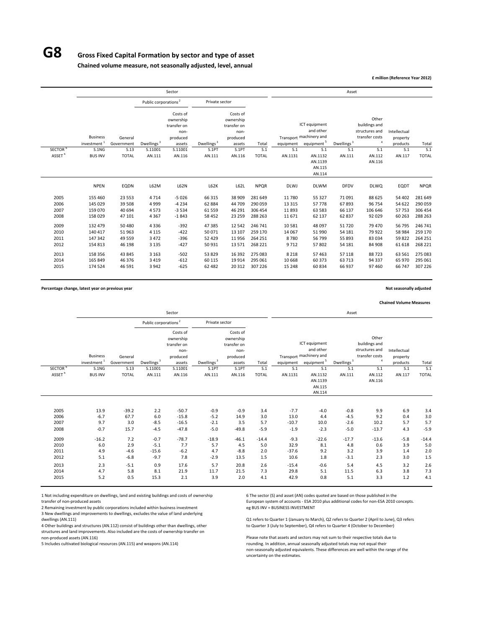## **G8 Gross Fixed Capital Formation by sector and type of asset**

**Chained volume measure, not seasonally adjusted, level, annual**

**£ million (Reference Year 2012)**

|                      |                                            |                            |                                  | Sector                                                             |                              |                                                                    |                               |                             |                                                                                 | Asset                      |                                                                        |                                      |                               |
|----------------------|--------------------------------------------|----------------------------|----------------------------------|--------------------------------------------------------------------|------------------------------|--------------------------------------------------------------------|-------------------------------|-----------------------------|---------------------------------------------------------------------------------|----------------------------|------------------------------------------------------------------------|--------------------------------------|-------------------------------|
|                      |                                            |                            | Public corporations <sup>2</sup> |                                                                    | Private sector               |                                                                    |                               |                             |                                                                                 |                            |                                                                        |                                      |                               |
|                      | <b>Business</b><br>investment <sup>1</sup> | General<br>Government      | Dwellings <sup>3</sup>           | Costs of<br>ownership<br>transfer on<br>non-<br>produced<br>assets | Dwellings <sup>3</sup>       | Costs of<br>ownership<br>transfer on<br>non-<br>produced<br>assets | Total                         | equipment                   | ICT equipment<br>and other<br>Transport machinery and<br>equipment <sup>5</sup> | Dwellings <sup>3</sup>     | Other<br>buildings and<br>structures and<br>transfer costs<br>$\Delta$ | Intellectual<br>property<br>products | Total                         |
| SECTOR <sup>6</sup>  | S.1NG                                      | S.13                       | S.11001                          | S.11001                                                            | S.1PT                        | S.1PT                                                              | S.1                           | S.1                         | S.1                                                                             | S.1                        | S.1                                                                    | S.1                                  | S.1                           |
| ASSET <sup>6</sup>   | <b>BUS INV</b>                             | <b>TOTAL</b>               | AN.111                           | AN.116                                                             | AN.111                       | AN.116                                                             | <b>TOTAL</b>                  | AN.1131                     | AN.1132<br>AN.1139<br>AN.115<br>AN.114                                          | AN.111                     | AN.112<br>AN.116                                                       | AN.117                               | <b>TOTAL</b>                  |
|                      | <b>NPEN</b>                                | EQDN                       | L62M                             | L62N                                                               | L62K                         | L62L                                                               | <b>NPQR</b>                   | <b>DLWJ</b>                 | <b>DLWM</b>                                                                     | <b>DFDV</b>                | <b>DLWQ</b>                                                            | EQDT                                 | <b>NPQR</b>                   |
| 2005                 | 155 460                                    | 23 5 53                    | 4714                             | $-5026$                                                            | 66 315                       | 38 909                                                             | 281 649                       | 11 780                      | 55 327                                                                          | 71091                      | 88 6 25                                                                | 54 402                               | 281 649                       |
| 2006                 | 145 029                                    | 39 508                     | 4999                             | $-4234$                                                            | 62 8 84                      | 44 709                                                             | 290 059                       | 13 3 15                     | 57 778                                                                          | 67893                      | 96 754                                                                 | 54 622                               | 290 059                       |
| 2007                 | 159 070                                    | 40 694                     | 4573                             | $-3534$                                                            | 61 5 5 9                     | 46 291                                                             | 306 454                       | 11893                       | 63 583                                                                          | 66 137                     | 106 646                                                                | 57753                                | 306 454                       |
| 2008                 | 158 029                                    | 47 101                     | 4 3 6 7                          | $-1843$                                                            | 58 4 52                      | 23 25 9                                                            | 288 263                       | 11 671                      | 62 137                                                                          | 62 837                     | 92029                                                                  | 60 263                               | 288 263                       |
| 2009                 | 132 479                                    | 50 480                     | 4336                             | $-392$                                                             | 47385                        | 12 5 42                                                            | 246 741                       | 10 581                      | 48 097                                                                          | 51720                      | 79 470                                                                 | 56 795                               | 246 741                       |
| 2010                 | 140 417                                    | 51 963                     | 4 1 1 5                          | $-422$                                                             | 50071                        | 13 107                                                             | 259 170                       | 14 067                      | 51 990                                                                          | 54 181                     | 79922                                                                  | 58 984                               | 259 170                       |
| 2011                 | 147 342                                    | 49 559                     | 3 4 7 2                          | $-396$                                                             | 52 4 29                      | 11956                                                              | 264 251                       | 8780                        | 56 799                                                                          | 55 893                     | 83034                                                                  | 59822                                | 264 251                       |
| 2012                 | 154 813                                    | 46 198                     | 3 1 3 5                          | $-427$                                                             | 50931                        | 13 571                                                             | 268 221                       | 9712                        | 57 802                                                                          | 54 181                     | 84 908                                                                 | 61 618                               | 268 221                       |
| 2013<br>2014<br>2015 | 158 356<br>165 849<br>174 524              | 43 845<br>46 376<br>46 591 | 3 1 6 3<br>3 4 1 9<br>3942       | $-502$<br>$-612$<br>$-625$                                         | 53 8 29<br>60 115<br>62 4 82 | 16 3 9 2<br>19914<br>20 312                                        | 275 083<br>295 061<br>307 226 | 8 2 1 8<br>10 668<br>15 248 | 57 463<br>60 373<br>60 834                                                      | 57 118<br>63 713<br>66 937 | 88723<br>94 3 3 7<br>97460                                             | 63 561<br>65 970<br>66 747           | 275 083<br>295 061<br>307 226 |
|                      |                                            |                            |                                  |                                                                    |                              |                                                                    |                               |                             |                                                                                 |                            |                                                                        |                                      |                               |

**Percentage change, latest year on previous year Not seasonally adjusted**

**Chained Volume Measures**

|                     |                                            |                       |                                  | Sector                                                             |                        |                                                                    |               |                   |                                                                                 | Asset                  |                                                                        |                                      |               |
|---------------------|--------------------------------------------|-----------------------|----------------------------------|--------------------------------------------------------------------|------------------------|--------------------------------------------------------------------|---------------|-------------------|---------------------------------------------------------------------------------|------------------------|------------------------------------------------------------------------|--------------------------------------|---------------|
|                     |                                            |                       | Public corporations <sup>2</sup> |                                                                    | Private sector         |                                                                    |               |                   |                                                                                 |                        |                                                                        |                                      |               |
|                     | <b>Business</b><br>investment <sup>1</sup> | General<br>Government | Dwellings <sup>3</sup>           | Costs of<br>ownership<br>transfer on<br>non-<br>produced<br>assets | Dwellings <sup>3</sup> | Costs of<br>ownership<br>transfer on<br>non-<br>produced<br>assets | Total         | equipment         | ICT equipment<br>and other<br>Transport machinery and<br>equipment <sup>5</sup> | Dwellings <sup>3</sup> | Other<br>buildings and<br>structures and<br>transfer costs<br>$\Delta$ | Intellectual<br>property<br>products | Total         |
| SECTOR <sup>6</sup> | S.1NG                                      | S.13                  | S.11001                          | S.11001                                                            | S.1PT                  | S.1PT                                                              | S.1           | S.1               | S.1                                                                             | S.1                    | S.1                                                                    | S.1                                  | S.1           |
| ASSET <sup>6</sup>  | <b>BUS INV</b>                             | <b>TOTAL</b>          | AN.111                           | AN.116                                                             | AN.111                 | AN.116                                                             | <b>TOTAL</b>  | AN.1131           | AN.1132<br>AN.1139<br>AN.115<br>AN.114                                          | AN.111                 | AN.112<br>AN.116                                                       | AN.117                               | <b>TOTAL</b>  |
| 2005                | 13.9                                       | $-39.2$               | 2.2                              | $-50.7$                                                            | $-0.9$                 | $-0.9$                                                             | 3.4           | $-7.7$            | $-4.0$                                                                          | $-0.8$                 | 9.9                                                                    | 6.9                                  | 3.4           |
| 2006                | $-6.7$                                     | 67.7                  | 6.0                              | $-15.8$                                                            | $-5.2$                 | 14.9                                                               | 3.0           | 13.0              | 4.4                                                                             | $-4.5$                 | 9.2                                                                    | 0.4                                  | 3.0           |
| 2007<br>2008        | 9.7<br>$-0.7$                              | 3.0<br>15.7           | $-8.5$<br>$-4.5$                 | $-16.5$<br>$-47.8$                                                 | $-2.1$<br>$-5.0$       | 3.5<br>$-49.8$                                                     | 5.7<br>$-5.9$ | $-10.7$<br>$-1.9$ | 10.0<br>$-2.3$                                                                  | $-2.6$<br>$-5.0$       | 10.2<br>$-13.7$                                                        | 5.7<br>4.3                           | 5.7<br>$-5.9$ |
| 2009                | $-16.2$                                    | 7.2                   | $-0.7$                           | $-78.7$                                                            | $-18.9$                | $-46.1$                                                            | $-14.4$       | $-9.3$            | $-22.6$                                                                         | $-17.7$                | $-13.6$                                                                | $-5.8$                               | $-14.4$       |
| 2010                | 6.0                                        | 2.9                   | $-5.1$                           | 7.7                                                                | 5.7                    | 4.5                                                                | 5.0           | 32.9              | 8.1                                                                             | 4.8                    | 0.6                                                                    | 3.9                                  | 5.0           |
| 2011                | 4.9                                        | $-4.6$                | $-15.6$                          | $-6.2$                                                             | 4.7                    | $-8.8$                                                             | 2.0           | $-37.6$           | 9.2                                                                             | 3.2                    | 3.9                                                                    | 1.4                                  | 2.0           |
| 2012                | 5.1                                        | $-6.8$                | $-9.7$                           | 7.8                                                                | $-2.9$                 | 13.5                                                               | 1.5           | 10.6              | 1.8                                                                             | $-3.1$                 | 2.3                                                                    | 3.0                                  | 1.5           |
| 2013                | 2.3                                        | $-5.1$                | 0.9                              | 17.6                                                               | 5.7                    | 20.8                                                               | 2.6           | $-15.4$           | $-0.6$                                                                          | 5.4                    | 4.5                                                                    | 3.2                                  | 2.6           |
| 2014                | 4.7                                        | 5.8                   | 8.1                              | 21.9                                                               | 11.7                   | 21.5                                                               | 7.3           | 29.8              | 5.1                                                                             | 11.5                   | 6.3                                                                    | 3.8                                  | 7.3           |
| 2015                | 5.2                                        | 0.5                   | 15.3                             | 2.1                                                                | 3.9                    | 2.0                                                                | 4.1           | 42.9              | 0.8                                                                             | 5.1                    | 3.3                                                                    | 1.2                                  | 4.1           |

1 Not including expenditure on dwellings, land and existing buildings and costs of ownership 6 The sector (S) and asset (AN) codes quoted are based on those published in the transfer of non-produced assets on those publish

2 Remaining investment by public corporations included within business investment 3 New dwellings and improvements to dwellings, excludes the value of land underlying

4 Other buildings and structures (AN.112) consist of buildings other than dwellings, other to Quarter 3 (July to September), Q4 refers to Quarter 4 (October to December) structures and land improvements. Also included are the costs of ownership transfer on

European system of accounts - ESA 2010 plus additional codes for non-ESA 2010 concepts.<br>eg BUS INV = BUSINESS INVESTMENT

Q1 refers to Quarter 1 (January to March), Q2 refers to Quarter 2 (April to June), Q3 refers

non-produced assets (AN.116) Please note that assets and sectors may not sum to their respective totals due to<br>Please note that assets and sectors may not of their respective totals due to<br>Please note that assets and secto rounding. In addition, annual seasonally adjusted totals may not equal their non‐seasonally adjusted equivalents. These differences are well within the range of the uncertainty on the estimates.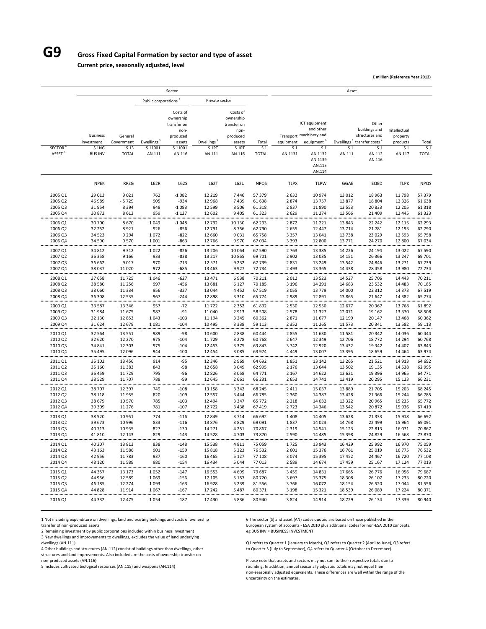## **G9 Gross Fixed Capital Formation by sector and type of asset**

**Current price, seasonally adjusted, level**

**£ million (Reference Year 2012)**

|                    |                                  |                    |                                   | Sector                                                   |                                 |                                                          |                  |                    |                                                       | Asset                         |                                          |                          |                  |
|--------------------|----------------------------------|--------------------|-----------------------------------|----------------------------------------------------------|---------------------------------|----------------------------------------------------------|------------------|--------------------|-------------------------------------------------------|-------------------------------|------------------------------------------|--------------------------|------------------|
|                    |                                  |                    | Public corporations <sup>2</sup>  |                                                          | Private sector                  |                                                          |                  |                    |                                                       |                               |                                          |                          |                  |
|                    | <b>Business</b>                  | General            |                                   | Costs of<br>ownership<br>transfer on<br>non-<br>produced |                                 | Costs of<br>ownership<br>transfer on<br>non-<br>produced |                  |                    | ICT equipment<br>and other<br>Transport machinery and |                               | Other<br>buildings and<br>structures and | Intellectual<br>property |                  |
| <b>SECTOR</b>      | investment <sup>1</sup><br>S.1NG | Government<br>S.13 | Dwellings <sup>:</sup><br>S.11001 | assets<br>S.11001                                        | Dwellings <sup>3</sup><br>S.1PT | assets<br>S.1PT                                          | Total<br>S.1     | equipment<br>S.1   | equipment <sup>5</sup><br>S.1                         | Dwellings <sup>3</sup><br>S.1 | transfer costs <sup>4</sup><br>S.1       | products<br>S.1          | Total<br>S.1     |
| ASSET <sup>6</sup> | <b>BUS INV</b>                   | <b>TOTAL</b>       | AN.111                            | AN.116                                                   | AN.111                          | AN.116                                                   | <b>TOTAL</b>     | AN.1131            | AN.1132<br>AN.1139<br>AN.115<br>AN.114                | AN.111                        | AN.112<br>AN.116                         | AN.117                   | <b>TOTAL</b>     |
|                    | <b>NPEK</b>                      | <b>RPZG</b>        | L62R                              | L62S                                                     | L62T                            | L62U                                                     | <b>NPQS</b>      | <b>TLPX</b>        | <b>TLPW</b>                                           | GGAE                          | EQED                                     | <b>TLPK</b>              | <b>NPQS</b>      |
| 2005 Q1            | 29 013                           | 9021               | 762                               | $-1082$                                                  | 12 2 19                         | 7446                                                     | 57379            | 2 6 3 2            | 10 974                                                | 13 012                        | 18 963                                   | 11798                    | 57 379           |
| 2005 Q2            | 46 989                           | $-5729$            | 905                               | $-934$                                                   | 12 9 68                         | 7439                                                     | 61 638           | 2874               | 13757                                                 | 13877                         | 18 804                                   | 12 3 26                  | 61 638           |
| 2005 Q3            | 31954                            | 8394               | 948                               | $-1083$                                                  | 12 5 9 9                        | 8 5 0 6                                                  | 61 318           | 2837               | 11890                                                 | 13 5 5 3                      | 20833                                    | 12 205                   | 61 318           |
| 2005 Q4<br>2006 Q1 | 30 872<br>30 700                 | 8612<br>8670       | 959<br>1049                       | $-1127$<br>$-1048$                                       | 12 602<br>12792                 | 9 4 0 5<br>10 130                                        | 61 323<br>62 293 | 2 6 2 9<br>2872    | 11 274<br>11 2 2 1                                    | 13 5 6 6<br>13843             | 21 409<br>22 242                         | 12 445<br>12 115         | 61 323<br>62 293 |
| 2006 Q2            | 32 25 2                          | 8921               | 926                               | $-856$                                                   | 12 791                          | 8756                                                     | 62790            | 2655               | 12 447                                                | 13714                         | 21 7 8 1                                 | 12 193                   | 62 790           |
| 2006 Q3            | 34 5 23                          | 9 2 9 4            | 1072                              | $-822$                                                   | 12 660                          | 9031                                                     | 65 758           | 3 3 5 7            | 13 041                                                | 13738                         | 23 0 29                                  | 12 5 93                  | 65 758           |
| 2006 Q4            | 34 5 90                          | 9570               | 1001                              | $-863$                                                   | 12766                           | 9970                                                     | 67034            | 3 3 9 3            | 12 800                                                | 13771                         | 24 270                                   | 12 800                   | 67034<br>.       |
| 2007 Q1            | 34 812                           | 9312               | 1022                              | $-826$                                                   | 13 206                          | 10 064                                                   | 67 590           | 2763               | 13 3 8 5                                              | 14 2 2 6                      | 24 194                                   | 13 0 22                  | 67 590           |
| 2007 Q2            | 36 358                           | 9 1 6 6            | 933                               | $-838$                                                   | 13 217                          | 10865                                                    | 69701            | 2 9 0 2            | 13 0 35                                               | 14 15 1                       | 26 3 66                                  | 13 247                   | 69 701           |
| 2007 Q3            | 36 662                           | 9017               | 970                               | $-713$                                                   | 12 571                          | 9 2 3 2                                                  | 67739            | 2831               | 13 2 4 9                                              | 13 5 42                       | 24 846                                   | 13 27 1                  | 67739            |
| 2007 Q4            | 38 0 37                          | 11 0 20            | 972                               | $-685$                                                   | 13 4 63                         | 9927                                                     | 72 734           | 2 4 9 3            | 13 3 65                                               | 14 4 38                       | 28 4 58                                  | 13 980                   | 72 734           |
| 2008 Q1            | 37 658                           | 11725              | 1046                              | $-627$                                                   | 13 4 7 1                        | 6938                                                     | 70 211           | 2012               | 13 5 23                                               | 14 5 27                       | 25 706                                   | 14 4 43                  | 70 211           |
| 2008 Q2            | 38 5 80                          | 11 256             | 997                               | -456                                                     | 13 681                          | 6 1 2 7                                                  | 70 185           | 3 1 9 6            | 14 291                                                | 14 683                        | 23 5 32                                  | 14 4 83                  | 70 185           |
| 2008 Q3            | 38 060                           | 11 3 3 4           | 956                               | $-327$                                                   | 13 044                          | 4452                                                     | 67 519           | 3055               | 13779                                                 | 14 000                        | 22 3 12                                  | 14 373                   | 67 519           |
| 2008 Q4            | 36 308                           | 12 5 3 5           | 967                               | $-244$                                                   | 12 8 98                         | 3 3 1 0                                                  | 65 774           | 2 9 8 9            | 12 8 9 1                                              | 13 8 65                       | 21 647                                   | 14 3 82                  | 65 774           |
| 2009 Q1            | 33 587                           | 13 3 46            | 957                               | -72                                                      | 11722                           | 2 3 5 2                                                  | 61892            | 2 5 3 0            | 12 5 5 0                                              | 12 677                        | 20 367                                   | 13768                    | 61 892           |
| 2009 Q2<br>2009 Q3 | 31984<br>32 130                  | 11 675             | 987                               | $-91$<br>$-103$                                          | 11 040                          | 2913                                                     | 58 508           | 2578               | 11 3 2 7                                              | 12 071                        | 19 162                                   | 13 370                   | 58 508<br>60 362 |
| 2009 Q4            | 31 624                           | 12853<br>12 679    | 1043<br>1081                      | $-104$                                                   | 11 194<br>10 4 95               | 3 2 4 5<br>3 3 3 8                                       | 60 362<br>59 113 | 2871<br>2 3 5 2    | 11 677<br>11 2 65                                     | 12 199<br>11 573              | 20 147<br>20 341                         | 13 4 68<br>13 5 82       | 59 113           |
|                    |                                  |                    |                                   |                                                          |                                 |                                                          |                  |                    |                                                       |                               |                                          |                          |                  |
| 2010 Q1            | 32 5 64                          | 13 5 5 1           | 989                               | -98                                                      | 10 600                          | 2838                                                     | 60 444           | 2855               | 11 630                                                | 11 581                        | 20 342                                   | 14 036                   | 60 444           |
| 2010 Q2            | 32 6 20                          | 12 270             | 975                               | $-104$                                                   | 11729                           | 3 2 7 8                                                  | 60768            | 2 6 4 7            | 12 3 4 9                                              | 12 706                        | 18772                                    | 14 294                   | 60768            |
| 2010 Q3<br>2010 Q4 | 34 841<br>35 4 95                | 12 3 03<br>12 096  | 975<br>944                        | $-104$<br>$-100$                                         | 12 4 53<br>12 4 5 4             | 3 3 7 5<br>3 0 8 5                                       | 63 843<br>63 974 | 3742<br>4 4 4 9    | 12 9 20<br>13 007                                     | 13 4 32<br>13 3 9 5           | 19 342<br>18 6 5 9                       | 14 407<br>14 4 64        | 63 843<br>63 974 |
| 2011 Q1            | 35 102                           | 13 4 5 6           | 914                               | -95                                                      | 12 3 46                         | 2 9 6 9                                                  | 64 692           | 1851               | 13 142                                                | 13 2 65                       | 21 521                                   | 14 913                   | 64 692           |
| 2011 Q2            | 35 160                           | 11 3 8 3           | 843                               | $-98$                                                    | 12 658                          | 3 0 4 9                                                  | 62 995           | 2 1 7 6            | 13 644                                                | 13 502                        | 19 135                                   | 14 5 38                  | 62 995           |
| 2011 Q3            | 36 459                           | 11729              | 795                               | $-96$                                                    | 12826                           | 3058                                                     | 64 771           | 2 1 6 7            | 14 622                                                | 13 6 21                       | 19 3 96                                  | 14 9 65                  | 64 771           |
| 2011 Q4            | 38 5 29                          | 11 707             | 788                               | -99                                                      | 12 645                          | 2 6 6 1                                                  | 66 231           | 2 6 5 3            | 14 741                                                | 13 4 19                       | 20 295                                   | 15 123                   | 66 231           |
| 2012 Q1            | 38707                            | 12 3 9 7           | 749                               | $-108$                                                   | 13 15 8                         | 3 3 4 2                                                  | 68 245           | 2 4 1 1            | 15 0 37                                               | 13 8 8 9                      | 21 705                                   | 15 203                   | 68 245           |
| 2012 Q2            | 38 1 18                          | 11955              | 820                               | $-109$                                                   | 12 5 5 7                        | 3 4 4 4                                                  | 66785            | 2 3 6 0            | 14 3 8 7                                              | 13 4 28                       | 21 3 6 6                                 | 15 244                   | 66 785           |
| 2012 Q3            | 38 679                           | 10 570             | 785                               | $-103$                                                   | 12 4 9 4                        | 3 3 4 7                                                  | 65 772           | 2 2 1 8            | 14 0 32                                               | 13 3 22                       | 20 965                                   | 15 2 35                  | 65 772           |
| 2012 Q4            | 39 309                           | 11 276             | 781                               | $-107$                                                   | 12722                           | 3 4 3 8                                                  | 67419            | 2723               | 14 3 46                                               | 13 5 42                       | 20872                                    | 15 9 36                  | 67 419           |
| 2013 Q1            | 38 5 20                          | 10951              | 774                               | $-116$                                                   | 12 849                          | 3714                                                     | 66 692           | 1408               | 14 4 05                                               | 13 6 28                       | 21 3 3 3                                 | 15 918                   | 66 692           |
| 2013 Q2            | 39 673                           | 10 996             | 833                               | $-116$                                                   | 13876                           | 3829                                                     | 69 091           | 1837               | 14 0 23                                               | 14 7 68                       | 22 499                                   | 15 964                   | 69 091           |
| 2013 Q3<br>2013 Q4 | 40713<br>41 810                  | 10 9 35<br>12 143  | 827<br>829                        | $-130$<br>$-143$                                         | 14 271<br>14 5 28               | 4 2 5 1<br>4703                                          | 70 867<br>73 870 | 2 3 1 9<br>2 5 9 0 | 14 5 41<br>14 4 8 5                                   | 15 1 23<br>15 3 9 8           | 22 813<br>24 8 29                        | 16 071<br>16 5 68        | 70 867<br>73 870 |
|                    |                                  |                    |                                   |                                                          |                                 |                                                          |                  |                    |                                                       |                               |                                          |                          |                  |
| 2014 Q1            | 40 20 7                          | 13 8 13            | 838                               | $-148$                                                   | 15 5 38                         | 4811                                                     | 75 059           | 1725               | 13 943                                                | 16 4 29                       | 25 992                                   | 16 970                   | 75 059           |
| 2014 Q2            | 43 163                           | 11 5 8 6           | 901                               | $-159$                                                   | 15 8 18                         | 5 2 2 3                                                  | 76 532           | 2 6 0 1            | 15 376                                                | 16 761                        | 25 019                                   | 16 775                   | 76 532           |
| 2014 Q3<br>2014 Q4 | 42 956<br>43 1 20                | 11783<br>11 5 8 9  | 937<br>980                        | $-160$<br>$-154$                                         | 16 4 65<br>16 4 34              | 5 1 2 7<br>5 0 4 4                                       | 77 108<br>77 013 | 3074<br>2 5 8 9    | 15 3 95<br>14 674                                     | 17452<br>17459                | 24 4 67<br>25 167                        | 16 720<br>17 124         | 77 108<br>77 013 |
|                    |                                  |                    |                                   |                                                          |                                 |                                                          |                  |                    |                                                       |                               |                                          |                          |                  |
| 2015 Q1            | 44 3 5 7                         | 13 173             | 1052                              | -147                                                     | 16 5 53                         | 4699                                                     | 79 687           | 3 4 5 9            | 14 8 31                                               | 17 665                        | 26 776                                   | 16 956                   | 79 687           |
| 2015 Q2            | 44 956                           | 12 5 8 9           | 1069                              | $-156$                                                   | 17 105                          | 5 1 5 7                                                  | 80720            | 3697               | 15 375                                                | 18 308                        | 26 107                                   | 17 233                   | 80720            |
| 2015 Q3<br>2015 Q4 | 46 185<br>44 8 28                | 12 274<br>11914    | 1093<br>1067                      | $-163$<br>$-167$                                         | 16928<br>17 242                 | 5 2 3 9<br>5 4 8 7                                       | 81 556<br>80 371 | 3766<br>3 1 9 8    | 16 072                                                | 18 15 4<br>18 5 39            | 26 5 20<br>26 089                        | 17044<br>17 224          | 81 556<br>80 371 |
|                    |                                  |                    |                                   |                                                          |                                 |                                                          |                  |                    | 15 3 2 1                                              |                               |                                          |                          |                  |
| 2016 Q1            | 44 3 32                          | 12 4 7 5           | 1054                              | $-187$                                                   | 17430                           | 5836                                                     | 80 940           | 3824               | 14914                                                 | 18729                         | 26 134                                   | 17 339                   | 80 940           |

1 Not including expenditure on dwellings, land and existing buildings and costs of ownership 6 The sector (S) and asset (AN) codes quoted are based on those published in the

transfer of non-produced assets<br>2 Remaining investment by public corporations included within business investment

3 New dwellings and improvements to dwellings, excludes the value of land underlying

4 Other buildings and structures (AN.112) consist of buildings other than dwellings, other

structures and land improvements. Also included are the costs of ownership transfer on<br>non-produced assets (AN.116) Please note that assets and sectors may not sum to their respective totals due to

o messets to none sets the non-produced as a set of non-ESA 2010 concepts.<br>European system of accounts – ESA 2010 plus additional codes for non-ESA 2010 concepts.<br>eg BUS INV = BUSINESS INVESTMENT

Q1 refers to Quarter 1 (January to March), Q2 refers to Quarter 2 (April to June), Q3 refers<br>to Quarter 3 (July to September), Q4 refers to Quarter 4 (October to December)

5 Includes cultivated biological resources (AN.115) and weapons (AN.114) rounding. In addition, annual seasonally adjusted totals may not equal their non-seasonally adjusted equivalents. These differences are well within the range of the uncertainty on the estimates.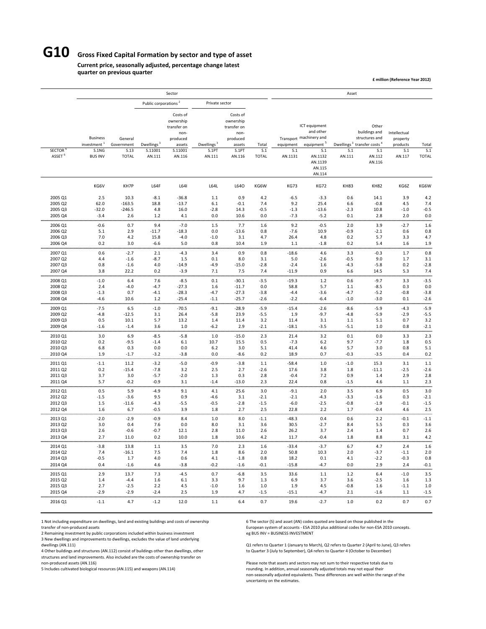## **G10 Gross Fixed Capital Formation by sector and type of asset**

#### **Current price, seasonally adjusted, percentage change latest quarter on previous quarter**

**£ million (Reference Year 2012)**

|                                                |                                                                       |                                               |                                             | Sector                                                                                  |                                           |                                                                                       |                              |                             |                                                                                                                                  | Asset                    |                                                                                                                           |                                                       |                              |
|------------------------------------------------|-----------------------------------------------------------------------|-----------------------------------------------|---------------------------------------------|-----------------------------------------------------------------------------------------|-------------------------------------------|---------------------------------------------------------------------------------------|------------------------------|-----------------------------|----------------------------------------------------------------------------------------------------------------------------------|--------------------------|---------------------------------------------------------------------------------------------------------------------------|-------------------------------------------------------|------------------------------|
|                                                |                                                                       |                                               | Public corporations <sup>2</sup>            |                                                                                         | Private sector                            |                                                                                       |                              |                             |                                                                                                                                  |                          |                                                                                                                           |                                                       |                              |
| <b>SECTOR</b><br>ASSET <sup>6</sup>            | <b>Business</b><br>investment <sup>1</sup><br>S.1NG<br><b>BUS INV</b> | General<br>Government<br>S.13<br><b>TOTAL</b> | Dwellings <sup>3</sup><br>S.11001<br>AN.111 | Costs of<br>ownership<br>transfer on<br>non-<br>produced<br>assets<br>S.11001<br>AN.116 | Dwellings <sup>3</sup><br>S.1PT<br>AN.111 | Costs of<br>ownership<br>transfer on<br>non-<br>produced<br>assets<br>S.1PT<br>AN.116 | Total<br>S.1<br><b>TOTAL</b> | equipment<br>S.1<br>AN.1131 | ICT equipment<br>and other<br>Transport machinery and<br>equipment <sup>5</sup><br>S.1<br>AN.1132<br>AN.1139<br>AN.115<br>AN.114 | S.1<br>AN.111            | Other<br>buildings and<br>structures and<br>Dwellings <sup>3</sup> transfer costs <sup>4</sup><br>S.1<br>AN.112<br>AN.116 | Intellectual<br>property<br>products<br>S.1<br>AN.117 | Total<br>S.1<br><b>TOTAL</b> |
|                                                | KG6V                                                                  | KH7P                                          | L64F                                        | L641                                                                                    | L64L                                      | L64O                                                                                  | KG6W                         | <b>KG73</b>                 | <b>KG72</b>                                                                                                                      | <b>KH83</b>              | <b>KH82</b>                                                                                                               | KG6Z                                                  | KG6W                         |
| 2005 Q1                                        | 2.5                                                                   | 10.3                                          | $-8.1$                                      | $-36.8$                                                                                 | 1.1                                       | 0.9                                                                                   | 4.2                          | $-6.5$                      | $-3.3$                                                                                                                           | 0.6                      | 14.1                                                                                                                      | 3.9                                                   | 4.2                          |
| 2005 Q2                                        | 62.0                                                                  | $-163.5$                                      | 18.8                                        | $-13.7$                                                                                 | 6.1                                       | $-0.1$                                                                                | 7.4                          | 9.2                         | 25.4                                                                                                                             | 6.6                      | $-0.8$                                                                                                                    | 4.5                                                   | 7.4                          |
| 2005 Q3                                        | $-32.0$                                                               | $-246.5$                                      | 4.8                                         | 16.0                                                                                    | $-2.8$                                    | 14.3                                                                                  | $-0.5$                       | $-1.3$                      | $-13.6$                                                                                                                          | $-2.3$                   | 10.8                                                                                                                      | $-1.0$                                                | $-0.5$                       |
| 2005 Q4                                        | $-3.4$                                                                | 2.6                                           | 1.2                                         | 4.1                                                                                     | 0.0                                       | 10.6                                                                                  | 0.0                          | $-7.3$                      | $-5.2$                                                                                                                           | 0.1                      | 2.8                                                                                                                       | 2.0                                                   | 0.0                          |
| 2006 Q1                                        | $-0.6$                                                                | 0.7                                           | 9.4                                         | $-7.0$                                                                                  | 1.5                                       | 7.7                                                                                   | 1.6                          | 9.2                         | $-0.5$                                                                                                                           | 2.0                      | 3.9                                                                                                                       | $-2.7$                                                | 1.6                          |
| 2006 Q2                                        | 5.1                                                                   | 2.9                                           | $-11.7$                                     | $-18.3$                                                                                 | 0.0                                       | $-13.6$                                                                               | 0.8                          | $-7.6$                      | 10.9                                                                                                                             | $-0.9$                   | $-2.1$                                                                                                                    | 0.6                                                   | 0.8                          |
| 2006 Q3                                        | 7.0                                                                   | 4.2                                           | 15.8                                        | $-4.0$                                                                                  | $-1.0$                                    | 3.1                                                                                   | 4.7                          | 26.4                        | 4.8                                                                                                                              | 0.2                      | 5.7                                                                                                                       | 3.3                                                   | 4.7                          |
| 2006 Q4<br><br>2007 Q1                         | 0.2<br>0.6                                                            | 3.0<br><br>$-2.7$                             | $-6.6$<br><br>2.1                           | 5.0<br><br>$-4.3$                                                                       | 0.8<br>.<br>3.4                           | 10.4<br>0.9                                                                           | 1.9<br>.<br>0.8              | 1.1<br>.<br>-18.6           | $-1.8$<br>4.6                                                                                                                    | 0.2<br>.<br>3.3          | 5.4<br><br>$-0.3$                                                                                                         | 1.6<br>.<br>1.7                                       | 1.9<br>u un<br>0.8           |
| 2007 Q2                                        | 4.4                                                                   | $-1.6$                                        | $-8.7$                                      | 1.5                                                                                     | 0.1                                       | 8.0                                                                                   | 3.1                          | 5.0                         | $-2.6$                                                                                                                           | $-0.5$                   | 9.0                                                                                                                       | 1.7                                                   | 3.1                          |
| 2007 Q3                                        | 0.8                                                                   | $-1.6$                                        | 4.0                                         | $-14.9$                                                                                 | $-4.9$                                    | $-15.0$                                                                               | $-2.8$                       | $-2.4$                      | 1.6                                                                                                                              | $-4.3$                   | $-5.8$                                                                                                                    | 0.2                                                   | $-2.8$                       |
| 2007 Q4                                        | 3.8                                                                   | 22.2                                          | 0.2                                         | $-3.9$                                                                                  | 7.1                                       | 7.5                                                                                   | 7.4                          | $-11.9$                     | 0.9                                                                                                                              | 6.6                      | 14.5                                                                                                                      | 5.3                                                   | 7.4                          |
| 2008 Q1<br>2008 Q2<br>2008 Q3                  | $-1.0$<br>2.4<br>$-1.3$                                               | 6.4<br>$-4.0$<br>0.7                          | 7.6<br>$-4.7$<br>$-4.1$                     | $-8.5$<br>$-27.3$<br>$-28.3$                                                            | 0.1<br>1.6<br>$-4.7$                      | $-30.1$<br>$-11.7$<br>$-27.3$                                                         | $-3.5$<br>0.0<br>$-3.8$      | $-19.3$<br>58.8<br>$-4.4$   | $1.2$<br>5.7<br>$-3.6$                                                                                                           | 0.6<br>1.1<br>$-4.7$     | $-9.7$<br>$-8.5$<br>$-5.2$                                                                                                | 3.3<br>0.3<br>$-0.8$                                  | <br>$-3.5$<br>0.0<br>$-3.8$  |
| 2008 Q4                                        | $-4.6$                                                                | 10.6                                          | 1.2                                         | $-25.4$                                                                                 | $-1.1$                                    | $-25.7$                                                                               | $-2.6$                       | $-2.2$                      | $-6.4$                                                                                                                           | $-1.0$                   | $-3.0$                                                                                                                    | 0.1                                                   | $-2.6$                       |
| 2009 Q1                                        | $-7.5$                                                                | 6.5                                           | $-1.0$                                      | $-70.5$                                                                                 | $-9.1$                                    | $-28.9$                                                                               | $-5.9$                       | $-15.4$                     | $-2.6$                                                                                                                           | $-8.6$                   | $-5.9$                                                                                                                    | $-4.3$                                                | $-5.9$                       |
| 2009 Q2                                        | $-4.8$                                                                | $-12.5$                                       | 3.1                                         | 26.4                                                                                    | $-5.8$                                    | 23.9                                                                                  | $-5.5$                       | 1.9                         | $-9.7$                                                                                                                           | $-4.8$                   | $-5.9$                                                                                                                    | $-2.9$                                                | $-5.5$                       |
| 2009 Q3                                        | 0.5                                                                   | 10.1                                          | 5.7                                         | 13.2                                                                                    | 1.4                                       | 11.4                                                                                  | 3.2                          | 11.4                        | 3.1                                                                                                                              | 1.1                      | 5.1                                                                                                                       | 0.7                                                   | 3.2                          |
| 2009 Q4                                        | $-1.6$                                                                | $-1.4$                                        | 3.6                                         | 1.0                                                                                     | $-6.2$                                    | 2.9                                                                                   | $-2.1$                       | $-18.1$                     | $-3.5$                                                                                                                           | $-5.1$                   | 1.0                                                                                                                       | 0.8                                                   | $-2.1$                       |
| 2010 Q1                                        | 3.0                                                                   | 6.9                                           | $-8.5$                                      | $-5.8$                                                                                  | 1.0                                       | $-15.0$                                                                               | 2.3                          | 21.4                        | 3.2                                                                                                                              | 0.1                      | 0.0                                                                                                                       | 3.3                                                   | 2.3                          |
| 2010 Q2                                        | 0.2                                                                   | $-9.5$                                        | $-1.4$                                      | 6.1                                                                                     | 10.7                                      | 15.5                                                                                  | 0.5                          | $-7.3$                      | 6.2                                                                                                                              | 9.7                      | $-7.7$                                                                                                                    | 1.8                                                   | 0.5                          |
| 2010 Q3                                        | 6.8                                                                   | 0.3                                           | 0.0                                         | 0.0                                                                                     | 6.2                                       | 3.0                                                                                   | 5.1                          | 41.4                        | 4.6                                                                                                                              | 5.7                      | 3.0                                                                                                                       | 0.8                                                   | 5.1                          |
| 2010 Q4                                        | 1.9                                                                   | $-1.7$                                        | $-3.2$                                      | $-3.8$                                                                                  | 0.0                                       | $-8.6$                                                                                | 0.2                          | 18.9                        | 0.7                                                                                                                              | $-0.3$                   | $-3.5$                                                                                                                    | 0.4                                                   | 0.2                          |
| 2011 Q1                                        | $-1.1$                                                                | 11.2                                          | $-3.2$                                      | $-5.0$                                                                                  | $-0.9$                                    | $-3.8$                                                                                | 1.1                          | -58.4                       | 1.0                                                                                                                              | $-1.0$                   | 15.3                                                                                                                      | 3.1                                                   | 1.1                          |
| 2011 Q2<br>2011 Q3<br>2011 Q4<br>,,,,,,,,,,,,, | 0.2<br>3.7<br>5.7                                                     | $-15.4$<br>3.0<br>$-0.2$<br>                  | $-7.8$<br>$-5.7$<br>$-0.9$                  | 3.2<br>$-2.0$<br>3.1<br>                                                                | 2.5<br>1.3<br>$-1.4$<br>                  | 2.7<br>0.3<br>$-13.0$                                                                 | $-2.6$<br>2.8<br>2.3<br>     | 17.6<br>$-0.4$<br>22.4      | 3.8<br>7.2<br>0.8                                                                                                                | 1.8<br>0.9<br>$-1.5$<br> | $-11.1$<br>1.4<br>4.6                                                                                                     | $-2.5$<br>2.9<br>1.1<br>                              | $-2.6$<br>2.8<br>2.3<br>     |
| 2012 Q1<br>2012 Q2<br>2012 Q3<br>2012 04       | 0.5<br>$-1.5$<br>1.5                                                  | 5.9<br>$-3.6$<br>$-11.6$                      | -4.9<br>9.5<br>$-4.3$                       | 9.1<br>0.9<br>$-5.5$                                                                    | 4.1<br>$-4.6$<br>$-0.5$                   | 25.6<br>3.1<br>$-2.8$                                                                 | 3.0<br>$-2.1$<br>$-1.5$      | $-9.1$<br>$-2.1$<br>$-6.0$  | 2.0<br>$-4.3$<br>$-2.5$                                                                                                          | 3.5<br>$-3.3$<br>$-0.8$  | 6.9<br>$-1.6$<br>$-1.9$                                                                                                   | 0.5<br>0.3<br>$-0.1$                                  | 3.0<br>$-2.1$<br>$-1.5$      |
| 2013 Q1<br>2013 Q2                             | 1.6<br>$-2.0$<br>3.0                                                  | 6.7<br>$-2.9$<br>0.4                          | $-0.5$<br>$-0.9$<br>7.6                     | 3.9<br>8.4<br>0.0                                                                       | 1.8<br>1.0<br>8.0                         | 2.7<br>8.0<br>3.1                                                                     | 2.5<br>$-1.1$<br>3.6         | 22.8<br>$-48.3$<br>30.5     | 2.2<br>0.4<br>$-2.7$                                                                                                             | 1.7<br>0.6<br>8.4        | $-0.4$<br>2.2<br>5.5                                                                                                      | 4.6<br>$-0.1$<br>0.3                                  | 2.5<br><br>$-1.1$<br>3.6     |
| 2013 Q3                                        | 2.6                                                                   | $-0.6$                                        | $-0.7$                                      | 12.1                                                                                    | 2.8                                       | 11.0                                                                                  | 2.6                          | 26.2                        | 3.7                                                                                                                              | 2.4                      | 1.4                                                                                                                       | 0.7                                                   | 2.6                          |
| 2013 Q4                                        | 2.7                                                                   | 11.0                                          | 0.2                                         | 10.0                                                                                    | 1.8                                       | 10.6                                                                                  | 4.2                          | 11.7                        | $-0.4$                                                                                                                           | 1.8                      | 8.8                                                                                                                       | 3.1                                                   | 4.2                          |
| 2014 Q1                                        | $-3.8$                                                                | 13.8                                          | 1.1                                         | 3.5                                                                                     | $7.0$                                     | 2.3                                                                                   | 1.6                          | -33.4                       | $-3.7$                                                                                                                           | 6.7                      | 4.7                                                                                                                       | 2.4                                                   | 1.6                          |
| 2014 Q2                                        | 7.4                                                                   | $-16.1$                                       | 7.5                                         | 7.4                                                                                     | 1.8                                       | 8.6                                                                                   | 2.0                          | 50.8                        | 10.3                                                                                                                             | 2.0                      | $-3.7$                                                                                                                    | $-1.1$                                                | 2.0                          |
| 2014 Q3                                        | $-0.5$                                                                | 1.7                                           | 4.0                                         | 0.6                                                                                     | 4.1                                       | $-1.8$                                                                                | 0.8                          | 18.2                        | 0.1                                                                                                                              | 4.1                      | $-2.2$                                                                                                                    | $-0.3$                                                | 0.8                          |
| 2014 Q4                                        | 0.4                                                                   | $-1.6$                                        | 4.6                                         | $-3.8$                                                                                  | $-0.2$                                    | $-1.6$                                                                                | $-0.1$                       | $-15.8$                     | $-4.7$                                                                                                                           | 0.0                      | 2.9                                                                                                                       | 2.4                                                   | $-0.1$                       |
| 2015 Q1                                        | 2.9                                                                   | 13.7                                          | 7.3                                         | $-4.5$                                                                                  | 0.7                                       | $-6.8$                                                                                | 3.5                          | 33.6                        | 1.1                                                                                                                              | 1.2                      | 6.4                                                                                                                       | $-1.0$                                                | 3.5                          |
| 2015 Q2                                        | 1.4                                                                   | $-4.4$                                        | 1.6                                         | 6.1                                                                                     | 3.3                                       | 9.7                                                                                   | 1.3                          | 6.9                         | 3.7                                                                                                                              | 3.6                      | $-2.5$                                                                                                                    | 1.6                                                   | 1.3                          |
| 2015 Q3                                        | 2.7                                                                   | $-2.5$                                        | 2.2                                         | 4.5                                                                                     | $-1.0$                                    | 1.6                                                                                   | 1.0                          | 1.9                         | 4.5                                                                                                                              | $-0.8$                   | 1.6                                                                                                                       | $-1.1$                                                | 1.0                          |
| 2015 Q4                                        | $-2.9$                                                                | $-2.9$                                        | $-2.4$                                      | 2.5                                                                                     | 1.9                                       | 4.7                                                                                   | $-1.5$                       | $-15.1$                     | $-4.7$                                                                                                                           | 2.1                      | $-1.6$                                                                                                                    | 1.1                                                   | $-1.5$                       |
| 2016 Q1                                        | $-1.1$                                                                | 4.7                                           | $-1.2$                                      | 12.0                                                                                    | $1.1$                                     | 6.4                                                                                   | 0.7                          | 19.6                        | $-2.7$                                                                                                                           | 1.0                      | 0.2                                                                                                                       | 0.7                                                   | 0.7                          |

1 Not including expenditure on dwellings, land and existing buildings and costs of ownership 6 The sector (S) and asset (AN) codes quoted are based on those published in the

2 Remaining investment by public corporations included within business investment

3 New dwellings and improvements to dwellings, excludes the value of land underlying

4 Other buildings and structures (AN.112) consist of buildings other than dwellings, other structures and land improvements. Also included are the costs of ownership transfer on

transfer of non-produced assets entity public corporations included within business investment<br>
The g BUS INV = BUSINESS INVESTMENT<br>
EUROPEAN SYSTEM SYSTEM SYSTEM SYSTEM SYSTEM SYSTEM SYSTEM SYSTEM SYSTEM SYSTEM SYSTEM SYS

Q1 refers to Quarter 1 (January to March), Q2 refers to Quarter 2 (April to June), Q3 refers<br>to Quarter 3 (July to September), Q4 refers to Quarter 4 (October to December)

non-produced assets (AN.116) Please note that assets and sectors may not sum to their respective totals due to<br>Please note that assets and sectors may not sum to their respective totals due to their respective totals may n rounding. In addition, annual seasonally adjusted totals may not equal their<br>non-seasonally adjusted equivalents. These differences are well within the range of the<br>non-seasonally adjusted equivalents. These differences ar uncertainty on the estimates.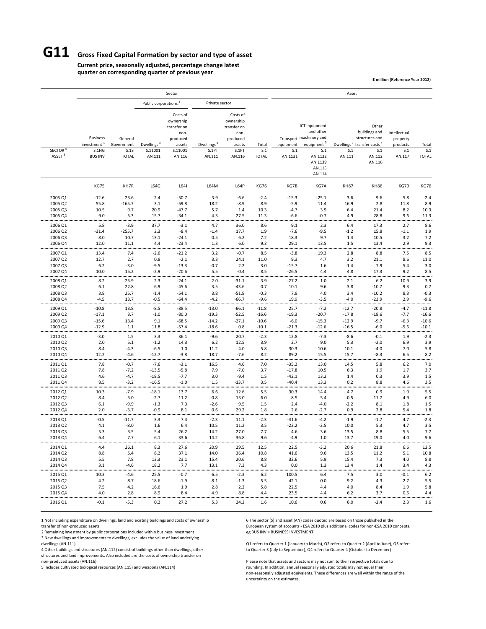# **G11 Gross Fixed Capital Formation by sector and type of asset**

**Current price, seasonally adjusted, percentage change latest quarter on corresponding quarter of previous year**

**£ million (Reference Year 2012)**

|                    |                                            |                       |                                  | Sector                                                             |                        |                                                                    |                    |                  |                                                                                 | Asset              |                                                                                                |                                      |                    |
|--------------------|--------------------------------------------|-----------------------|----------------------------------|--------------------------------------------------------------------|------------------------|--------------------------------------------------------------------|--------------------|------------------|---------------------------------------------------------------------------------|--------------------|------------------------------------------------------------------------------------------------|--------------------------------------|--------------------|
|                    |                                            |                       | Public corporations <sup>2</sup> |                                                                    | Private sector         |                                                                    |                    |                  |                                                                                 |                    |                                                                                                |                                      |                    |
|                    | <b>Business</b><br>investment <sup>1</sup> | General<br>Government | Dwellings <sup>3</sup>           | Costs of<br>ownership<br>transfer on<br>non-<br>produced<br>assets | Dwellings <sup>3</sup> | Costs of<br>ownership<br>transfer on<br>non-<br>produced<br>assets | Total              | equipment        | ICT equipment<br>and other<br>Transport machinery and<br>equipment <sup>5</sup> |                    | Other<br>buildings and<br>structures and<br>Dwellings <sup>3</sup> transfer costs <sup>4</sup> | Intellectual<br>property<br>products | Total              |
| <b>SECTOR</b>      | S.1NG                                      | S.13                  | S.11001                          | S.11001                                                            | S.1PT                  | S.1PT                                                              | S.1                | S.1              | S.1                                                                             | S.1                | S.1                                                                                            | S.1                                  | S.1                |
| ASSET <sup>6</sup> | <b>BUS INV</b>                             | <b>TOTAL</b>          | AN.111                           | AN.116                                                             | AN.111                 | AN.116                                                             | <b>TOTAL</b>       | AN.1131          | AN.1132<br>AN.1139<br>AN.115<br>AN.114                                          | AN.111             | AN.112<br>AN.116                                                                               | AN.117                               | <b>TOTAL</b>       |
|                    | <b>KG75</b>                                | KH7R                  | L64G                             | L64J                                                               | L64M                   | L64P                                                               | <b>KG76</b>        | KG7B             | KG7A                                                                            | <b>KH87</b>        | <b>KH86</b>                                                                                    | <b>KG79</b>                          | <b>KG76</b>        |
| 2005 Q1            | $-12.6$                                    | 23.6                  | 2.4                              | $-50.7$                                                            | 3.9                    | $-6.6$                                                             | $-2.4$             | $-15.3$          | $-25.1$                                                                         | 3.6                | 9.6                                                                                            | 5.8                                  | $-2.4$             |
| 2005 Q2            | 55.8                                       | $-165.7$              | 3.1                              | $-59.8$                                                            | 18.2                   | $-8.9$                                                             | 8.9                | $-5.9$           | 11.4                                                                            | 16.9               | 2.8                                                                                            | 11.8                                 | 8.9                |
| 2005 Q3<br>2005 Q4 | 10.5<br>9.0                                | 9.7<br>5.3            | 20.9<br>15.7                     | $-47.7$<br>$-34.1$                                                 | 5.7<br>4.3             | 1.4<br>27.5                                                        | 10.3<br>11.3       | $-4.7$<br>$-6.6$ | 3.9<br>$-0.7$                                                                   | 6.4<br>4.9         | 21.4<br>28.8                                                                                   | 8.2<br>9.6                           | 10.3<br>11.3       |
| 2006 Q1            | 5.8                                        | $-3.9$                | 37.7                             | $-3.1$                                                             | 4.7                    | 36.0                                                               | 8.6                | 9.1              | 2.3                                                                             | 6.4                | 17.3                                                                                           | 2.7                                  | 8.6                |
| 2006 Q2            | $-31.4$                                    | $-255.7$              | 2.3                              | $-8.4$                                                             | $-1.4$                 | 17.7                                                               | 1.9                | $-7.6$           | $-9.5$                                                                          | $-1.2$             | 15.8                                                                                           | $-1.1$                               | 1.9                |
| 2006 Q3            | 8.0                                        | 10.7                  | 13.1                             | $-24.1$                                                            | 0.5                    | $6.2$                                                              | 7.2                | 18.3             | 9.7                                                                             | 1.4                | 10.5                                                                                           | 3.2                                  | 7.2                |
| 2006 Q4            | 12.0                                       | 11.1                  | 4.4                              | $-23.4$                                                            | 1.3<br>.               | 6.0                                                                | 9.3                | 29.1             | 13.5                                                                            | 1.5                | 13.4                                                                                           | 2.9<br>                              | 9.3<br>.           |
| 2007 Q1            | 13.4                                       | 7.4                   | $-2.6$                           | $-21.2$                                                            | 3.2                    | $-0.7$                                                             | 8.5                | $-3.8$           | 19.3                                                                            | 2.8                | 8.8                                                                                            | 7.5                                  | 8.5                |
| 2007 Q2<br>2007 Q3 | 12.7<br>6.2                                | 2.7<br>$-3.0$         | 0.8<br>$-9.5$                    | $-2.1$<br>$-13.3$                                                  | 3.3<br>$-0.7$          | 24.1<br>2.2                                                        | 11.0<br>3.0        | 9.3<br>$-15.7$   | 4.7<br>1.6                                                                      | 3.2<br>$-1.4$      | 21.1<br>7.9                                                                                    | 8.6<br>5.4                           | 11.0<br>3.0        |
| 2007 Q4            | 10.0                                       | 15.2                  | $-2.9$                           | $-20.6$                                                            | 5.5                    | $-0.4$                                                             | 8.5                | $-26.5$          | 4.4                                                                             | 4.8                | 17.3                                                                                           | 9.2                                  | 8.5                |
| 2008 Q1            | 8.2                                        | 25.9                  | 2.3                              | $-24.1$                                                            | 2.0                    | $-31.1$                                                            | 3.9                | $-27.2$          | $1.0$                                                                           | 2.1                | 6.2                                                                                            | 10.9                                 | 3.9                |
| 2008 Q2            | 6.1                                        | 22.8                  | 6.9                              | $-45.6$                                                            | 3.5                    | $-43.6$                                                            | 0.7                | 10.1             | 9.6                                                                             | 3.8                | $-10.7$                                                                                        | 9.3                                  | 0.7                |
| 2008 Q3            | 3.8                                        | 25.7                  | $-1.4$                           | $-54.1$                                                            | 3.8                    | $-51.8$                                                            | $-0.3$             | 7.9              | 4.0                                                                             | 3.4                | $-10.2$                                                                                        | 8.3                                  | $-0.3$             |
| 2008 Q4            | $-4.5$                                     | 13.7                  | $-0.5$                           | $-64.4$                                                            | $-4.2$                 | $-66.7$                                                            | $-9.6$             | 19.9             | $-3.5$                                                                          | $-4.0$             | $-23.9$                                                                                        | 2.9                                  | $-9.6$             |
| 2009 Q1<br>2009 Q2 | $-10.8$<br>$-17.1$                         | 13.8<br>3.7           | $-8.5$<br>$-1.0$                 | $-88.5$<br>$-80.0$                                                 | $-13.0$<br>$-19.3$     | $-66.1$<br>$-52.5$                                                 | $-11.8$<br>$-16.6$ | 25.7<br>$-19.3$  | $-7.2$<br>$-20.7$                                                               | $-12.7$<br>$-17.8$ | $-20.8$<br>$-18.6$                                                                             | $-4.7$<br>$-7.7$                     | $-11.8$<br>$-16.6$ |
| 2009 Q3            | $-15.6$                                    | 13.4                  | 9.1                              | $-68.5$                                                            | $-14.2$                | $-27.1$                                                            | $-10.6$            | $-6.0$           | $-15.3$                                                                         | $-12.9$            | $-9.7$                                                                                         | $-6.3$                               | $-10.6$            |
| 2009 Q4            | $-12.9$                                    | 1.1                   | 11.8                             | $-57.4$                                                            | $-18.6$                | 0.8                                                                | $-10.1$            | $-21.3$          | $-12.6$                                                                         | $-16.5$            | $-6.0$                                                                                         | $-5.6$                               | $-10.1$            |
| 2010 Q1            | $-3.0$                                     | 1.5                   | 3.3                              | 36.1                                                               | $-9.6$                 | 20.7                                                               | $-2.3$             | 12.8             | $-7.3$                                                                          | $-8.6$             | $-0.1$                                                                                         | 1.9                                  | $-2.3$             |
| 2010 Q2            | 2.0                                        | 5.1                   | $-1.2$                           | 14.3                                                               | 6.2                    | 12.5                                                               | 3.9                | 2.7              | 9.0                                                                             | 5.3                | $-2.0$                                                                                         | 6.9                                  | 3.9                |
| 2010 Q3<br>2010 Q4 | 8.4<br>12.2                                | $-4.3$<br>$-4.6$      | $-6.5$<br>$-12.7$                | 1.0<br>$-3.8$                                                      | 11.2<br>18.7           | 4.0<br>$-7.6$                                                      | 5.8<br>8.2         | 30.3<br>89.2     | 10.6<br>15.5                                                                    | 10.1<br>15.7       | $-4.0$<br>$-8.3$                                                                               | 7.0<br>6.5                           | 5.8<br>8.2         |
| 2011 Q1            | 7.8                                        | $-0.7$                | $-7.6$                           | $-3.1$                                                             | 16.5                   | 4.6                                                                | 7.0                | $-35.2$          | 13.0                                                                            | 14.5               | 5.8                                                                                            | 6.2                                  | 7.0                |
| 2011 Q2            | 7.8                                        | $-7.2$                | $-13.5$                          | $-5.8$                                                             | 7.9                    | $-7.0$                                                             | 3.7                | $-17.8$          | 10.5                                                                            | 6.3                | 1.9                                                                                            | 1.7                                  | 3.7                |
| 2011 Q3            | 4.6                                        | $-4.7$                | $-18.5$                          | $-7.7$                                                             | 3.0                    | $-9.4$                                                             | 1.5                | $-42.1$          | 13.2                                                                            | 1.4                | 0.3                                                                                            | 3.9                                  | 1.5                |
| 2011 Q4<br>        | 8.5                                        | $-3.2$<br>            | $-16.5$<br>,,,,,,,,,             | $-1.0$<br>                                                         | 1.5<br>                | $-13.7$<br>                                                        | 3.5<br>            | $-40.4$          | 13.3<br>                                                                        | 0.2<br>            | 8.8<br>                                                                                        | 4.6<br>                              | 3.5<br>.           |
| 2012 Q1            | 10.3                                       | $-7.9$                | $-18.1$                          | 13.7                                                               | 6.6                    | 12.6                                                               | 5.5                | 30.3             | 14.4                                                                            | 4.7                | 0.9                                                                                            | 1.9                                  | 5.5                |
| 2012 Q2<br>2012 Q3 | 8.4<br>6.1                                 | 5.0<br>$-9.9$         | $-2.7$<br>$-1.3$                 | 11.2<br>7.3                                                        | $-0.8$<br>$-2.6$       | 13.0<br>9.5                                                        | 6.0<br>1.5         | 8.5<br>2.4       | 5.4<br>$-4.0$                                                                   | $-0.5$<br>$-2.2$   | 11.7<br>8.1                                                                                    | 4.9<br>1.8                           | 6.0<br>1.5         |
| 2012 Q4            | 2.0                                        | $-3.7$                | $-0.9$                           | 8.1                                                                | 0.6                    | 29.2                                                               | 1.8                | 2.6              | $-2.7$                                                                          | 0.9                | 2.8                                                                                            | 5.4                                  | 1.8                |
| 2013 Q1            | $-0.5$                                     | $-11.7$               | 3.3                              | 7.4                                                                | $-2.3$                 | 11.1                                                               | $-2.3$             | $-41.6$          | $-4.2$                                                                          | $-1.9$             | $-1.7$                                                                                         | 4.7                                  | $-2.3$             |
| 2013 Q2            | 4.1                                        | $-8.0$                | 1.6                              | 6.4                                                                | 10.5                   | 11.2                                                               | 3.5                | $-22.2$          | $-2.5$                                                                          | 10.0               | 5.3                                                                                            | 4.7                                  | 3.5                |
| 2013 Q3            | 5.3                                        | 3.5                   | 5.4                              | 26.2                                                               | 14.2                   | 27.0                                                               | 7.7                | 4.6              | 3.6                                                                             | 13.5               | 8.8                                                                                            | 5.5                                  | 7.7                |
| 2013 04            | 6.4                                        | 7.7                   | 6.1                              | 33.6                                                               | 14.2                   | 36.8                                                               | 9.6                | $-4.9$           | 1.0                                                                             | 13.7               | 19.0                                                                                           | 4.0                                  | 9.6                |
| 2014 Q1<br>2014 Q2 | 4.4<br>8.8                                 | 26.1<br>5.4           | 8.3<br>8.2                       | 27.6<br>37.1                                                       | 20.9<br>14.0           | 29.5<br>36.4                                                       | 12.5<br>10.8       | 22.5<br>41.6     | $-3.2$<br>9.6                                                                   | 20.6<br>13.5       | 21.8<br>11.2                                                                                   | 6.6<br>$5.1\,$                       | 12.5<br>10.8       |
| 2014 Q3            | 5.5                                        | 7.8                   | 13.3                             | 23.1                                                               | 15.4                   | 20.6                                                               | 8.8                | 32.6             | 5.9                                                                             | 15.4               | 7.3                                                                                            | 4.0                                  | 8.8                |
| 2014 Q4            | 3.1                                        | $-4.6$                | 18.2                             | 7.7                                                                | 13.1                   | 7.3                                                                | 4.3                | 0.0              | 1.3                                                                             | 13.4               | 1.4                                                                                            | 3.4                                  | 4.3                |
| 2015 Q1            | 10.3                                       | $-4.6$                | 25.5                             | $-0.7$                                                             | 6.5                    | $-2.3$                                                             | 6.2                | 100.5            | 6.4                                                                             | 7.5                | 3.0                                                                                            | $-0.1$                               | 6.2                |
| 2015 Q2            | 4.2                                        | 8.7                   | 18.6                             | $-1.9$                                                             | 8.1                    | $-1.3$                                                             | 5.5                | 42.1             | 0.0                                                                             | 9.2                | 4.3                                                                                            | 2.7                                  | 5.5                |
| 2015 Q3<br>2015 Q4 | 7.5<br>4.0                                 | 4.2<br>2.8            | 16.6<br>8.9                      | 1.9<br>8.4                                                         | 2.8<br>4.9             | 2.2<br>8.8                                                         | 5.8<br>4.4         | 22.5<br>23.5     | 4.4<br>4.4                                                                      | 4.0<br>$6.2$       | 8.4<br>3.7                                                                                     | 1.9<br>0.6                           | 5.8<br>4.4         |
| 2016 Q1            | $-0.1$                                     | $-5.3$                | 0.2                              | 27.2                                                               | 5.3                    | 24.2                                                               | 1.6                | 10.6             | 0.6                                                                             | 6.0                | $-2.4$                                                                                         | 2.3                                  | 1.6                |

1 Not including expenditure on dwellings, land and existing buildings and costs of ownership 6 The sector (S) and asset (AN) codes quoted are based on those published in the transfer of non-produced assets 6 or non-ESA 201

2 Remaining investment by public corporations included within business investment

3 New dwellings and improvements to dwellings, excludes the value of land underlying

4 Other buildings and structures (AN.112) consist of buildings other than dwellings, other structures and land improvements. Also included are the costs of ownership transfer on

European system of accounts - ESA 2010 plus additional codes for non-ESA 2010 concepts.<br>eg BUS INV = BUSINESS INVESTMENT

dwellings (AN.111) (and the United States 2 (April to June), Q3 refers to Quarter 1 (January to March), Q2 refers to Quarter 2 (April to June), Q3 refers to Quarter 2 (April to June), Q3 refers to Quarter 3 (University Cha

non-produced assets (AN.116) Please note that assets and sectors may not sum to their respective totals due to<br>Please note that assets and sectors may not sum to their respective totals due to their respective totals may n rounding. In addition, annual seasonally adjusted totals may not equal their<br>non-seasonally adjusted equivalents. These differences are well within the range of the<br>non-seasonally adjusted equivalents. These differences ar uncertainty on the estimates.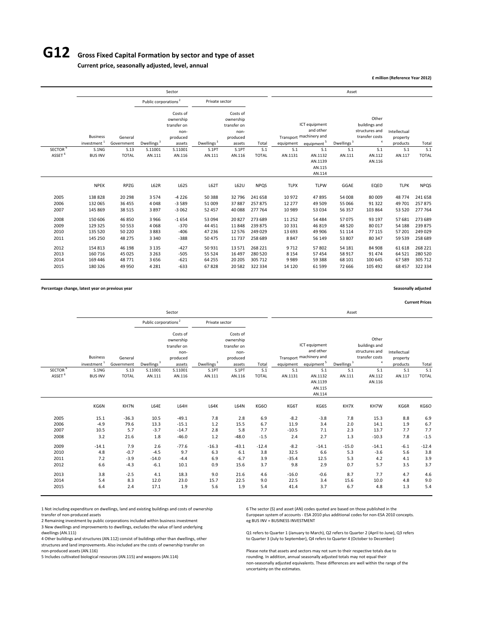# **G12 Gross Fixed Capital Formation by sector and type of asset**

**Current price, seasonally adjusted, level, annual**

**£ million (Reference Year 2012)**

|                     |                                            |                       |                                  | Sector                                                             |                        |                                                                    |              |             |                                                                                 | Asset                  |                                                                          |                                      |              |
|---------------------|--------------------------------------------|-----------------------|----------------------------------|--------------------------------------------------------------------|------------------------|--------------------------------------------------------------------|--------------|-------------|---------------------------------------------------------------------------------|------------------------|--------------------------------------------------------------------------|--------------------------------------|--------------|
|                     |                                            |                       | Public corporations <sup>2</sup> |                                                                    | Private sector         |                                                                    |              |             |                                                                                 |                        |                                                                          |                                      |              |
|                     | <b>Business</b><br>investment <sup>1</sup> | General<br>Government | Dwellings <sup>3</sup>           | Costs of<br>ownership<br>transfer on<br>non-<br>produced<br>assets | Dwellings <sup>3</sup> | Costs of<br>ownership<br>transfer on<br>non-<br>produced<br>assets | Total        | equipment   | ICT equipment<br>and other<br>Transport machinery and<br>equipment <sup>5</sup> | Dwellings <sup>3</sup> | Other<br>buildings and<br>structures and<br>transfer costs<br>$\ddot{a}$ | Intellectual<br>property<br>products | Total        |
| SECTOR <sup>6</sup> | S.1NG                                      | S.13                  | S.11001                          | S.11001                                                            | S.1PT                  | S.1PT                                                              | S.1          | S.1         | S.1                                                                             | S.1                    | S.1                                                                      | S.1                                  | S.1          |
| ASSET <sup>6</sup>  | <b>BUS INV</b>                             | <b>TOTAL</b>          | AN.111                           | AN.116                                                             | AN.111                 | AN.116                                                             | <b>TOTAL</b> | AN.1131     | AN.1132<br>AN.1139<br>AN.115<br>AN.114                                          | AN.111                 | AN.112<br>AN.116                                                         | AN.117                               | <b>TOTAL</b> |
|                     | <b>NPEK</b>                                | RPZG                  | L62R                             | L62S                                                               | L62T                   | L62U                                                               | <b>NPQS</b>  | <b>TLPX</b> | <b>TLPW</b>                                                                     | GGAE                   | EQED                                                                     | <b>TLPK</b>                          | <b>NPQS</b>  |
| 2005                | 138828                                     | 20 29 8               | 3 5 7 4                          | $-4226$                                                            | 50 388                 | 32 796                                                             | 241 658      | 10 972      | 47895                                                                           | 54 008                 | 80 009                                                                   | 48774                                | 241 658      |
| 2006                | 132 065                                    | 36 455                | 4 0 4 8                          | $-3589$                                                            | 51 009                 | 37887                                                              | 257875       | 12 277      | 49 509                                                                          | 55 066                 | 91322                                                                    | 49 701                               | 257875       |
| 2007                | 145 869                                    | 38 515                | 3897                             | $-3062$                                                            | 52 457                 | 40 088                                                             | 277 764      | 10 989      | 53 034                                                                          | 56 357                 | 103 864                                                                  | 53 520                               | 277 764      |
| 2008                | 150 606                                    | 46 850                | 3966                             | $-1654$                                                            | 53 094                 | 20827                                                              | 273 689      | 11 25 2     | 54 484                                                                          | 57075                  | 93 197                                                                   | 57 681                               | 273 689      |
| 2009                | 129 325                                    | 50 553                | 4068                             | $-370$                                                             | 44 4 51                | 11848                                                              | 239 875      | 10 3 3 1    | 46 819                                                                          | 48 5 20                | 80017                                                                    | 54 188                               | 239 875      |
| 2010                | 135 520                                    | 50 220                | 3883                             | $-406$                                                             | 47 236                 | 12576                                                              | 249 029      | 13 693      | 49 906                                                                          | 51 1 1 4               | 77 115                                                                   | 57 201                               | 249 029      |
| 2011                | 145 250                                    | 48 275                | 3 3 4 0                          | $-388$                                                             | 50 475                 | 11 7 37                                                            | 258 689      | 8847        | 56 149                                                                          | 53 807                 | 80 347                                                                   | 59 539                               | 258 689      |
| 2012                | 154 813                                    | 46 198                | 3 1 3 5                          | $-427$                                                             | 50931                  | 13571                                                              | 268 221      | 9712        | 57802                                                                           | 54 181                 | 84 908                                                                   | 61 618                               | 268 221      |
| 2013                | 160 716                                    | 45 0 25               | 3 2 6 3                          | $-505$                                                             | 55 5 24                | 16 497                                                             | 280 520      | 8 1 5 4     | 57 454                                                                          | 58 917                 | 91 474                                                                   | 64 5 21                              | 280 520      |
| 2014                | 169 446                                    | 48 771                | 3656                             | $-621$                                                             | 64 255                 | 20 20 5                                                            | 305 712      | 9989        | 59 388                                                                          | 68 101                 | 100 645                                                                  | 67 589                               | 305 712      |
| 2015                | 180 326                                    | 49 950                | 4 2 8 1                          | $-633$                                                             | 67828                  | 20582                                                              | 322 334      | 14 120      | 61 599                                                                          | 72 6 6 6               | 105 492                                                                  | 68 457                               | 322 334      |

**Percentage change, latest year on previous year Seasonally adjusted**

**Current Prices**

|                      |                                            |                        |                                  | Sector                                                             |                        |                                                                    |                   |                           |                                                                                 | Asset                  |                                                                              |                                      |                   |
|----------------------|--------------------------------------------|------------------------|----------------------------------|--------------------------------------------------------------------|------------------------|--------------------------------------------------------------------|-------------------|---------------------------|---------------------------------------------------------------------------------|------------------------|------------------------------------------------------------------------------|--------------------------------------|-------------------|
|                      |                                            |                        | Public corporations <sup>2</sup> |                                                                    | Private sector         |                                                                    |                   |                           |                                                                                 |                        |                                                                              |                                      |                   |
|                      | <b>Business</b><br>investment <sup>1</sup> | General<br>Government  | Dwellings <sup>3</sup>           | Costs of<br>ownership<br>transfer on<br>non-<br>produced<br>assets | Dwellings <sup>3</sup> | Costs of<br>ownership<br>transfer on<br>non-<br>produced<br>assets | Total             | equipment                 | ICT equipment<br>and other<br>Transport machinery and<br>equipment <sup>5</sup> | Dwellings <sup>3</sup> | Other<br>buildings and<br>structures and<br>transfer costs<br>$\overline{4}$ | Intellectual<br>property<br>products | Total             |
| SECTOR <sup>6</sup>  | S.1NG                                      | S.13                   | S.11001                          | S.11001                                                            | S.1PT                  | S.1PT                                                              | S.1               | S.1                       | S.1                                                                             | S.1                    | S.1                                                                          | S.1                                  | S.1               |
| ASSET <sup>6</sup>   | <b>BUS INV</b>                             | <b>TOTAL</b>           | AN.111                           | AN.116                                                             | AN.111                 | AN.116                                                             | <b>TOTAL</b>      | AN.1131                   | AN.1132<br>AN.1139<br>AN.115<br>AN.114                                          | AN.111                 | AN.112<br>AN.116                                                             | AN.117                               | <b>TOTAL</b>      |
|                      | KG6N                                       | KH7N                   | L64E                             | L64H                                                               | L64K                   | L64N                                                               | KG6O              | KG6T                      | KG6S                                                                            | KH7X                   | KH7W                                                                         | KG6R                                 | KG6O              |
| 2005<br>2006<br>2007 | 15.1<br>$-4.9$<br>10.5                     | $-36.3$<br>79.6<br>5.7 | 10.5<br>13.3<br>$-3.7$           | $-49.1$<br>$-15.1$<br>$-14.7$                                      | 7.8<br>1.2<br>2.8      | 2.8<br>15.5<br>5.8                                                 | 6.9<br>6.7<br>7.7 | $-8.2$<br>11.9<br>$-10.5$ | $-3.8$<br>3.4<br>7.1                                                            | 7.8<br>2.0<br>2.3      | 15.3<br>14.1<br>13.7                                                         | 8.8<br>1.9<br>7.7                    | 6.9<br>6.7<br>7.7 |
| 2008                 | 3.2                                        | 21.6                   | 1.8                              | $-46.0$                                                            | 1.2                    | $-48.0$                                                            | $-1.5$            | 2.4                       | 2.7                                                                             | 1.3                    | $-10.3$                                                                      | 7.8                                  | $-1.5$            |
| 2009<br>2010         | $-14.1$<br>4.8                             | 7.9<br>$-0.7$          | 2.6<br>$-4.5$                    | $-77.6$<br>9.7                                                     | $-16.3$<br>6.3         | $-43.1$<br>6.1                                                     | $-12.4$<br>3.8    | $-8.2$<br>32.5            | $-14.1$<br>6.6                                                                  | $-15.0$<br>5.3         | $-14.1$<br>$-3.6$                                                            | $-6.1$<br>5.6                        | $-12.4$<br>3.8    |
| 2011<br>2012         | 7.2<br>6.6                                 | $-3.9$<br>$-4.3$       | $-14.0$<br>$-6.1$                | $-4.4$<br>10.1                                                     | 6.9<br>0.9             | $-6.7$<br>15.6                                                     | 3.9<br>3.7        | $-35.4$<br>9.8            | 12.5<br>2.9                                                                     | 5.3<br>0.7             | 4.2<br>5.7                                                                   | 4.1<br>3.5                           | 3.9<br>3.7        |
| 2013<br>2014         | 3.8<br>5.4                                 | $-2.5$<br>8.3          | 4.1<br>12.0                      | 18.3<br>23.0                                                       | 9.0<br>15.7            | 21.6<br>22.5                                                       | 4.6<br>9.0        | $-16.0$<br>22.5           | $-0.6$<br>3.4                                                                   | 8.7<br>15.6            | 7.7<br>10.0                                                                  | 4.7<br>4.8                           | 4.6<br>9.0        |
| 2015                 | 6.4                                        | 2.4                    | 17.1                             | 1.9                                                                | 5.6                    | 1.9                                                                | 5.4               | 41.4                      | 3.7                                                                             | 6.7                    | 4.8                                                                          | 1.3                                  | 5.4               |

1 Not including expenditure on dwellings, land and existing buildings and costs of ownership 6 The sector (S) and asset (AN) codes quoted are based on those published in the

2 Remaining investment by public corporations included within business investment 3 New dwellings and improvements to dwellings, excludes the value of land underlying

4 Other buildings and structures (AN.112) consist of buildings other than dwellings, other structures and land improvements. Also included are the costs of ownership transfer on

transfer of non‐produced assets European system of accounts - ESA 2010 plus additional codes for non‐ESA 2010 concepts.<br>2 Remaining investment by public corporations included within business investment eg BUS INV = BUSINES

Q1 refers to Quarter 1 (January to March), Q2 refers to Quarter 2 (April to June), Q3 refers<br>to Quarter 3 (July to September), Q4 refers to Quarter 4 (October to December)

Please note that assets and sectors may not sum to their respective totals due to 5 Includes cultivated biological resources (AN.115) and weapons (AN.114) rounding. In addition, annual seasonally adjusted totals may not equal their non‐seasonally adjusted equivalents. These differences are well within the range of the uncertainty on the estimates.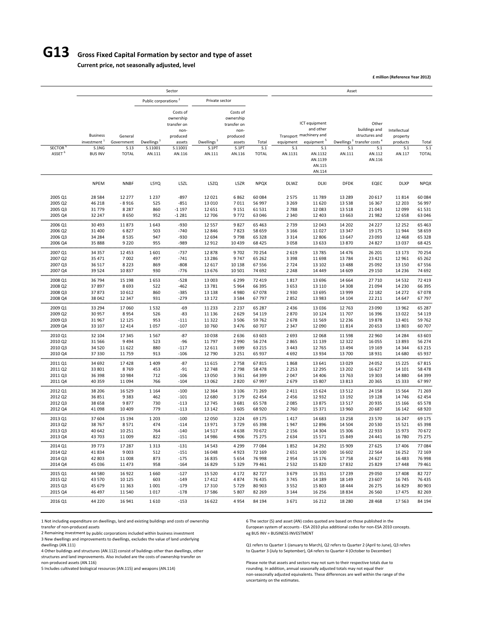# **G13 Gross Fixed Capital Formation by sector and type of asset**

**Current price, not seasonally adjusted, level**

**£ million (Reference Year 2012)**

|                                     |                         |                      |                                  | Sector                                                   |                        |                                                          |                     |                    |                                                       | Asset                  |                                          |                          |                     |
|-------------------------------------|-------------------------|----------------------|----------------------------------|----------------------------------------------------------|------------------------|----------------------------------------------------------|---------------------|--------------------|-------------------------------------------------------|------------------------|------------------------------------------|--------------------------|---------------------|
|                                     |                         |                      | Public corporations <sup>2</sup> |                                                          | Private sector         |                                                          |                     |                    |                                                       |                        |                                          |                          |                     |
|                                     | <b>Business</b>         | General              |                                  | Costs of<br>ownership<br>transfer on<br>non-<br>produced |                        | Costs of<br>ownership<br>transfer on<br>non-<br>produced |                     |                    | ICT equipment<br>and other<br>Transport machinery and |                        | Other<br>buildings and<br>structures and | Intellectual<br>property |                     |
|                                     | investment <sup>1</sup> | Government           | Dwellings <sup>3</sup>           | assets                                                   | Dwellings <sup>3</sup> | assets                                                   | Total               | equipment          | equipment <sup>5</sup>                                | Dwellings <sup>3</sup> | transfer costs <sup>4</sup>              | products                 | Total               |
| <b>SECTOR</b><br>ASSET <sup>6</sup> | S.1NG<br><b>BUS INV</b> | S.13<br><b>TOTAL</b> | S.11001<br>AN.111                | S.11001<br>AN.116                                        | S.1PT<br>AN.111        | S.1PT<br>AN.116                                          | S.1<br><b>TOTAL</b> | S.1<br>AN.1131     | S.1<br>AN.1132<br>AN.1139<br>AN.115<br>AN.114         | S.1<br>AN.111          | S.1<br>AN.112<br>AN.116                  | S.1<br>AN.117            | S.1<br><b>TOTAL</b> |
|                                     | <b>NPEM</b>             | <b>NNBF</b>          | L5YQ                             | L5ZL                                                     | L5ZQ                   | L5ZR                                                     | <b>NPQX</b>         | <b>DLWZ</b>        | <b>DLXI</b>                                           | <b>DFDK</b>            | EQEC                                     | <b>DLXP</b>              | <b>NPQX</b>         |
| 2005 Q1                             | 28 5 84                 | 12 277               | 1 2 3 7                          | $-897$                                                   | 12 0 21                | 6862                                                     | 60 084              | 2575               | 11789                                                 | 13 2 8 9               | 20 617                                   | 11814                    | 60 084              |
| 2005 Q2                             | 46 218                  | $-8916$              | 525                              | $-851$                                                   | 13 010                 | 7011                                                     | 56 997              | 3 2 6 9            | 11 6 20                                               | 13 5 38                | 16 3 67                                  | 12 203                   | 56 997              |
| 2005 Q3                             | 31779                   | 8 2 8 7              | 860                              | $-1197$                                                  | 12 651                 | 9 1 5 1                                                  | 61 5 31             | 2788               | 12 083                                                | 13 5 18                | 21 043                                   | 12 099                   | 61 531              |
| 2005 Q4                             | 32 247                  | 8650                 | 952                              | $-1281$                                                  | 12 706                 | 9772                                                     | 63 046              | 2 3 4 0            | 12 4 03                                               | 13 6 63                | 21 982                                   | 12 658                   | 63 046              |
| 2006 Q1                             | 30 493                  | 11873                | 1643                             | -930                                                     | 12 5 5 7               | 9827                                                     | 65 4 63             | 2739               | 12 043                                                | 14 202                 | 24 227                                   | 12 2 5 2                 | 65 4 63             |
| 2006 Q2                             | 31 400                  | 6827                 | 503                              | $-740$                                                   | 12 8 46                | 7823                                                     | 58 659              | 3 1 6 6            | 11 0 27                                               | 13 347                 | 19 17 5                                  | 11944                    | 58 659              |
| 2006 Q3<br>2006 Q4                  | 34 284<br>35 888        | 8535<br>9 2 2 0      | 947<br>955                       | $-930$<br>-989                                           | 12 694<br>12 912       | 9798<br>10 4 39                                          | 65 328<br>68 4 25   | 3 3 1 4<br>3058    | 12 806<br>13 633                                      | 13 647<br>13870        | 23 093<br>24 8 27                        | 12 4 68<br>13 0 37       | 65 328<br>68 4 25   |
|                                     |                         |                      |                                  |                                                          |                        |                                                          |                     |                    |                                                       |                        |                                          |                          |                     |
| 2007 Q1<br>2007 Q2                  | 34 357<br>35 4 7 1      | 12 453<br>7002       | 1601<br>497                      | -737<br>$-741$                                           | 12878<br>13 2 8 6      | 9702<br>9747                                             | 70 254<br>65 262    | 2 6 1 9<br>3 3 9 8 | 13785<br>11 698                                       | 14 4 7 6               | 26 201<br>23 4 21                        | 13 173<br>12 961         | 70 254<br>65 262    |
| 2007 Q3                             | 36 517                  | 8 2 2 3              | 869                              | $-808$                                                   | 12 617                 | 10 138                                                   | 67556               | 2724               | 13 102                                                | 13784<br>13 4 8 8      | 25 092                                   | 13 150                   | 67 556              |
| 2007 Q4                             | 39524                   | 10837                | 930                              | $-776$                                                   | 13 676                 | 10 501                                                   | 74 692              | 2 2 4 8            | 14 4 4 9                                              | 14 609                 | 29 150                                   | 14 2 36                  | 74 692              |
|                                     |                         |                      |                                  |                                                          |                        |                                                          |                     |                    |                                                       |                        |                                          |                          | .                   |
| 2008 Q1<br>2008 Q2                  | 36 794<br>37897         | 15 198<br>8693       | 1653<br>522                      | $-528$<br>-462                                           | 13 003<br>13781        | 6 2 9 9<br>5964                                          | 72 419<br>66 395    | 1817<br>3 6 5 3    | 13 696<br>13 110                                      | 14 664<br>14 308       | 27710<br>21 094                          | 14 5 32<br>14 2 30       | 72 419<br>66 395    |
| 2008 Q3                             | 37873                   | 10 612               | 860                              | $-385$                                                   | 13 138                 | 4980                                                     | 67078               | 2930               | 13 695                                                | 13 999                 | 22 182                                   | 14 27 2                  | 67078               |
| 2008 Q4                             | 38 042                  | 12 3 4 7             | 931                              | $-279$                                                   | 13 172                 | 3584                                                     | 67797               | 2852               | 13 983                                                | 14 104                 | 22 211                                   | 14 647                   | 67 797              |
| 2009 Q1                             | 33 294                  | 17 060               | 1532                             | $-69$                                                    | 11 2 3 3               | 2 2 3 7                                                  | 65 287              | 2 4 3 6            | 13 0 36                                               | 12 763                 | 23 090                                   | 13 962                   | 65 287              |
| 2009 Q2                             | 30 957                  | 8954                 | 526                              | -83                                                      | 11 136                 | 2 6 2 9                                                  | 54 119              | 2870               | 10 124                                                | 11 707                 | 16 39 6                                  | 13 0 22                  | 54 119              |
| 2009 Q3                             | 31967                   | 12 1 25              | 953                              | $-111$                                                   | 11 3 22                | 3 5 0 6                                                  | 59762               | 2678               | 11 5 6 9                                              | 12 2 3 6               | 19878                                    | 13 401                   | 59 762              |
| 2009 Q4                             | 33 107                  | 12 4 14              | 1057                             | $-107$                                                   | 10 760                 | 3 4 7 6                                                  | 60 70 7             | 2 3 4 7            | 12 090                                                | 11814                  | 20 653                                   | 13 803                   | 60 70 7             |
| 2010 Q1                             | 32 104                  | 17 345               | 1567                             | $-87$                                                    | 10 0 38                | 2 6 3 6                                                  | 63 603              | 2 6 9 3            | 12 068                                                | 11 5 98                | 22 960                                   | 14 284                   | 63 603              |
| 2010 Q2                             | 31566                   | 9494                 | 523                              | $-96$                                                    | 11 797                 | 2 9 9 0                                                  | 56 274              | 2865               | 11 139                                                | 12 3 22                | 16 055                                   | 13 893                   | 56 274              |
| 2010 Q3                             | 34 5 20                 | 11 622               | 880                              | $-117$                                                   | 12 6 11                | 3699                                                     | 63 215              | 3 4 4 3            | 12 7 65                                               | 13 4 94                | 19 16 9                                  | 14 344                   | 63 215              |
| 2010 Q4                             | 37 330                  | 11759                | 913                              | $-106$                                                   | 12 790                 | 3 2 5 1                                                  | 65 937              | 4692               | 13 9 34                                               | 13 700                 | 18 9 31                                  | 14 680                   | 65 937              |
| 2011 Q1                             | 34 692                  | 17428                | 1 4 0 9                          | $-87$                                                    | 11 6 15                | 2758                                                     | 67815               | 1868               | 13 641                                                | 13 0 29                | 24 052                                   | 15 2 25                  | 67815               |
| 2011 Q2                             | 33 801                  | 8769                 | 453                              | $-91$                                                    | 12 748                 | 2798                                                     | 58 478              | 2 2 5 3            | 12 2 9 5                                              | 13 202                 | 16 627                                   | 14 10 1                  | 58 478              |
| 2011 Q3                             | 36 398                  | 10 9 84              | 712                              | $-106$                                                   | 13 0 50                | 3 3 6 1                                                  | 64 399              | 2 0 4 7            | 14 4 06                                               | 13763                  | 19 303                                   | 14 880                   | 64 399              |
| 2011 Q4                             | 40 359                  | 11 094               | 766                              | $-104$<br>                                               | 13 062                 | 2820<br>.                                                | 67 997              | 2 6 7 9<br>        | 15 807                                                | 13813                  | 20 365                                   | 15 3 33                  | 67 997<br>.         |
| 2012 Q1                             | 38 206                  | 16 5 29              | 1 1 6 4                          | $-100$                                                   | 12 3 64                | 3 1 0 6                                                  | 71 269              | 2411               | 15 624                                                | 13 5 12                | 24 158                                   | 15 5 64                  | 71 269              |
| 2012 Q2                             | 36 851                  | 9383                 | 462                              | $-101$                                                   | 12 680                 | 3 1 7 9                                                  | 62 454              | 2456               | 12 9 32                                               | 13 192                 | 19 1 28                                  | 14 746                   | 62 454              |
| 2012 Q3<br>2012 Q4                  | 38 658<br>41 098        | 9877<br>10 409       | 730<br>779                       | $-113$<br>$-113$                                         | 12745<br>13 142        | 3 6 8 1<br>3 6 0 5                                       | 65 578<br>68 9 20   | 2 0 8 5<br>2760    | 13875<br>15 3 7 1                                     | 13517<br>13 960        | 20 935<br>20 687                         | 15 166<br>16 142         | 65 578<br>68 9 20   |
|                                     |                         |                      |                                  |                                                          |                        |                                                          |                     |                    |                                                       |                        |                                          |                          |                     |
| 2013 Q1                             | 37 604                  | 15 194               | 1 2 0 3                          | $-100$                                                   | 12 050                 | 3 2 2 4                                                  | 69 175              | 1417               | 14 683                                                | 13 2 5 8               | 23 570                                   | 16 247                   | 69 175              |
| 2013 Q2                             | 38767                   | 8571                 | 474                              | $-114$                                                   | 13 971                 | 3729                                                     | 65 398              | 1947               | 12 8 96                                               | 14 5 04                | 20 530                                   | 15 5 21                  | 65 398              |
| 2013 Q3<br>2013 Q4                  | 40 642<br>43703         | 10 25 1<br>11 009    | 764<br>822                       | $-140$<br>$-151$                                         | 14 5 17<br>14 986      | 4638<br>4906                                             | 70 672<br>75 275    | 2 1 5 6<br>2 6 3 4 | 14 304<br>15 5 7 1                                    | 15 306<br>15 8 49      | 22 933<br>24 441                         | 15 973<br>16 780         | 70 672<br>75 275    |
|                                     |                         |                      |                                  |                                                          |                        |                                                          |                     |                    |                                                       |                        |                                          |                          |                     |
| 2014 Q1<br>2014 Q2                  | 39773<br>41834          | 17 287<br>9003       | 1 3 1 3<br>512                   | $-131$<br>$-151$                                         | 14 5 43<br>16 048      | 4 2 9 9<br>4923                                          | 77 084<br>72 169    | 1852<br>2651       | 14 2 9 2<br>14 100                                    | 15 909<br>16 602       | 27 625<br>22 5 64                        | 17 40 6<br>16 25 2       | 77 084<br>72 169    |
| 2014 Q3                             | 42 803                  | 11 008               | 873                              | $-175$                                                   | 16835                  | 5 6 5 4                                                  | 76 998              | 2954               | 15 176                                                | 17758                  | 24 627                                   | 16 483                   | 76 998              |
| 2014 Q4                             | 45 0 36                 | 11 4 7 3             | 958                              | $-164$                                                   | 16829                  | 5 3 2 9                                                  | 79 4 61             | 2532               | 15 8 20                                               | 17832                  | 25 8 29                                  | 17 448                   | 79 4 61             |
|                                     |                         |                      |                                  |                                                          |                        |                                                          |                     |                    |                                                       |                        |                                          |                          |                     |
| 2015 Q1<br>2015 Q2                  | 44 5 80                 | 16922<br>10 125      | 1660<br>603                      | -127                                                     | 15 5 20                | 4 1 7 2                                                  | 82727               | 3679               | 15 3 5 1                                              | 17 239                 | 29 050                                   | 17408                    | 82727               |
| 2015 Q3                             | 43 570<br>45 679        | 11 3 63              | 1001                             | -149<br>$-179$                                           | 17412<br>17 310        | 4874<br>5729                                             | 76 435<br>80 903    | 3745<br>3 5 5 2    | 14 189<br>15 803                                      | 18 14 9<br>18 4 44     | 23 607<br>26 275                         | 16745<br>16829           | 76 435<br>80 903    |
| 2015 Q4                             | 46 497                  | 11 540               | 1017                             | $-178$                                                   | 17586                  | 5 8 0 7                                                  | 82 269              | 3 1 4 4            | 16 25 6                                               | 18834                  | 26 560                                   | 17475                    | 82 269              |
|                                     |                         |                      |                                  |                                                          |                        |                                                          |                     |                    |                                                       |                        |                                          |                          |                     |
| 2016 Q1                             | 44 2 20                 | 16 941               | 1610                             | $-153$                                                   | 16 622                 | 4954                                                     | 84 194              | 3671               | 16 212                                                | 18 2 8 0               | 28 4 68                                  | 17 563                   | 84 194              |

1 Not including expenditure on dwellings, land and existing buildings and costs of ownership 6 The sector (S) and asset (AN) codes quoted are based on those published in the

2 Remaining investment by public corporations included within business investment

3 New dwellings and improvements to dwellings, excludes the value of land underlying

structures and land improvements. Also included are the costs of ownership transfer on

transfer of non-produced assets entity public corporations included within business investment<br>
The BUSINV = BUSINESS INVESTMENT exactions included within business investment<br>
European system of accounts - ESA 2010 plus ad

Q1 refers to Quarter 1 (January to March), Q2 refers to Quarter 2 (April to June), Q3 refers 4 Other buildings and structures (AN.112) consist of buildings other than dwellings, other to Quarter 3 (July to September), Q4 refers to Quarter 4 (October to December)

non-produced assets (AN.116)<br>
Please note that assets and sectors may not sum to their respective totals due to<br>
Founding. In addition, annual seasonally adjusted totals may not equal their<br>
Sincludes cultivated biological rounding. In addition, annual seasonally adjusted totals may not equal their non‐seasonally adjusted equivalents. These differences are well within the range of the uncertainty on the estimates.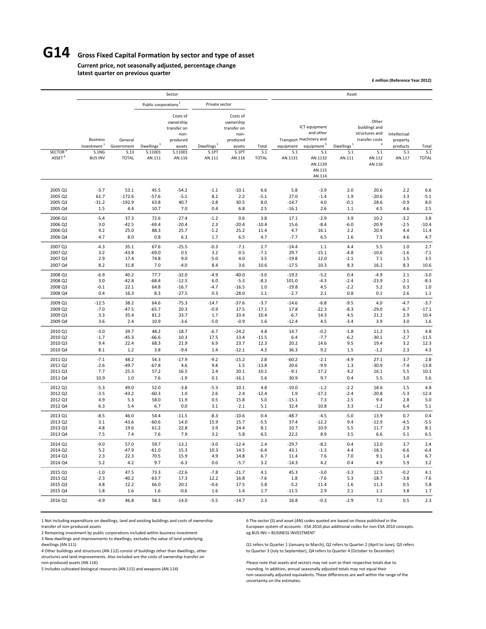# **G14 Gross Fixed Capital Formation by sector and type of asset**

#### **Current price, not seasonally adjusted, percentage change latest quarter on previous quarter**

**£ million (Reference Year 2012)**

|                                     |                                                                       |                                               |                                             | Sector                                                                                  |                                           |                                                                                       |                              |                             |                                                                                                                                  | Asset                           |                                                                                                         |                                                       |                              |
|-------------------------------------|-----------------------------------------------------------------------|-----------------------------------------------|---------------------------------------------|-----------------------------------------------------------------------------------------|-------------------------------------------|---------------------------------------------------------------------------------------|------------------------------|-----------------------------|----------------------------------------------------------------------------------------------------------------------------------|---------------------------------|---------------------------------------------------------------------------------------------------------|-------------------------------------------------------|------------------------------|
|                                     |                                                                       |                                               | Public corporations <sup>2</sup>            |                                                                                         | Private sector                            |                                                                                       |                              |                             |                                                                                                                                  |                                 |                                                                                                         |                                                       |                              |
| <b>SECTOR</b><br>ASSET <sup>6</sup> | <b>Business</b><br>investment <sup>1</sup><br>S.1NG<br><b>BUS INV</b> | General<br>Government<br>S.13<br><b>TOTAL</b> | Dwellings <sup>3</sup><br>S.11001<br>AN.111 | Costs of<br>ownership<br>transfer on<br>non-<br>produced<br>assets<br>S.11001<br>AN.116 | Dwellings <sup>3</sup><br>S.1PT<br>AN.111 | Costs of<br>ownership<br>transfer on<br>non-<br>produced<br>assets<br>S.1PT<br>AN.116 | Total<br>S.1<br><b>TOTAL</b> | equipment<br>S.1<br>AN.1131 | ICT equipment<br>and other<br>Transport machinery and<br>equipment <sup>5</sup><br>S.1<br>AN.1132<br>AN.1139<br>AN.115<br>AN.114 | Dwellings $^3$<br>S.1<br>AN.111 | Other<br>buildings and<br>structures and<br>transfer costs<br>$\overline{4}$<br>S.1<br>AN.112<br>AN.116 | Intellectual<br>property<br>products<br>S.1<br>AN.117 | Total<br>S.1<br><b>TOTAL</b> |
|                                     |                                                                       |                                               |                                             |                                                                                         |                                           |                                                                                       |                              |                             |                                                                                                                                  |                                 |                                                                                                         |                                                       |                              |
| 2005 Q1<br>2005 Q2                  | $-3.7$<br>61.7                                                        | 53.1<br>$-172.6$                              | 45.5<br>$-57.6$                             | $-54.2$<br>$-5.1$                                                                       | $-1.1$<br>8.2                             | $-10.1$<br>2.2                                                                        | 6.6<br>$-5.1$                | 5.8<br>27.0                 | $-3.9$<br>$-1.4$                                                                                                                 | 2.0<br>1.9                      | 20.6<br>$-20.6$                                                                                         | 2.2<br>3.3                                            | 6.6<br>$-5.1$                |
| 2005 Q3                             | $-31.2$                                                               | $-192.9$                                      | 63.8                                        | 40.7                                                                                    | $-2.8$                                    | 30.5                                                                                  | 8.0                          | $-14.7$                     | 4.0                                                                                                                              | $-0.1$                          | 28.6                                                                                                    | $-0.9$                                                | 8.0                          |
| 2005 Q4                             | 1.5                                                                   | 4.4                                           | 10.7                                        | 7.0                                                                                     | 0.4                                       | 6.8                                                                                   | 2.5                          | $-16.1$                     | 2.6                                                                                                                              | 1.1                             | 4.5                                                                                                     | 4.6                                                   | 2.5                          |
| 2006 Q1                             | $-5.4$                                                                | 37.3                                          | 72.6                                        | $-27.4$                                                                                 | $-1.2$                                    | 0.6                                                                                   | 3.8                          | 17.1                        | $-2.9$                                                                                                                           | 3.9                             | 10.2                                                                                                    | $-3.2$                                                | 3.8                          |
| 2006 Q2                             | 3.0                                                                   | $-42.5$                                       | $-69.4$                                     | $-20.4$                                                                                 | 2.3                                       | $-20.4$                                                                               | $-10.4$                      | 15.6                        | $-8.4$                                                                                                                           | $-6.0$                          | $-20.9$                                                                                                 | $-2.5$                                                | $-10.4$                      |
| 2006 Q3                             | 9.2                                                                   | 25.0                                          | 88.3                                        | 25.7                                                                                    | $-1.2$                                    | 25.2                                                                                  | 11.4                         | 4.7                         | 16.1                                                                                                                             | 2.2                             | 20.4                                                                                                    | 4.4                                                   | 11.4                         |
| 2006 Q4                             | 4.7                                                                   | 8.0                                           | 0.8                                         | 6.3                                                                                     | 1.7                                       | 6.5                                                                                   | 4.7                          | $-7.7$                      | 6.5                                                                                                                              | 1.6                             | 7.5                                                                                                     | 4.6                                                   | 4.7                          |
| 2007 Q1                             | $-4.3$                                                                | 35.1                                          | 67.6                                        | $-25.5$                                                                                 | $-0.3$                                    | $-7.1$                                                                                | 2.7                          | $-14.4$                     | $1.1$                                                                                                                            | 4.4                             | 5.5                                                                                                     | $1.0\,$                                               | 2.7                          |
| 2007 Q2                             | 3.2                                                                   | $-43.8$                                       | $-69.0$                                     | 0.5                                                                                     | 3.2                                       | 0.5                                                                                   | $-7.1$                       | 29.7                        | $-15.1$                                                                                                                          | $-4.8$                          | $-10.6$                                                                                                 | $-1.6$                                                | $-7.1$                       |
| 2007 Q3                             | 2.9                                                                   | 17.4                                          | 74.8                                        | 9.0                                                                                     | $-5.0$                                    | 4.0                                                                                   | 3.5                          | $-19.8$                     | 12.0                                                                                                                             | $-2.1$                          | 7.1                                                                                                     | 1.5                                                   | 3.5                          |
| 2007 Q4                             | 8.2                                                                   | 31.8                                          | 7.0                                         | $-4.0$                                                                                  | 8.4                                       | 3.6                                                                                   | 10.6                         | $-17.5$                     | 10.3                                                                                                                             | 8.3                             | 16.2                                                                                                    | 8.3                                                   | 10.6                         |
| 2008 Q1                             | $-6.9$                                                                | .<br>40.2                                     | <br>77.7                                    | .<br>$-32.0$                                                                            | <br>$-4.9$                                | $-40.0$                                                                               | <br>$-3.0$                   | <br>$-19.2$                 | $-5.2$                                                                                                                           | 0.4                             | $-4.9$                                                                                                  | <br>2.1                                               | .<br>$-3.0$                  |
| 2008 Q2                             | 3.0                                                                   | $-42.8$                                       | $-68.4$                                     | $-12.5$                                                                                 | 6.0                                       | $-5.3$                                                                                | $-8.3$                       | 101.0                       | $-4.3$                                                                                                                           | $-2.4$                          | $-23.9$                                                                                                 | $-2.1$                                                | $-8.3$                       |
| 2008 Q3                             | $-0.1$                                                                | 22.1                                          | 64.8                                        | $-16.7$                                                                                 | $-4.7$                                    | $-16.5$                                                                               | 1.0                          | $-19.8$                     | 4.5                                                                                                                              | $-2.2$                          | 5.2                                                                                                     | 0.3                                                   | 1.0                          |
| 2008 Q4                             | 0.4                                                                   | 16.3                                          | 8.3                                         | $-27.5$                                                                                 | 0.3                                       | $-28.0$                                                                               | 1.1                          | $-2.7$                      | 2.1                                                                                                                              | 0.8                             | 0.1                                                                                                     | 2.6                                                   | 1.1                          |
| 2009 Q1                             | $-12.5$                                                               | 38.2                                          | 64.6                                        | $-75.3$                                                                                 | $-14.7$                                   | $-37.6$                                                                               | $-3.7$                       | $-14.6$                     | $-6.8$                                                                                                                           | $-9.5$                          | 4.0                                                                                                     | $-4.7$                                                | $-3.7$                       |
| 2009 Q2                             | $-7.0$                                                                | $-47.5$                                       | $-65.7$                                     | 20.3                                                                                    | $-0.9$                                    | 17.5                                                                                  | $-17.1$                      | 17.8                        | $-22.3$                                                                                                                          | $-8.3$                          | $-29.0$                                                                                                 | $-6.7$                                                | $-17.1$                      |
| 2009 Q3                             | 3.3                                                                   | 35.4                                          | 81.2                                        | 33.7                                                                                    | 1.7                                       | 33.4                                                                                  | 10.4                         | $-6.7$                      | 14.3                                                                                                                             | 4.5                             | 21.2                                                                                                    | 2.9                                                   | 10.4                         |
| 2009 Q4                             | 3.6                                                                   | 2.4                                           | 10.9                                        | $-3.6$                                                                                  | $-5.0$                                    | $-0.9$                                                                                | 1.6                          | $-12.4$                     | 4.5                                                                                                                              | $-3.4$                          | 3.9                                                                                                     | 3.0                                                   | 1.6                          |
| 2010 Q1                             | $-3.0$                                                                | 39.7                                          | 48.2                                        | $-18.7$                                                                                 | $-6.7$                                    | $-24.2$                                                                               | 4.8                          | 14.7                        | $-0.2$                                                                                                                           | $-1.8$                          | 11.2                                                                                                    | 3.5                                                   | 4.8                          |
| 2010 Q2                             | $-1.7$                                                                | $-45.3$                                       | $-66.6$                                     | 10.3                                                                                    | 17.5                                      | 13.4                                                                                  | $-11.5$                      | 6.4                         | $-7.7$                                                                                                                           | 6.2                             | $-30.1$                                                                                                 | $-2.7$                                                | $-11.5$                      |
| 2010 Q3                             | 9.4                                                                   | 22.4                                          | 68.3                                        | 21.9                                                                                    | 6.9                                       | 23.7                                                                                  | 12.3                         | 20.2                        | 14.6                                                                                                                             | 9.5                             | 19.4                                                                                                    | 3.2                                                   | 12.3                         |
| 2010 Q4                             | 8.1                                                                   | 1.2                                           | 3.8                                         | $-9.4$                                                                                  | 1.4                                       | $-12.1$                                                                               | 4.3                          | 36.3                        | 9.2                                                                                                                              | 1.5                             | $-1.2$                                                                                                  | 2.3                                                   | 4.3                          |
| 2011 Q1                             | $-7.1$                                                                | 48.2                                          | 54.3                                        | $-17.9$                                                                                 | $-9.2$                                    | $-15.2$                                                                               | 2.8                          | $-60.2$                     | $-2.1$                                                                                                                           | $-4.9$                          | 27.1                                                                                                    | 3.7                                                   | 2.8                          |
| 2011 Q2                             | $-2.6$                                                                | $-49.7$                                       | $-67.8$                                     | 4.6                                                                                     | 9.8                                       | 1.5                                                                                   | $-13.8$                      | 20.6                        | $-9.9$                                                                                                                           | 1.3                             | $-30.9$                                                                                                 | $-7.4$                                                | $-13.8$                      |
| 2011 Q3                             | 7.7                                                                   | 25.3                                          | 57.2                                        | 16.5                                                                                    | 2.4                                       | 20.1                                                                                  | 10.1                         | $-9.1$                      | 17.2                                                                                                                             | 4.2                             | 16.1                                                                                                    | 5.5                                                   | 10.1                         |
| 2011 Q4                             | 10.9                                                                  | 1.0                                           | 7.6                                         | $-1.9$                                                                                  | 0.1                                       | $-16.1$                                                                               | 5.6                          | 30.9                        | 9.7                                                                                                                              | 0.4                             | 5.5                                                                                                     | 3.0                                                   | 5.6                          |
| 2012 Q1                             | $-5.3$                                                                | 49.0                                          | 52.0                                        | $-3.8$                                                                                  | $-5.3$                                    | 10.1                                                                                  | 4.8                          | $-10.0$                     | $-1.2$                                                                                                                           | $-2.2$                          | 18.6                                                                                                    | 1.5                                                   | 4.8                          |
| 2012 Q2                             | $-3.5$                                                                | $-43.2$                                       | $-60.3$                                     | 1.0                                                                                     | 2.6                                       | 2.4                                                                                   | $-12.4$                      | 1.9                         | $-17.2$                                                                                                                          | $-2.4$                          | $-20.8$                                                                                                 | $-5.3$                                                | $-12.4$                      |
| 2012 Q3                             | 4.9                                                                   | 5.3                                           | 58.0                                        | 11.9                                                                                    | 0.5                                       | 15.8                                                                                  | 5.0                          | $-15.1$                     | 7.3                                                                                                                              | 2.5                             | 9.4                                                                                                     | 2.8                                                   | 5.0                          |
| 2012 Q4                             | 6.3                                                                   | 5.4                                           | 6.7                                         | 0.0                                                                                     | 3.1                                       | $-2.1$                                                                                | 5.1                          | 32.4                        | 10.8                                                                                                                             | 3.3                             | $-1.2$                                                                                                  | 6.4                                                   | 5.1                          |
| 2013 Q1                             | $-8.5$                                                                | 46.0                                          | 54.4                                        | $-11.5$                                                                                 | $-8.3$                                    | $-10.6$                                                                               | 0.4                          | $-48.7$                     | $-4.5$                                                                                                                           | $-5.0$                          | 13.9                                                                                                    | 0.7                                                   | 0.4                          |
| 2013 Q2                             | 3.1                                                                   | $-43.6$                                       | $-60.6$                                     | 14.0                                                                                    | 15.9                                      | 15.7                                                                                  | $-5.5$                       | 37.4                        | $-12.2$                                                                                                                          | 9.4                             | $-12.9$                                                                                                 | $-4.5$                                                | $-5.5$                       |
| 2013 Q3<br>2013 Q4                  | 4.8<br>7.5                                                            | 19.6<br>7.4                                   | 61.2<br>7.6                                 | 22.8<br>7.9                                                                             | 3.9<br>3.2                                | 24.4<br>5.8                                                                           | 8.1<br>6.5                   | 10.7<br>22.2                | 10.9<br>8.9                                                                                                                      | 5.5<br>3.5                      | 11.7<br>6.6                                                                                             | 2.9<br>5.1                                            | 8.1<br>6.5                   |
|                                     |                                                                       |                                               |                                             |                                                                                         |                                           |                                                                                       |                              |                             |                                                                                                                                  |                                 |                                                                                                         |                                                       |                              |
| 2014 Q1                             | $-9.0$                                                                | 57.0                                          | 59.7                                        | $-13.2$                                                                                 | $-3.0$                                    | $-12.4$                                                                               | 2.4                          | $-29.7$                     | $-8.2$                                                                                                                           | 0.4                             | 13.0                                                                                                    | 3.7                                                   | 2.4                          |
| 2014 Q2<br>2014 Q3                  | 5.2<br>2.3                                                            | $-47.9$<br>22.3                               | $-61.0$<br>70.5                             | 15.3<br>15.9                                                                            | 10.3<br>4.9                               | 14.5<br>14.8                                                                          | $-6.4$<br>6.7                | 43.1<br>11.4                | $-1.3$<br>7.6                                                                                                                    | 4.4<br>7.0                      | $-18.3$<br>9.1                                                                                          | $-6.6$<br>1.4                                         | $-6.4$<br>6.7                |
| 2014 Q4                             | 5.2                                                                   | 4.2                                           | 9.7                                         | $-6.3$                                                                                  | 0.0                                       | $-5.7$                                                                                | 3.2                          | $-14.3$                     | 4.2                                                                                                                              | 0.4                             | 4.9                                                                                                     | 5.9                                                   | 3.2                          |
|                                     |                                                                       |                                               |                                             |                                                                                         |                                           |                                                                                       |                              |                             |                                                                                                                                  |                                 |                                                                                                         |                                                       |                              |
| 2015 Q1                             | $-1.0$                                                                | 47.5                                          | 73.3                                        | $-22.6$                                                                                 | $-7.8$                                    | $-21.7$                                                                               | 4.1                          | 45.3                        | $-3.0$                                                                                                                           | $-3.3$                          | 12.5                                                                                                    | $-0.2$                                                | 4.1                          |
| 2015 Q2<br>2015 Q3                  | $-2.3$<br>4.8                                                         | $-40.2$<br>12.2                               | $-63.7$<br>66.0                             | 17.3<br>20.1                                                                            | 12.2<br>$-0.6$                            | 16.8<br>17.5                                                                          | $-7.6$<br>5.8                | 1.8<br>$-5.2$               | $-7.6$<br>11.4                                                                                                                   | 5.3<br>1.6                      | $-18.7$<br>11.3                                                                                         | $-3.8$<br>0.5                                         | $-7.6$<br>5.8                |
| 2015 Q4                             | 1.8                                                                   | 1.6                                           | 1.6                                         | $-0.6$                                                                                  | 1.6                                       | 1.4                                                                                   | 1.7                          | $-11.5$                     | 2.9                                                                                                                              | 2.1                             | 1.1                                                                                                     | 3.8                                                   | 1.7                          |
|                                     |                                                                       |                                               |                                             |                                                                                         |                                           |                                                                                       |                              |                             |                                                                                                                                  |                                 |                                                                                                         |                                                       |                              |
| 2016 Q1                             | $-4.9$                                                                | 46.8                                          | 58.3                                        | $-14.0$                                                                                 | $-5.5$                                    | $-14.7$                                                                               | 2.3                          | 16.8                        | $-0.3$                                                                                                                           | $-2.9$                          | 7.2                                                                                                     | 0.5                                                   | 2.3                          |

1 Not including expenditure on dwellings, land and existing buildings and costs of ownership 6 The sector (S) and asset (AN) codes quoted are based on those published in the transfer of non-produced assets or non-ESA 2010

2 Remaining investment by public corporations included within business investment

3 New dwellings and improvements to dwellings, excludes the value of land underlying

structures and land improvements. Also included are the costs of ownership transfer on

European system of accounts - ESA 2010 plus additional codes for non-ESA 2010 concepts.<br>eg BUS INV = BUSINESS INVESTMENT

Q1 refers to Quarter 1 (January to March), Q2 refers to Quarter 2 (April to June), Q3 refers 4 Other buildings and structures (AN.112) consist of buildings other than dwellings, other to Quarter 3 (July to September), Q4 refers to Quarter 4 (October to December)

non-produced assets (AN.116) Please note that assets and sectors may not sum to their respective totals due to<br>Please note that assets and sectors may not sum to their respective totals due to sum to their respective total rounding. In addition, annual seasonally adjusted totals may not equal their<br>non-seasonally adjusted equivalents. These differences are well within the range of the<br>non-seasonally adjusted equivalents. These differences ar uncertainty on the estimates.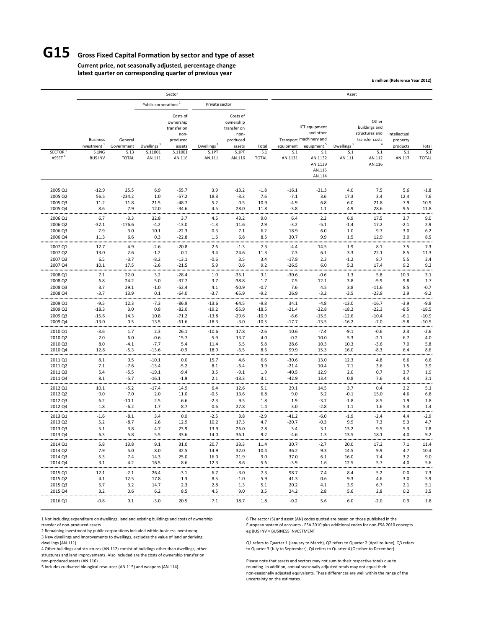## **G15 Gross Fixed Capital Formation by sector and type of asset**

**Current price, not seasonally adjusted, percentage change latest quarter on corresponding quarter of previous year**

**£ million (Reference Year 2012)**

|                                     |                                                                       |                                               |                                             | Sector                                                                                  |                                           |                                                                                              |                              |                             |                                                                                                                                  | Asset                                   |                                                                                                         |                                                       |                              |
|-------------------------------------|-----------------------------------------------------------------------|-----------------------------------------------|---------------------------------------------|-----------------------------------------------------------------------------------------|-------------------------------------------|----------------------------------------------------------------------------------------------|------------------------------|-----------------------------|----------------------------------------------------------------------------------------------------------------------------------|-----------------------------------------|---------------------------------------------------------------------------------------------------------|-------------------------------------------------------|------------------------------|
|                                     |                                                                       |                                               | Public corporations <sup>2</sup>            |                                                                                         | Private sector                            |                                                                                              |                              |                             |                                                                                                                                  |                                         |                                                                                                         |                                                       |                              |
| <b>SECTOR</b><br>ASSET <sup>6</sup> | <b>Business</b><br>investment <sup>1</sup><br>S.1NG<br><b>BUS INV</b> | General<br>Government<br>S.13<br><b>TOTAL</b> | Dwellings <sup>3</sup><br>S.11001<br>AN.111 | Costs of<br>ownership<br>transfer on<br>non-<br>produced<br>assets<br>S.11001<br>AN.116 | Dwellings <sup>3</sup><br>S.1PT<br>AN.111 | Costs of<br>ownership<br>transfer on<br>non-<br>produced<br>assets<br><b>S.1PT</b><br>AN.116 | Total<br>S.1<br><b>TOTAL</b> | equipment<br>S.1<br>AN.1131 | ICT equipment<br>and other<br>Transport machinery and<br>equipment <sup>5</sup><br>S.1<br>AN.1132<br>AN.1139<br>AN.115<br>AN.114 | Dwellings <sup>3</sup><br>S.1<br>AN.111 | Other<br>buildings and<br>structures and<br>transfer costs<br>$\overline{4}$<br>S.1<br>AN.112<br>AN.116 | Intellectual<br>property<br>products<br>S.1<br>AN.117 | Total<br>S.1<br><b>TOTAL</b> |
| 2005 Q1                             | $-12.9$                                                               | 25.5                                          | 6.9                                         | $-55.7$                                                                                 | 3.9                                       | $-13.2$                                                                                      | $-1.8$                       | $-16.1$                     | $-21.3$                                                                                                                          | 4.0                                     | 7.5                                                                                                     | 5.6                                                   | $-1.8$                       |
| 2005 Q2                             | 56.5                                                                  | $-234.2$                                      | 1.0                                         | $-57.2$                                                                                 | 18.3                                      | $-3.3$                                                                                       | 7.6                          | $-7.1$                      | 3.6                                                                                                                              | 17.3                                    | 3.4                                                                                                     | 12.4                                                  | 7.6                          |
| 2005 Q3                             | 11.2                                                                  | 11.8                                          | 21.5                                        | $-48.7$                                                                                 | 5.2                                       | 0.5                                                                                          | 10.9                         | $-4.9$                      | 6.8                                                                                                                              | 6.0                                     | 21.8                                                                                                    | 7.9                                                   | 10.9                         |
| 2005 Q4                             | 8.6                                                                   | 7.9                                           | 12.0                                        | $-34.6$                                                                                 | 4.5                                       | 28.0                                                                                         | 11.8                         | $-3.8$                      | 1.1                                                                                                                              | 4.9                                     | 28.6                                                                                                    | 9.5                                                   | 11.8                         |
| 2006 Q1                             | 6.7                                                                   | $-3.3$                                        | 32.8                                        | 3.7                                                                                     | 4.5                                       | 43.2                                                                                         | 9.0                          | 6.4                         | 2.2                                                                                                                              | 6.9                                     | 17.5                                                                                                    | 3.7                                                   | 9.0                          |
| 2006 Q2                             | $-32.1$                                                               | $-176.6$                                      | $-4.2$                                      | $-13.0$                                                                                 | $-1.3$                                    | 11.6                                                                                         | 2.9                          | $-3.2$                      | $-5.1$                                                                                                                           | $-1.4$                                  | 17.2                                                                                                    | $-2.1$                                                | 2.9                          |
| 2006 Q3                             | 7.9                                                                   | 3.0                                           | 10.1                                        | $-22.3$                                                                                 | 0.3                                       | 7.1                                                                                          | 6.2                          | 18.9                        | 6.0                                                                                                                              | 1.0                                     | 9.7                                                                                                     | 3.0                                                   | 6.2                          |
| 2006 Q4                             | 11.3                                                                  | 6.6                                           | 0.3                                         | $-22.8$                                                                                 | 1.6                                       | 6.8                                                                                          | 8.5                          | 30.7                        | 9.9                                                                                                                              | 1.5                                     | 12.9                                                                                                    | 3.0                                                   | 8.5                          |
| 2007 Q1                             | 12.7                                                                  | 4.9                                           | $-2.6$                                      | $-20.8$                                                                                 | 2.6                                       | $-1.3$                                                                                       | 7.3                          | $-4.4$                      | 14.5                                                                                                                             | 1.9                                     | 8.1                                                                                                     | 7.5                                                   | 7.3                          |
| 2007 Q2                             | 13.0                                                                  | 2.6                                           | $-1.2$                                      | 0.1                                                                                     | 3.4                                       | 24.6                                                                                         | 11.3                         | 7.3                         | 6.1                                                                                                                              | 3.3                                     | 22.1                                                                                                    | 8.5                                                   | 11.3                         |
| 2007 Q3                             | 6.5                                                                   | $-3.7$                                        | $-8.2$                                      | $-13.1$                                                                                 | $-0.6$                                    | 3.5                                                                                          | 3.4                          | $-17.8$                     | 2.3                                                                                                                              | $-1.2$                                  | 8.7                                                                                                     | 5.5                                                   | 3.4                          |
| 2007 Q4                             | 10.1                                                                  | 17.5                                          | $-2.6$                                      | $-21.5$                                                                                 | 5.9                                       | 0.6                                                                                          | 9.2                          | $-26.5$                     | 6.0                                                                                                                              | 5.3                                     | 17.4                                                                                                    | 9.2                                                   | 9.2                          |
| 2008 Q1                             | 7.1                                                                   | 22.0                                          | 3.2                                         | $-28.4$                                                                                 | 1.0                                       | $-35.1$                                                                                      | 3.1                          | $-30.6$                     | $-0.6$                                                                                                                           | 1.3                                     | 5.8                                                                                                     | 10.3                                                  | 3.1                          |
| 2008 Q2                             | 6.8                                                                   | 24.2                                          | 5.0                                         | $-37.7$                                                                                 | 3.7                                       | $-38.8$                                                                                      | 1.7                          | 7.5                         | 12.1                                                                                                                             | 3.8                                     | $-9.9$                                                                                                  | 9.8                                                   | 1.7                          |
| 2008 Q3                             | 3.7                                                                   | 29.1                                          | $-1.0$                                      | $-52.4$                                                                                 | 4.1                                       | $-50.9$                                                                                      | $-0.7$                       | 7.6                         | 4.5                                                                                                                              | 3.8                                     | $-11.6$                                                                                                 | 8.5                                                   | $-0.7$                       |
| 2008 Q4                             | $-3.7$                                                                | 13.9                                          | 0.1                                         | $-64.0$                                                                                 | $-3.7$                                    | $-65.9$                                                                                      | $-9.2$                       | 26.9                        | $-3.2$                                                                                                                           | $-3.5$                                  | $-23.8$                                                                                                 | 2.9                                                   | $-9.2$                       |
| 2009 Q1                             | $-9.5$                                                                | 12.3                                          | $-7.3$                                      | $-86.9$                                                                                 | $-13.6$                                   | $-64.5$                                                                                      | $-9.8$                       | 34.1                        | $-4.8$                                                                                                                           | $-13.0$                                 | $-16.7$                                                                                                 | $-3.9$                                                | $-9.8$                       |
| 2009 Q2                             | $-18.3$                                                               | 3.0                                           | 0.8                                         | $-82.0$                                                                                 | $-19.2$                                   | $-55.9$                                                                                      | -18.5                        | $-21.4$                     | $-22.8$                                                                                                                          | $-18.2$                                 | $-22.3$                                                                                                 | $-8.5$                                                | $-18.5$                      |
| 2009 Q3                             | $-15.6$                                                               | 14.3                                          | 10.8                                        | $-71.2$                                                                                 | $-13.8$                                   | $-29.6$                                                                                      | $-10.9$                      | $-8.6$                      | $-15.5$                                                                                                                          | $-12.6$                                 | $-10.4$                                                                                                 | $-6.1$                                                | $-10.9$                      |
| 2009 Q4                             | $-13.0$                                                               | 0.5                                           | 13.5                                        | $-61.6$                                                                                 | $-18.3$                                   | $-3.0$                                                                                       | $-10.5$                      | $-17.7$                     | $-13.5$                                                                                                                          | $-16.2$                                 | $-7.0$                                                                                                  | $-5.8$                                                | $-10.5$                      |
| 2010 Q1                             | $-3.6$                                                                | 1.7                                           | 2.3                                         | 26.1                                                                                    | $-10.6$                                   | 17.8                                                                                         | $-2.6$                       | 10.6                        | $-7.4$                                                                                                                           | $-9.1$                                  | $-0.6$                                                                                                  | 2.3                                                   | $-2.6$                       |
| 2010 Q2                             | 2.0                                                                   | 6.0                                           | $-0.6$                                      | 15.7                                                                                    | 5.9                                       | 13.7                                                                                         | 4.0                          | $-0.2$                      | 10.0                                                                                                                             | 5.3                                     | $-2.1$                                                                                                  | 6.7                                                   | 4.0                          |
| 2010 Q3                             | 8.0                                                                   | $-4.1$                                        | $-7.7$                                      | 5.4                                                                                     | 11.4                                      | 5.5                                                                                          | 5.8                          | 28.6                        | 10.3                                                                                                                             | 10.3                                    | $-3.6$                                                                                                  | 7.0                                                   | 5.8                          |
| 2010 04                             | 12.8                                                                  | $-5.3$                                        | $-13.6$                                     | $-0.9$                                                                                  | 18.9                                      | $-6.5$                                                                                       | 8.6                          | 99.9                        | 15.3                                                                                                                             | 16.0                                    | $-8.3$                                                                                                  | 6.4                                                   | 8.6                          |
| 2011 Q1                             | 8.1                                                                   | 0.5                                           | $-10.1$                                     | 0.0                                                                                     | 15.7                                      | 4.6                                                                                          | 6.6                          | $-30.6$                     | 13.0                                                                                                                             | 12.3                                    | 4.8                                                                                                     | 6.6                                                   | 6.6                          |
| 2011 Q2                             | 7.1                                                                   | $-7.6$                                        | $-13.4$                                     | $-5.2$                                                                                  | 8.1                                       | $-6.4$                                                                                       | 3.9                          | $-21.4$                     | 10.4                                                                                                                             | 7.1                                     | 3.6                                                                                                     | 1.5                                                   | 3.9                          |
| 2011 Q3                             | 5.4                                                                   | $-5.5$                                        | $-19.1$                                     | $-9.4$                                                                                  | 3.5                                       | $-9.1$                                                                                       | 1.9                          | $-40.5$                     | 12.9                                                                                                                             | 2.0                                     | 0.7                                                                                                     | 3.7                                                   | 1.9                          |
| 2011 Q4                             | 8.1                                                                   | $-5.7$                                        | $-16.1$                                     | $-1.9$                                                                                  | 2.1                                       | $-13.3$                                                                                      | 3.1                          | $-42.9$                     | 13.4                                                                                                                             | 0.8                                     | 7.6                                                                                                     | 4.4                                                   | 3.1                          |
| 2012 Q1                             | 10.1                                                                  | $-5.2$                                        | $-17.4$                                     | 14.9                                                                                    | 6.4                                       | 12.6                                                                                         | 5.1                          | 29.1                        | 14.5                                                                                                                             | 3.7                                     | 0.4                                                                                                     | 2.2                                                   | 5.1                          |
| 2012 Q2                             | 9.0                                                                   | 7.0                                           | 2.0                                         | 11.0                                                                                    | $-0.5$                                    | 13.6                                                                                         | 6.8                          | 9.0                         | 5.2                                                                                                                              | $-0.1$                                  | 15.0                                                                                                    | 4.6                                                   | 6.8                          |
| 2012 Q3                             | 6.2                                                                   | $-10.1$                                       | 2.5                                         | 6.6                                                                                     | $-2.3$                                    | 9.5                                                                                          | 1.8                          | 1.9                         | $-3.7$                                                                                                                           | $-1.8$                                  | 8.5                                                                                                     | 1.9                                                   | 1.8                          |
| 2012 Q4                             | 1.8                                                                   | $-6.2$                                        | 1.7                                         | 8.7                                                                                     | 0.6                                       | 27.8                                                                                         | 1.4                          | 3.0                         | $-2.8$                                                                                                                           | 1.1                                     | 1.6                                                                                                     | 5.3                                                   | 1.4                          |
| 2013 Q1                             | $-1.6$                                                                | $-8.1$                                        | 3.4                                         | 0.0                                                                                     | $-2.5$                                    | 3.8                                                                                          | $-2.9$                       | $-41.2$                     | $-6.0$                                                                                                                           | $-1.9$                                  | $-2.4$                                                                                                  | 4.4                                                   | $-2.9$                       |
| 2013 Q2                             | 5.2                                                                   | $-8.7$                                        | 2.6                                         | 12.9                                                                                    | 10.2                                      | 17.3                                                                                         | 4.7                          | $-20.7$                     | $-0.3$                                                                                                                           | 9.9                                     | 7.3                                                                                                     | 5.3                                                   | 4.7                          |
| 2013 Q3                             | 5.1                                                                   | 3.8                                           | 4.7                                         | 23.9                                                                                    | 13.9                                      | 26.0                                                                                         | 7.8                          | 3.4                         | 3.1                                                                                                                              | 13.2                                    | 9.5                                                                                                     | 5.3                                                   | 7.8                          |
| 2013 Q4                             | 6.3                                                                   | 5.8                                           | 5.5                                         | 33.6                                                                                    | 14.0                                      | 36.1                                                                                         | 9.2                          | $-4.6$                      | 1.3                                                                                                                              | 13.5                                    | 18.1                                                                                                    | 4.0                                                   | 9.2                          |
| 2014 Q1                             | 5.8                                                                   | 13.8                                          | 9.1                                         | 31.0                                                                                    | 20.7                                      | 33.3                                                                                         | 11.4                         | 30.7                        | $-2.7$                                                                                                                           | 20.0                                    | 17.2                                                                                                    | 7.1                                                   | 11.4                         |
| 2014 Q2                             | 7.9                                                                   | 5.0                                           | 8.0                                         | 32.5                                                                                    | 14.9                                      | 32.0                                                                                         | 10.4                         | 36.2                        | 9.3                                                                                                                              | 14.5                                    | 9.9                                                                                                     | 4.7                                                   | 10.4                         |
| 2014 Q3                             | 5.3                                                                   | 7.4                                           | 14.3                                        | 25.0                                                                                    | 16.0                                      | 21.9                                                                                         | 9.0                          | 37.0                        | 6.1                                                                                                                              | 16.0                                    | 7.4                                                                                                     | 3.2                                                   | 9.0                          |
| 2014 Q4                             | 3.1                                                                   | 4.2                                           | 16.5                                        | 8.6                                                                                     | 12.3                                      | 8.6                                                                                          | 5.6                          | $-3.9$                      | 1.6                                                                                                                              | 12.5                                    | 5.7                                                                                                     | 4.0                                                   | 5.6                          |
| 2015 Q1                             | 12.1                                                                  | $-2.1$                                        | 26.4                                        | $-3.1$                                                                                  | 6.7                                       | $-3.0$                                                                                       | 7.3                          | 98.7                        | 7.4                                                                                                                              | 8.4                                     | 5.2                                                                                                     | 0.0                                                   | 7.3                          |
| 2015 Q2                             | 4.1                                                                   | 12.5                                          | 17.8                                        | $-1.3$                                                                                  | 8.5                                       | $-1.0$                                                                                       | 5.9                          | 41.3                        | 0.6                                                                                                                              | 9.3                                     | 4.6                                                                                                     | 3.0                                                   | 5.9                          |
| 2015 Q3                             | 6.7                                                                   | 3.2                                           | 14.7                                        | 2.3                                                                                     | 2.8                                       | 1.3                                                                                          | 5.1                          | 20.2                        | 4.1                                                                                                                              | 3.9                                     | 6.7                                                                                                     | 2.1                                                   | 5.1                          |
| 2015 Q4                             | 3.2                                                                   | 0.6                                           | 6.2                                         | 8.5                                                                                     | 4.5                                       | 9.0                                                                                          | 3.5                          | 24.2                        | 2.8                                                                                                                              | 5.6                                     | 2.8                                                                                                     | 0.2                                                   | 3.5                          |
| 2016 Q1                             | $-0.8$                                                                | 0.1                                           | $-3.0$                                      | 20.5                                                                                    | 7.1                                       | 18.7                                                                                         | 1.8                          | $-0.2$                      | 5.6                                                                                                                              | 6.0                                     | $-2.0$                                                                                                  | 0.9                                                   | 1.8                          |

1 Not including expenditure on dwellings, land and existing buildings and costs of ownership 6 The sector (S) and asset (AN) codes quoted are based on those published in the

2 Remaining investment by public corporations included within business investment

3 New dwellings and improvements to dwellings, excludes the value of land underlying

4 Other buildings and structures (AN.112) consist of buildings other than dwellings, other

structures and land improvements. Also included are the costs of ownership transfer on<br>non-produced assets (AN.116) Please note that assets and sectors may not sum to their respective totals due to

transfer of non‐produced assets European system of accounts exact and produced assets European system of accounts • ESA 2010 plus additional codes for non‐ESA 2010 concepts.<br>
2 Remaining investment by public corporations i

Q1 refers to Quarter 1 (January to March), Q2 refers to Quarter 2 (April to June), Q3 refers<br>to Quarter 3 (July to September), Q4 refers to Quarter 4 (October to December)

5 Includes cultivated biological resources (AN.115) and weapons (AN.114) rounding. In addition, annual seasonally adjusted totals may not equal their non‐seasonally adjusted equivalents. These differences are well within the range of the uncertainty on the estimates.